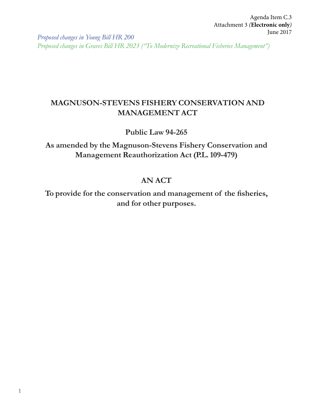Agenda Item C.3 Attachment 3 *(***Electronic only***)* June 2017

*Proposed changes in Young Bill HR 200 Proposed changes in Graves Bill HR 2023 ("To Modernize Recreational Fisheries Management")*

# **MAGNUSON-STEVENS FISHERY CONSERVATION AND MANAGEMENT ACT**

### **Public Law 94-265**

**As amended by the Magnuson-Stevens Fishery Conservation and Management Reauthorization Act (P.L. 109-479)**

## **AN ACT**

To provide for the conservation and management of the fisheries, **and for other purposes.**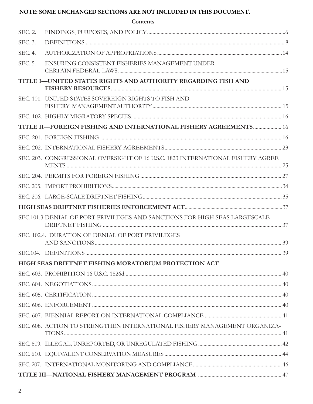### NOTE: SOME UNCHANGED SECTIONS ARE NOT INCLUDED IN THIS DOCUMENT.

|         | Contents                                                                         |  |
|---------|----------------------------------------------------------------------------------|--|
| SEC. 2. |                                                                                  |  |
| SEC. 3. |                                                                                  |  |
| SEC. 4. |                                                                                  |  |
| SEC. 5. | ENSURING CONSISTENT FISHERIES MANAGEMENT UNDER                                   |  |
|         | TITLE I-UNITED STATES RIGHTS AND AUTHORITY REGARDING FISH AND                    |  |
|         | SEC. 101. UNITED STATES SOVEREIGN RIGHTS TO FISH AND                             |  |
|         |                                                                                  |  |
|         | TITLE II-FOREIGN FISHING AND INTERNATIONAL FISHERY AGREEMENTS 16                 |  |
|         |                                                                                  |  |
|         |                                                                                  |  |
|         | SEC. 203. CONGRESSIONAL OVERSIGHT OF 16 U.S.C. 1823 INTERNATIONAL FISHERY AGREE- |  |
|         |                                                                                  |  |
|         |                                                                                  |  |
|         |                                                                                  |  |
|         |                                                                                  |  |
|         | SEC.101.3.DENIAL OF PORT PRIVILEGES AND SANCTIONS FOR HIGH SEAS LARGESCALE       |  |
|         | SEC. 102.4. DURATION OF DENIAL OF PORT PRIVILEGES                                |  |
|         |                                                                                  |  |
|         | HIGH SEAS DRIFTNET FISHING MORATORIUM PROTECTION ACT                             |  |
|         |                                                                                  |  |
|         |                                                                                  |  |
|         |                                                                                  |  |
|         |                                                                                  |  |
|         |                                                                                  |  |
|         | SEC. 608. ACTION TO STRENGTHEN INTERNATIONAL FISHERY MANAGEMENT ORGANIZA-        |  |
|         |                                                                                  |  |
|         |                                                                                  |  |
|         |                                                                                  |  |
|         |                                                                                  |  |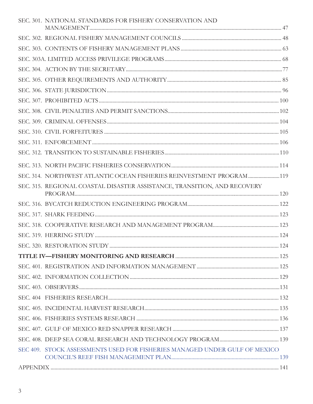| SEC. 301. NATIONAL STANDARDS FOR FISHERY CONSERVATION AND                  |  |
|----------------------------------------------------------------------------|--|
|                                                                            |  |
|                                                                            |  |
|                                                                            |  |
|                                                                            |  |
|                                                                            |  |
|                                                                            |  |
|                                                                            |  |
|                                                                            |  |
|                                                                            |  |
|                                                                            |  |
|                                                                            |  |
|                                                                            |  |
|                                                                            |  |
| SEC. 314. NORTHWEST ATLANTIC OCEAN FISHERIES REINVESTMENT PROGRAM 119      |  |
| SEC. 315. REGIONAL COASTAL DISASTER ASSISTANCE, TRANSITION, AND RECOVERY   |  |
|                                                                            |  |
|                                                                            |  |
|                                                                            |  |
|                                                                            |  |
|                                                                            |  |
|                                                                            |  |
|                                                                            |  |
|                                                                            |  |
|                                                                            |  |
|                                                                            |  |
|                                                                            |  |
|                                                                            |  |
|                                                                            |  |
|                                                                            |  |
| SEC 409. STOCK ASSESSMENTS USED FOR FISHERIES MANAGED UNDER GULF OF MEXICO |  |
|                                                                            |  |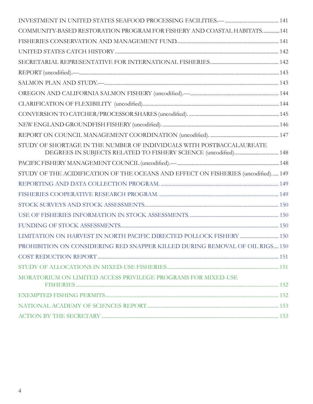| COMMUNITY-BASED RESTORATION PROGRAM FOR FISHERY AND COASTAL HABITATS141                                                                  |  |
|------------------------------------------------------------------------------------------------------------------------------------------|--|
|                                                                                                                                          |  |
|                                                                                                                                          |  |
|                                                                                                                                          |  |
|                                                                                                                                          |  |
|                                                                                                                                          |  |
|                                                                                                                                          |  |
|                                                                                                                                          |  |
|                                                                                                                                          |  |
|                                                                                                                                          |  |
|                                                                                                                                          |  |
| STUDY OF SHORTAGE IN THE NUMBER OF INDIVIDUALS WITH POSTBACCALAUREATE<br>DEGREES IN SUBJECTS RELATED TO FISHERY SCIENCE (uncodified) 148 |  |
|                                                                                                                                          |  |
| STUDY OF THE ACIDIFICATION OF THE OCEANS AND EFFECT ON FISHERIES (uncodified) 149                                                        |  |
|                                                                                                                                          |  |
|                                                                                                                                          |  |
|                                                                                                                                          |  |
|                                                                                                                                          |  |
|                                                                                                                                          |  |
|                                                                                                                                          |  |
| PROHIBITION ON CONSIDERING RED SNAPPER KILLED DURING REMOVAL OF OIL RIGS 150                                                             |  |
|                                                                                                                                          |  |
|                                                                                                                                          |  |
| MORATORIUM ON LIMITED ACCESS PRIVILEGE PROGRAMS FOR MIXED-USE                                                                            |  |
|                                                                                                                                          |  |
|                                                                                                                                          |  |
|                                                                                                                                          |  |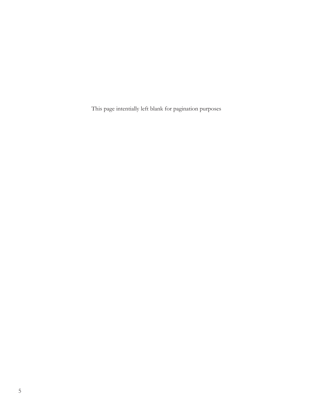This page intentially left blank for pagination purposes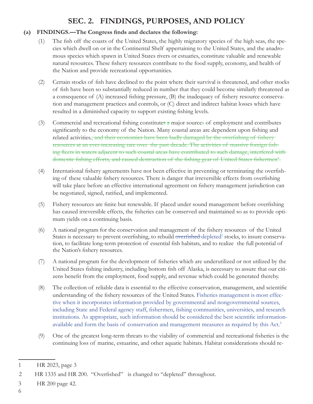# **SEC. 2. FINDINGS, PURPOSES, AND POLICY**

### (a) FINDINGS.—The Congress finds and declares the following:

- (1) The fish off the coasts of the United States, the highly migratory species of the high seas, the species which dwell on or in the Continental Shelf appertaining to the United States, and the anadromous species which spawn in United States rivers or estuaries, constitute valuable and renewable natural resources. These fishery resources contribute to the food supply, economy, and health of the Nation and provide recreational opportunities.
- (2) Certain stocks of fish have declined to the point where their survival is threatened, and other stocks of fish have been so substantially reduced in number that they could become similarly threatened as a consequence of  $(A)$  increased fishing pressure,  $(B)$  the inadequacy of fishery resource conservation and management practices and controls, or (C) direct and indirect habitat losses which have resulted in a diminished capacity to support existing fishing levels.
- (3) Commercial and recreational fishing constitutes  $\alpha$  major sources of employment and contributes significantly to the economy of the Nation. Many coastal areas are dependent upon fishing and related activities., and their economies have been badly damaged by the overfishing of fishery resources at an ever-increasing rate over the past decade. The activities of massive foreign fishing fleets in waters adjacent to such coastal areas have contributed to such damage, interfered with domestic fishing efforts, and caused destruction of the fishing gear of United States fishermen<sup>t</sup>.
- (4) International fishery agreements have not been effective in preventing or terminating the overfishing of these valuable fishery resources. There is danger that irreversible effects from overfishing will take place before an effective international agreement on fishery management jurisdiction can be negotiated, signed, ratified, and implemented.
- (5) Fishery resources are finite but renewable. If placed under sound management before overfishing has caused irreversible effects, the fisheries can be conserved and maintained so as to provide optimum yields on a continuing basis.
- (6) A national program for the conservation and management of the fishery resources of the United States is necessary to prevent overfishing, to rebuild <del>overfished</del> depleted<sup>2</sup> stocks, to insure conservation, to facilitate long-term protection of essential fish habitats, and to realize the full potential of the Nation's fishery resources.
- (7) A national program for the development of fisheries which are underutilized or not utilized by the United States fishing industry, including bottom fish off Alaska, is necessary to assure that our citizens benefit from the employment, food supply, and revenue which could be generated thereby.
- (8) The collection of reliable data is essential to the effective conservation, management, and scientific understanding of the fishery resources of the United States. Fisheries management is most effective when it incorporates information provided by governmental and nongovernmental sources, including State and Federal agency staff, fishermen, fishing communities, universities, and research institutions. As appropriate, such information should be considered the best scientific informationavailable and form the basis of conservation and management measures as required by this Act.<sup>3</sup>
- (9) One of the greatest long-term threats to the viability of commercial and recreational fisheries is the continuing loss of marine, estuarine, and other aquatic habitats. Habitat considerations should re-

3 HR 200 page 42.

6

<sup>1</sup>  HR 2023, page 3

 $\mathfrak{D}$ HR 1335 and HR 200. "Overfished" is changed to "depleted" throughout.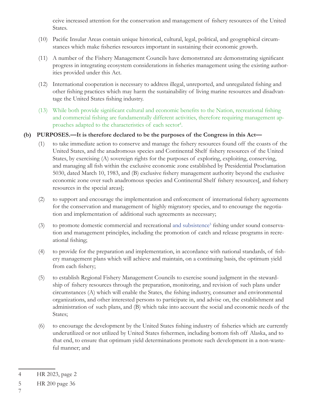ceive increased attention for the conservation and management of fishery resources of the United States.

- (10) Pacific Insular Areas contain unique historical, cultural, legal, political, and geographical circumstances which make fisheries resources important in sustaining their economic growth.
- (11) A number of the Fishery Management Councils have demonstrated are demonstrating significant progress in integrating ecosystem considerations in fisheries management using the existing authorities provided under this Act.
- (12) International cooperation is necessary to address illegal, unreported, and unregulated fishing and other fishing practices which may harm the sustainability of living marine resources and disadvantage the United States fishing industry.
- (13) While both provide significant cultural and economic benefits to the Nation, recreational fishing and commercial fishing are fundamentally different activities, therefore requiring management approaches adapted to the characteristics of each sector<sup>4</sup>.

#### **(b) PURPOSES.—It is therefore declared to be the purposes of the Congress in this Act—**

- (1) to take immediate action to conserve and manage the fishery resources found off the coasts of the United States, and the anadromous species and Continental Shelf fishery resources of the United States, by exercising (A) sovereign rights for the purposes of exploring, exploiting, conserving, and managing all fish within the exclusive economic zone established by Presidential Proclamation 5030, dated March 10, 1983, and (B) exclusive fishery management authority beyond the exclusive economic zone over such anadromous species and Continental Shelf fishery resources[, and fishery resources in the special areas];
- (2) to support and encourage the implementation and enforcement of international fishery agreements for the conservation and management of highly migratory species, and to encourage the negotiation and implementation of additional such agreements as necessary;
- (3) to promote domestic commercial and recreational and subsistence<sup>5</sup> fishing under sound conservation and management principles, including the promotion of catch and release programs in recreational fishing;
- (4) to provide for the preparation and implementation, in accordance with national standards, of fishery management plans which will achieve and maintain, on a continuing basis, the optimum yield from each fishery;
- (5) to establish Regional Fishery Management Councils to exercise sound judgment in the stewardship of fishery resources through the preparation, monitoring, and revision of such plans under circumstances (A) which will enable the States, the fishing industry, consumer and environmental organizations, and other interested persons to participate in, and advise on, the establishment and administration of such plans, and (B) which take into account the social and economic needs of the States;
- (6) to encourage the development by the United States fishing industry of fisheries which are currently underutilized or not utilized by United States fishermen, including bottom fish off Alaska, and to that end, to ensure that optimum yield determinations promote such development in a non-wasteful manner; and

<sup>4</sup> HR 2023, page 2

<sup>5</sup> HR 200 page 36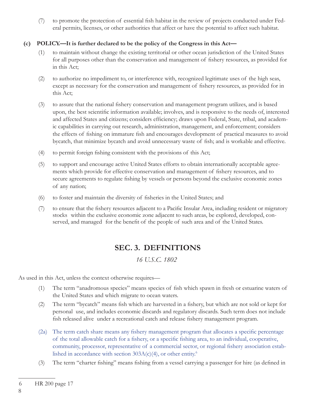(7) to promote the protection of essential fish habitat in the review of projects conducted under Federal permits, licenses, or other authorities that affect or have the potential to affect such habitat.

#### **(c) POLICY.—It is further declared to be the policy of the Congress in this Act—**

- (1) to maintain without change the existing territorial or other ocean jurisdiction of the United States for all purposes other than the conservation and management of fishery resources, as provided for in this Act;
- (2) to authorize no impediment to, or interference with, recognized legitimate uses of the high seas, except as necessary for the conservation and management of fishery resources, as provided for in this Act;
- (3) to assure that the national fishery conservation and management program utilizes, and is based upon, the best scientific information available; involves, and is responsive to the needs of, interested and affected States and citizens; considers efficiency; draws upon Federal, State, tribal, and academic capabilities in carrying out research, administration, management, and enforcement; considers the effects of fishing on immature fish and encourages development of practical measures to avoid bycatch, that minimize bycatch and avoid unnecessary waste of fish; and is workable and effective.
- (4) to permit foreign fishing consistent with the provisions of this Act;
- (5) to support and encourage active United States efforts to obtain internationally acceptable agreements which provide for effective conservation and management of fishery resources, and to secure agreements to regulate fishing by vessels or persons beyond the exclusive economic zones of any nation;
- (6) to foster and maintain the diversity of fisheries in the United States; and
- (7) to ensure that the fishery resources adjacent to a Pacific Insular Area, including resident or migratory stocks within the exclusive economic zone adjacent to such areas, be explored, developed, conserved, and managed for the benefit of the people of such area and of the United States.

## **SEC. 3. DEFINITIONS**

*16 U.S.C. 1802*

As used in this Act, unless the context otherwise requires—

- (1) The term "anadromous species" means species of fish which spawn in fresh or estuarine waters of the United States and which migrate to ocean waters.
- (2) The term "bycatch" means fish which are harvested in a fishery, but which are not sold or kept for personal use, and includes economic discards and regulatory discards. Such term does not include fish released alive under a recreational catch and release fishery management program.
- (2a) The term catch share means any fishery management program that allocates a specific percentage of the total allowable catch for a fishery, or a specific fishing area, to an individual, cooperative, community, processor, representative of a commercial sector, or regional fishery association established in accordance with section  $303A(c)(4)$ , or other entity.<sup>6</sup>
- (3) The term "charter fishing" means fishing from a vessel carrying a passenger for hire (as defined in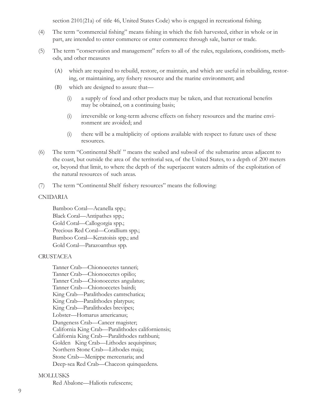section  $2101(21a)$  of title 46, United States Code) who is engaged in recreational fishing.

- (4) The term "commercial fishing" means fishing in which the fish harvested, either in whole or in part, are intended to enter commerce or enter commerce through sale, barter or trade.
- (5) The term "conservation and management" refers to all of the rules, regulations, conditions, methods, and other measures
	- (A) which are required to rebuild, restore, or maintain, and which are useful in rebuilding, restoring, or maintaining, any fishery resource and the marine environment; and
	- (B) which are designed to assure that—
		- $(i)$  a supply of food and other products may be taken, and that recreational benefits may be obtained, on a continuing basis;
		- (i) irreversible or long-term adverse effects on fishery resources and the marine environment are avoided; and
		- (i) there will be a multiplicity of options available with respect to future uses of these resources.
- (6) The term "Continental Shelf " means the seabed and subsoil of the submarine areas adjacent to the coast, but outside the area of the territorial sea, of the United States, to a depth of 200 meters or, beyond that limit, to where the depth of the superjacent waters admits of the exploitation of the natural resources of such areas.
- (7) The term "Continental Shelf fishery resources" means the following:

#### CNIDARIA

 Bamboo Coral—Acanella spp.; Black Coral—Antipathes spp.; Gold Coral—Callogorgia spp.; Precious Red Coral—Corallium spp.; Bamboo Coral—Keratoisis spp.; and Gold Coral—Parazoanthus spp.

#### **CRUSTACEA**

 Tanner Crab—Chionoecetes tanneri; Tanner Crab—Chionoecetes opilio; Tanner Crab—Chionoecetes angulatus; Tanner Crab—Chionoecetes bairdi; King Crab—Paralithodes camtschatica; King Crab—Paralithodes platypus; King Crab—Paralithodes brevipes; Lobster—Homarus americanus; Dungeness Crab—Cancer magister; California King Crab—Paralithodes californiensis; California King Crab—Paralithodes rathbuni; Golden King Crab—Lithodes aequispinus; Northern Stone Crab—Lithodes maja; Stone Crab—Menippe mercenaria; and Deep-sea Red Crab—Chaceon quinquedens.

#### **MOLLUSKS**

Red Abalone—Haliotis rufescens;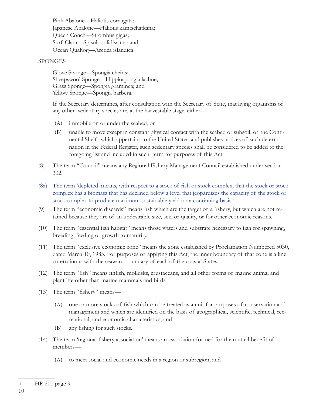Pink Abalone—Haliotis corrugata; Japanese Abalone—Haliotis kamtschatkana; Queen Conch—Strombus gigas; Surf Clam—Spisula solidissima; and Ocean Quahog—Arctica islandica

#### SPONGES

 Glove Sponge—Spongia cheiris; Sheepswool Sponge—Hippiospongia lachne; Grass Sponge—Spongia graminea; and Yellow Sponge—Spongia barbera.

 If the Secretary determines, after consultation with the Secretary of State, that living organisms of any other sedentary species are, at the harvestable stage, either—

- (A) immobile on or under the seabed, or
- (B) unable to move except in constant physical contact with the seabed or subsoil, of the Continental Shelf which appertains to the United States, and publishes notices of such determination in the Federal Register, such sedentary species shall be considered to be added to the foregoing list and included in such term for purposes of this Act.
- (8) The term "Council" means any Regional Fishery Management Council established under section 302.
- (8a) The term 'depleted' means, with respect to a stock of fish or stock complex, that the stock or stock complex has a biomass that has declined below a level that jeopardizes the capacity of the stock or stock complex to produce maximum sustainable yield on a continuing basis.7
- (9) The term "economic discards" means fish which are the target of a fishery, but which are not retained because they are of an undesirable size, sex, or quality, or for other economic reasons.
- (10) The term "essential fish habitat" means those waters and substrate necessary to fish for spawning, breeding, feeding or growth to maturity.
- (11) The term "exclusive economic zone" means the zone established by Proclamation Numbered 5030, dated March 10, 1983. For purposes of applying this Act, the inner boundary of that zone is a line coterminous with the seaward boundary of each of the coastal States.
- (12) The term "fish" means finfish, mollusks, crustaceans, and all other forms of marine animal and plant life other than marine mammals and birds.
- (13) The term "fishery" means—
	- (A) one or more stocks of fish which can be treated as a unit for purposes of conservation and management and which are identified on the basis of geographical, scientific, technical, recreational, and economic characteristics; and
	- (B) any fishing for such stocks.
- (14) The term 'regional fishery association' means an association formed for the mutual benefit of members—
	- (A) to meet social and economic needs in a region or subregion; and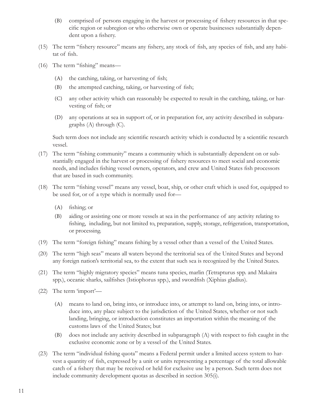- (B) comprised of persons engaging in the harvest or processing of fishery resources in that specific region or subregion or who otherwise own or operate businesses substantially dependent upon a fishery.
- (15) The term "fishery resource" means any fishery, any stock of fish, any species of fish, and any habitat of fish.
- (16) The term "fishing" means—
	- $(A)$  the catching, taking, or harvesting of fish;
	- $(B)$  the attempted catching, taking, or harvesting of fish;
	- (C) any other activity which can reasonably be expected to result in the catching, taking, or harvesting of fish; or
	- (D) any operations at sea in support of, or in preparation for, any activity described in subparagraphs (A) through (C).

Such term does not include any scientific research activity which is conducted by a scientific research vessel.

- (17) The term "fi shing community" means a community which is substantially dependent on or substantially engaged in the harvest or processing of fishery resources to meet social and economic needs, and includes fishing vessel owners, operators, and crew and United States fish processors that are based in such community.
- (18) The term "fishing vessel" means any vessel, boat, ship, or other craft which is used for, equipped to be used for, or of a type which is normally used for—
	- $(A)$  fishing; or
	- (B) aiding or assisting one or more vessels at sea in the performance of any activity relating to fishing, including, but not limited to, preparation, supply, storage, refrigeration, transportation, or processing.
- (19) The term "foreign fishing" means fishing by a vessel other than a vessel of the United States.
- (20) The term "high seas" means all waters beyond the territorial sea of the United States and beyond any foreign nation's territorial sea, to the extent that such sea is recognized by the United States.
- (21) The term "highly migratory species" means tuna species, marlin (Tetrapturus spp. and Makaira spp.), oceanic sharks, sailfishes (Istiophorus spp.), and swordfish (Xiphias gladius).
- (22) The term 'import'—
	- (A) means to land on, bring into, or introduce into, or attempt to land on, bring into, or introduce into, any place subject to the jurisdiction of the United States, whether or not such landing, bringing, or introduction constitutes an importation within the meaning of the customs laws of the United States; but
	- $(B)$  does not include any activity described in subparagraph  $(A)$  with respect to fish caught in the exclusive economic zone or by a vessel of the United States.
- (23) The term "individual fishing quota" means a Federal permit under a limited access system to harvest a quantity of fish, expressed by a unit or units representing a percentage of the total allowable catch of a fishery that may be received or held for exclusive use by a person. Such term does not include community development quotas as described in section 305(i).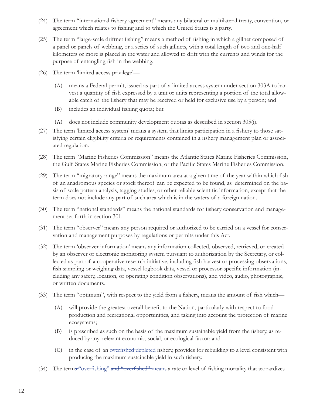- (24) The term "international fishery agreement" means any bilateral or multilateral treaty, convention, or agreement which relates to fishing and to which the United States is a party.
- (25) The term "large-scale driftnet fishing" means a method of fishing in which a gillnet composed of a panel or panels of webbing, or a series of such gillnets, with a total length of two and one-half kilometers or more is placed in the water and allowed to drift with the currents and winds for the purpose of entangling fish in the webbing.
- (26) The term 'limited access privilege'—
	- (A) means a Federal permit, issued as part of a limited access system under section 303A to harvest a quantity of fish expressed by a unit or units representing a portion of the total allowable catch of the fishery that may be received or held for exclusive use by a person; and
	- (B) includes an individual fishing quota; but
	- (A) does not include community development quotas as described in section 305(i).
- (27) The term 'limited access system' means a system that limits participation in a fishery to those satisfying certain eligibility criteria or requirements contained in a fishery management plan or associated regulation.
- (28) The term "Marine Fisheries Commission" means the Atlantic States Marine Fisheries Commission, the Gulf States Marine Fisheries Commission, or the Pacific States Marine Fisheries Commission.
- (29) The term "migratory range" means the maximum area at a given time of the year within which fish of an anadromous species or stock thereof can be expected to be found, as determined on the basis of scale pattern analysis, tagging studies, or other reliable scientific information, except that the term does not include any part of such area which is in the waters of a foreign nation.
- (30) The term "national standards" means the national standards for fishery conservation and management set forth in section 301.
- (31) The term "observer" means any person required or authorized to be carried on a vessel for conservation and management purposes by regulations or permits under this Act.
- (32) The term 'observer information' means any information collected, observed, retrieved, or created by an observer or electronic monitoring system pursuant to authorization by the Secretary, or collected as part of a cooperative research initiative, including fish harvest or processing observations, fish sampling or weighing data, vessel logbook data, vessel or processor-specific information (including any safety, location, or operating condition observations), and video, audio, photographic, or written documents.
- (33) The term "optimum", with respect to the yield from a fishery, means the amount of fish which—
	- (A) will provide the greatest overall benefit to the Nation, particularly with respect to food production and recreational opportunities, and taking into account the protection of marine ecosystems;
	- $(B)$  is prescribed as such on the basis of the maximum sustainable yield from the fishery, as reduced by any relevant economic, social, or ecological factor; and
	- (C) in the case of an overfished depleted fishery, provides for rebuilding to a level consistent with producing the maximum sustainable yield in such fishery.
- (34) The terms "overfishing" and "overfished" means a rate or level of fishing mortality that jeopardizes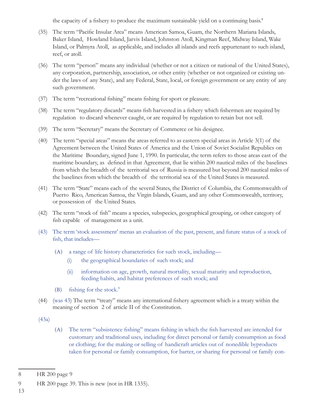the capacity of a fishery to produce the maximum sustainable yield on a continuing basis.<sup>8</sup>

- (35) The term "Pacific Insular Area" means American Samoa, Guam, the Northern Mariana Islands, Baker Island, Howland Island, Jarvis Island, Johnston Atoll, Kingman Reef, Midway Island, Wake Island, or Palmyra Atoll, as applicable, and includes all islands and reefs appurtenant to such island, reef, or atoll.
- (36) The term "person" means any individual (whether or not a citizen or national of the United States), any corporation, partnership, association, or other entity (whether or not organized or existing under the laws of any State), and any Federal, State, local, or foreign government or any entity of any such government.
- (37) The term "recreational fishing" means fishing for sport or pleasure.
- (38) The term "regulatory discards" means fish harvested in a fishery which fishermen are required by regulation to discard whenever caught, or are required by regulation to retain but not sell.
- (39) The term "Secretary" means the Secretary of Commerce or his designee.
- (40) The term "special areas" means the areas referred to as eastern special areas in Article 3(1) of the Agreement between the United States of America and the Union of Soviet Socialist Republics on the Maritime Boundary, signed June 1, 1990. In particular, the term refers to those areas east of the maritime boundary, as defined in that Agreement, that lie within 200 nautical miles of the baselines from which the breadth of the territorial sea of Russia is measured but beyond 200 nautical miles of the baselines from which the breadth of the territorial sea of the United States is measured.
- (41) The term "State" means each of the several States, the District of Columbia, the Commonwealth of Puerto Rico, American Samoa, the Virgin Islands, Guam, and any other Commonwealth, territory, or possession of the United States.
- (42) The term "stock of fish" means a species, subspecies, geographical grouping, or other category of fish capable of management as a unit.
- (43) The term 'stock assessment' menas an evaluation of the past, present, and future status of a stock of fish, that includes—
	- (A) a range of life history characteristics for such stock, including—
		- (i) the geographical boundaries of such stock; and
		- (ii) information on age, growth, natural mortality, sexual maturity and reproduction, feeding habits, and habitat preferences of such stock; and
	- (B) fishing for the stock. $9$
- (44) (was 43) The term "treaty" means any international fishery agreement which is a treaty within the meaning of section 2 of article II of the Constitution.

(43a)

(A) The term "subsistence fishing" means fishing in which the fish harvested are intended for customary and traditional uses, including for direct personal or family consumption as food or clothing; for the making or selling of handicraft articles out of nonedible byproducts taken for personal or family consumption, for barter, or sharing for personal or family con-

13

<sup>8</sup> HR 200 page 9

<sup>9</sup> HR 200 page 39. This is new (not in HR 1335).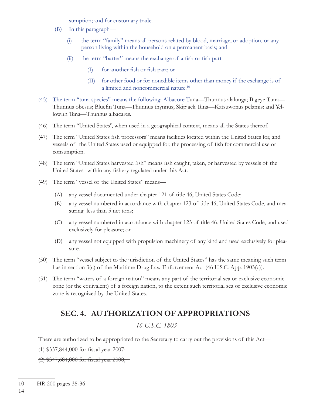sumption; and for customary trade.

- (B) In this paragraph—
	- (i) the term "family" means all persons related by blood, marriage, or adoption, or any person living within the household on a permanent basis; and
	- (ii) the term "barter" means the exchange of a fish or fish part—
		- $(I)$  for another fish or fish part; or
		- (II) for other food or for nonedible items other than money if the exchange is of a limited and noncommercial nature.10
- (45) The term "tuna species" means the following: Albacore Tuna—Thunnus alalunga; Bigeye Tuna— Thunnus obesus; Bluefin Tuna—Thunnus thynnus; Skipjack Tuna—Katsuwonus pelamis; and Yellowfin Tuna—Thunnus albacares.
- (46) The term "United States", when used in a geographical context, means all the States thereof.
- (47) The term "United States fish processors" means facilities located within the United States for, and vessels of the United States used or equipped for, the processing of fish for commercial use or consumption.
- (48) The term "United States harvested fish" means fish caught, taken, or harvested by vessels of the United States within any fishery regulated under this Act.
- (49) The term "vessel of the United States" means—
	- (A) any vessel documented under chapter 121 of title 46, United States Code;
	- (B) any vessel numbered in accordance with chapter 123 of title 46, United States Code, and measuring less than 5 net tons;
	- (C) any vessel numbered in accordance with chapter 123 of title 46, United States Code, and used exclusively for pleasure; or
	- (D) any vessel not equipped with propulsion machinery of any kind and used exclusively for pleasure.
- (50) The term "vessel subject to the jurisdiction of the United States" has the same meaning such term has in section 3(c) of the Maritime Drug Law Enforcement Act (46 U.S.C. App. 1903(c)).
- (51) The term "waters of a foreign nation" means any part of the territorial sea or exclusive economic zone (or the equivalent) of a foreign nation, to the extent such territorial sea or exclusive economic zone is recognized by the United States.

# **SEC. 4. AUTHORIZATION OF APPROPRIATIONS**

### *16 U.S.C. 1803*

There are authorized to be appropriated to the Secretary to carry out the provisions of this Act—

 $(1)$  \$337,844,000 for fiscal year 2007;

 $(2)$  \$347,684,000 for fiscal year 2008;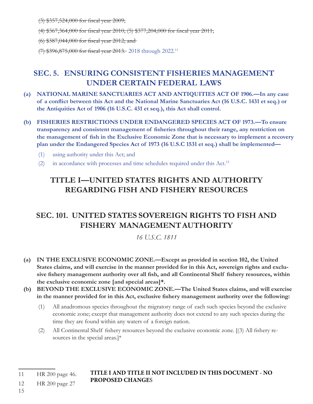$(3)$  \$357,524,000 for fiscal year 2009;

 $(4)$  \$367,364,000 for fiscal year 2010; (5) \$377,204,000 for fiscal year 2011;

 $(6)$  \$387,044,000 for fiscal year 2012; and

(7) \$396,875,000 for fiscal year 2013. 2018 through 2022.<sup>11</sup>

# **SEC. 5. ENSURING CONSISTENT FISHERIES MANAGEMENT UNDER CERTAIN FEDERAL LAWS**

- **(a) NATIONAL MARINE SANCTUARIES ACT AND ANTIQUITIES ACT OF 1906.—In any case**  of a conflict between this Act and the National Marine Sanctuaries Act (16 U.S.C. 1431 et seq.) or **the Antiquities Act of 1906 (16 U.S.C. 431 et seq.), this Act shall control.**
- **(b) FISHERIES RESTRICTIONS UNDER ENDANGERED SPECIES ACT OF 1973.—To ensure**  transparency and consistent management of fisheries throughout their range, any restriction on the management of fish in the Exclusive Economic Zone that is necessary to implement a recovery **plan under the Endangered Species Act of 1973 (16 U.S.C 1531 et seq.) shall be implemented—**
	- (1) using authority under this Act; and
	- (2) in accordance with processes and time schedules required under this Act.12

# **TITLE I—UNITED STATES RIGHTS AND AUTHORITY REGARDING FISH AND FISHERY RESOURCES**

# **SEC. 101. UNITED STATES SOVEREIGN RIGHTS TO FISH AND FISHERY MANAGEMENT AUTHORITY**

*16 U.S.C. 1811*

- **(a) IN THE EXCLUSIVE ECONOMIC ZONE.—Except as provided in section 102, the United States claims, and will exercise in the manner provided for in this Act, sovereign rights and exclu**sive fishery management authority over all fish, and all Continental Shelf fishery resources, within **the exclusive economic zone [and special areas]\*.**
- **(b) BEYOND THE EXCLUSIVE ECONOMIC ZONE.—The United States claims, and will exercise**  in the manner provided for in this Act, exclusive fishery management authority over the following:
	- (1) All anadromous species throughout the migratory range of each such species beyond the exclusive economic zone; except that management authority does not extend to any such species during the time they are found within any waters of a foreign nation.
	- (2) All Continental Shelf fishery resources beyond the exclusive economic zone. [(3) All fishery resources in the special areas.]\*

**TITLE I AND TITLE II NOT INCLUDED IN THIS DOCUMENT - NO PROPOSED CHANGE**S

<sup>11</sup> HR 200 page 46. 12 HR 200 page 27

<sup>15</sup>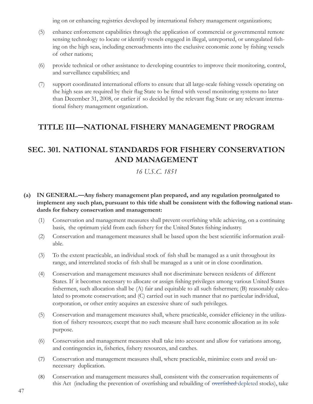ing on or enhancing registries developed by international fishery management organizations;

- (5) enhance enforcement capabilities through the application of commercial or governmental remote sensing technology to locate or identify vessels engaged in illegal, unreported, or unregulated fishing on the high seas, including encroachments into the exclusive economic zone by fishing vessels of other nations;
- (6) provide technical or other assistance to developing countries to improve their monitoring, control, and surveillance capabilities; and
- (7) support coordinated international efforts to ensure that all large-scale fishing vessels operating on the high seas are required by their flag State to be fitted with vessel monitoring systems no later than December 31, 2008, or earlier if so decided by the relevant flag State or any relevant international fishery management organization.

## **TITLE III—NATIONAL FISHERY MANAGEMENT PROGRAM**

## **SEC. 301. NATIONAL STANDARDS FOR FISHERY CONSERVATION AND MANAGEMENT**

*16 U.S.C. 1851*

#### (a) IN GENERAL.—Any fishery management plan prepared, and any regulation promulgated to **implement any such plan, pursuant to this title shall be consistent with the following national stan**dards for fishery conservation and management:

- (1) Conservation and management measures shall prevent overfi shing while achieving, on a continuing basis, the optimum yield from each fishery for the United States fishing industry.
- (2) Conservation and management measures shall be based upon the best scientifi c information available.
- (3) To the extent practicable, an individual stock of fish shall be managed as a unit throughout its range, and interrelated stocks of fish shall be managed as a unit or in close coordination.
- (4) Conservation and management measures shall not discriminate between residents of different States. If it becomes necessary to allocate or assign fishing privileges among various United States fishermen, such allocation shall be (A) fair and equitable to all such fishermen; (B) reasonably calculated to promote conservation; and (C) carried out in such manner that no particular individual, corporation, or other entity acquires an excessive share of such privileges.
- (5) Conservation and management measures shall, where practicable, consider efficiency in the utilization of fishery resources; except that no such measure shall have economic allocation as its sole purpose.
- (6) Conservation and management measures shall take into account and allow for variations among, and contingencies in, fisheries, fishery resources, and catches.
- (7) Conservation and management measures shall, where practicable, minimize costs and avoid unnecessary duplication.
- (8) Conservation and management measures shall, consistent with the conservation requirements of this Act (including the prevention of overfishing and rebuilding of <del>overfished d</del>epleted stocks), take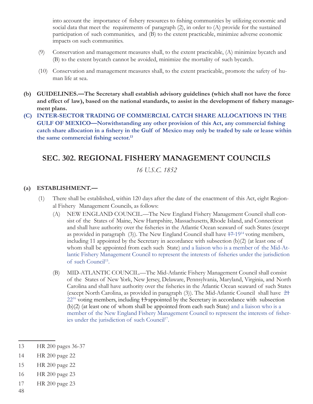into account the importance of fishery resources to fishing communities by utilizing economic and social data that meet the requirements of paragraph (2), in order to (A) provide for the sustained participation of such communities, and (B) to the extent practicable, minimize adverse economic impacts on such communities.

- (9) Conservation and management measures shall, to the extent practicable, (A) minimize bycatch and (B) to the extent bycatch cannot be avoided, minimize the mortality of such bycatch.
- (10) Conservation and management measures shall, to the extent practicable, promote the safety of human life at sea.
- **(b) GUIDELINES.—The Secretary shall establish advisory guidelines (which shall not have the force**  and effect of law), based on the national standards, to assist in the development of fishery manage**ment plans.**
- **(C) INTER-SECTOR TRADING OF COMMERCIAL CATCH SHARE ALLOCATIONS IN THE**  GULF OF MEXICO-Notwithstanding any other provision of this Act, any commercial fishing catch share allocation in a fishery in the Gulf of Mexico may only be traded by sale or lease within the same commercial fishing sector.<sup>13</sup>

## **SEC. 302. REGIONAL FISHERY MANAGEMENT COUNCILS**

#### *16 U.S.C. 1852*

#### **(a) ESTABLISHMENT.—**

- (1) There shall be established, within 120 days after the date of the enactment of this Act, eight Regional Fishery Management Councils, as follows:
	- (A) NEW ENGLAND COUNCIL.—The New England Fishery Management Council shall consist of the States of Maine, New Hampshire, Massachusetts, Rhode Island, and Connecticut and shall have authority over the fisheries in the Atlantic Ocean seaward of such States (except as provided in paragraph (3)). The New England Council shall have  $17-19^{14}$  voting members, including 11 appointed by the Secretary in accordance with subsection (b)(2) (at least one of whom shall be appointed from each such State) and a liaison who is a member of the Mid-Atlantic Fishery Management Council to represent the interests of fisheries under the jurisdiction of such Council<sup>15</sup>.
	- (B) MID-ATLANTIC COUNCIL.—The Mid-Atlantic Fishery Management Council shall consist of the States of New York, New Jersey, Delaware, Pennsylvania, Maryland, Virginia, and North Carolina and shall have authority over the fisheries in the Atlantic Ocean seaward of such States (except North Carolina, as provided in paragraph (3)). The Mid-Atlantic Council shall have 21 22<sup>16</sup> voting members, including 13-appointed by the Secretary in accordance with subsection (b)(2) (at least one of whom shall be appointed from each such State) and a liaison who is a member of the New England Fishery Management Council to represent the interests of fisheries under the jurisdiction of such Council<sup>17</sup>.

- 14 HR 200 page 22
- 15 HR 200 page 22
- 16 HR 200 page 23
- 17 HR 200 page 23
- 48

<sup>13</sup> HR 200 pages 36-37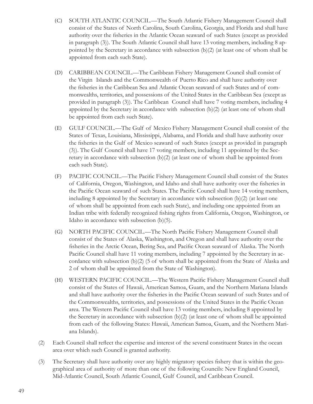- (C) SOUTH ATLANTIC COUNCIL.—The South Atlantic Fishery Management Council shall consist of the States of North Carolina, South Carolina, Georgia, and Florida and shall have authority over the fisheries in the Atlantic Ocean seaward of such States (except as provided in paragraph (3)). The South Atlantic Council shall have 13 voting members, including 8 appointed by the Secretary in accordance with subsection (b)(2) (at least one of whom shall be appointed from each such State).
- (D) CARIBBEAN COUNCIL.—The Caribbean Fishery Management Council shall consist of the Virgin Islands and the Commonwealth of Puerto Rico and shall have authority over the fisheries in the Caribbean Sea and Atlantic Ocean seaward of such States and of commonwealths, territories, and possessions of the United States in the Caribbean Sea (except as provided in paragraph (3)). The Caribbean Council shall have 7 voting members, including 4 appointed by the Secretary in accordance with subsection (b)(2) (at least one of whom shall be appointed from each such State).
- (E) GULF COUNCIL.—The Gulf of Mexico Fishery Management Council shall consist of the States of Texas, Louisiana, Mississippi, Alabama, and Florida and shall have authority over the fisheries in the Gulf of Mexico seaward of such States (except as provided in paragraph (3)). The Gulf Council shall have 17 voting members, including 11 appointed by the Secretary in accordance with subsection (b)(2) (at least one of whom shall be appointed from each such State).
- (F) PACIFIC COUNCIL.—The Pacific Fishery Management Council shall consist of the States of California, Oregon, Washington, and Idaho and shall have authority over the fisheries in the Pacific Ocean seaward of such States. The Pacific Council shall have 14 voting members, including 8 appointed by the Secretary in accordance with subsection  $(b)(2)$  (at least one of whom shall be appointed from each such State), and including one appointed from an Indian tribe with federally recognized fishing rights from California, Oregon, Washington, or Idaho in accordance with subsection (b)(5).
- (G) NORTH PACIFIC COUNCIL.—The North Pacific Fishery Management Council shall consist of the States of Alaska, Washington, and Oregon and shall have authority over the fisheries in the Arctic Ocean, Bering Sea, and Pacific Ocean seaward of Alaska. The North Pacific Council shall have 11 voting members, including 7 appointed by the Secretary in accordance with subsection (b)(2) (5 of whom shall be appointed from the State of Alaska and 2 of whom shall be appointed from the State of Washington).
- (H) WESTERN PACIFIC COUNCIL.—The Western Pacific Fishery Management Council shall consist of the States of Hawaii, American Samoa, Guam, and the Northern Mariana Islands and shall have authority over the fisheries in the Pacific Ocean seaward of such States and of the Commonwealths, territories, and possessions of the United States in the Pacific Ocean area. The Western Pacific Council shall have 13 voting members, including 8 appointed by the Secretary in accordance with subsection (b)(2) (at least one of whom shall be appointed from each of the following States: Hawaii, American Samoa, Guam, and the Northern Mariana Islands).
- (2) Each Council shall reflect the expertise and interest of the several constituent States in the ocean area over which such Council is granted authority.
- (3) The Secretary shall have authority over any highly migratory species fishery that is within the geographical area of authority of more than one of the following Councils: New England Council, Mid-Atlantic Council, South Atlantic Council, Gulf Council, and Caribbean Council.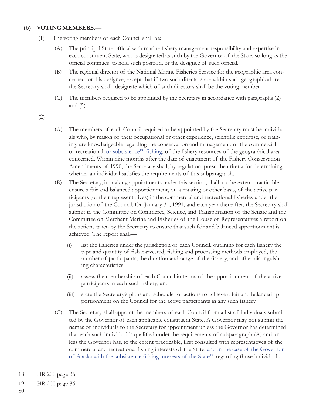#### **(b) VOTING MEMBERS.—**

- (1) The voting members of each Council shall be:
	- (A) The principal State official with marine fishery management responsibility and expertise in each constituent State, who is designated as such by the Governor of the State, so long as the official continues to hold such position, or the designee of such official.
	- (B) The regional director of the National Marine Fisheries Service for the geographic area concerned, or his designee, except that if two such directors are within such geographical area, the Secretary shall designate which of such directors shall be the voting member.
	- (C) The members required to be appointed by the Secretary in accordance with paragraphs (2) and (5).

(2)

- (A) The members of each Council required to be appointed by the Secretary must be individuals who, by reason of their occupational or other experience, scientific expertise, or training, are knowledgeable regarding the conservation and management, or the commercial or recreational, or subsistence<sup>18</sup> fishing, of the fishery resources of the geographical area concerned. Within nine months after the date of enactment of the Fishery Conservation Amendments of 1990, the Secretary shall, by regulation, prescribe criteria for determining whether an individual satisfies the requirements of this subparagraph.
- (B) The Secretary, in making appointments under this section, shall, to the extent practicable, ensure a fair and balanced apportionment, on a rotating or other basis, of the active participants (or their representatives) in the commercial and recreational fisheries under the jurisdiction of the Council. On January 31, 1991, and each year thereafter, the Secretary shall submit to the Committee on Commerce, Science, and Transportation of the Senate and the Committee on Merchant Marine and Fisheries of the House of Representatives a report on the actions taken by the Secretary to ensure that such fair and balanced apportionment is achieved. The report shall—
	- (i) list the fisheries under the jurisdiction of each Council, outlining for each fishery the type and quantity of fish harvested, fishing and processing methods employed, the number of participants, the duration and range of the fishery, and other distinguishing characteristics;
	- (ii) assess the membership of each Council in terms of the apportionment of the active participants in each such fishery; and
	- (iii) state the Secretary's plans and schedule for actions to achieve a fair and balanced apportionment on the Council for the active participants in any such fishery.
- (C) The Secretary shall appoint the members of each Council from a list of individuals submitted by the Governor of each applicable constituent State. A Governor may not submit the names of individuals to the Secretary for appointment unless the Governor has determined that each such individual is qualified under the requirements of subparagraph (A) and unless the Governor has, to the extent practicable, first consulted with representatives of the commercial and recreational fishing interests of the State, and in the case of the Governor of Alaska with the subsistence fishing interests of the State<sup>19</sup>, regarding those individuals.

<sup>18</sup> HR 200 page 36

<sup>19</sup> HR 200 page 36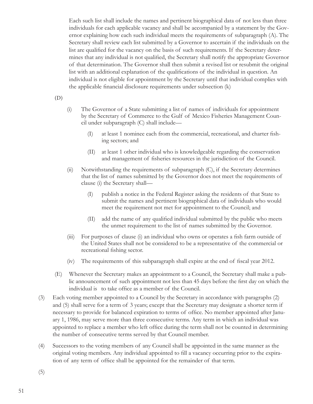Each such list shall include the names and pertinent biographical data of not less than three individuals for each applicable vacancy and shall be accompanied by a statement by the Governor explaining how each such individual meets the requirements of subparagraph (A). The Secretary shall review each list submitted by a Governor to ascertain if the individuals on the list are qualified for the vacancy on the basis of such requirements. If the Secretary determines that any individual is not qualified, the Secretary shall notify the appropriate Governor of that determination. The Governor shall then submit a revised list or resubmit the original list with an additional explanation of the qualifications of the individual in question. An individual is not eligible for appointment by the Secretary until that individual complies with the applicable financial disclosure requirements under subsection (k)

#### (D)

- (i) The Governor of a State submitting a list of names of individuals for appointment by the Secretary of Commerce to the Gulf of Mexico Fisheries Management Council under subparagraph (C) shall include—
	- (I) at least 1 nominee each from the commercial, recreational, and charter fishing sectors; and
	- (II) at least 1 other individual who is knowledgeable regarding the conservation and management of fisheries resources in the jurisdiction of the Council.
- (ii) Notwithstanding the requirements of subparagraph (C), if the Secretary determines that the list of names submitted by the Governor does not meet the requirements of clause (i) the Secretary shall—
	- (I) publish a notice in the Federal Register asking the residents of that State to submit the names and pertinent biographical data of individuals who would meet the requirement not met for appointment to the Council; and
	- (II) add the name of any qualified individual submitted by the public who meets the unmet requirement to the list of names submitted by the Governor.
- $(iii)$  For purposes of clause  $(i)$  an individual who owns or operates a fish farm outside of the United States shall not be considered to be a representative of the commercial or recreational fishing sector.
- $(iv)$  The requirements of this subparagraph shall expire at the end of fiscal year 2012.
- (E) Whenever the Secretary makes an appointment to a Council, the Secretary shall make a public announcement of such appointment not less than 45 days before the first day on which the individual is to take office as a member of the Council.
- (3) Each voting member appointed to a Council by the Secretary in accordance with paragraphs (2) and (5) shall serve for a term of 3 years; except that the Secretary may designate a shorter term if necessary to provide for balanced expiration to terms of office. No member appointed after January 1, 1986, may serve more than three consecutive terms. Any term in which an individual was appointed to replace a member who left office during the term shall not be counted in determining the number of consecutive terms served by that Council member.
- (4) Successors to the voting members of any Council shall be appointed in the same manner as the original voting members. Any individual appointed to fill a vacancy occurring prior to the expiration of any term of office shall be appointed for the remainder of that term.

(5)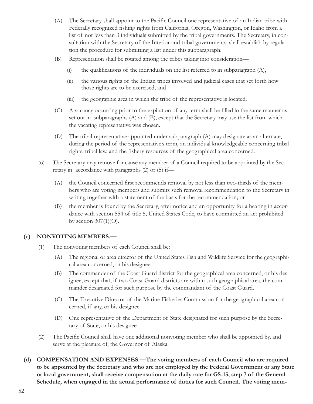- (A) The Secretary shall appoint to the Pacific Council one representative of an Indian tribe with Federally recognized fishing rights from California, Oregon, Washington, or Idaho from a list of not less than 3 individuals submitted by the tribal governments. The Secretary, in consultation with the Secretary of the Interior and tribal governments, shall establish by regulation the procedure for submitting a list under this subparagraph.
- (B) Representation shall be rotated among the tribes taking into consideration—
	- (i) the qualifications of the individuals on the list referred to in subparagraph  $(A)$ ,
	- (ii) the various rights of the Indian tribes involved and judicial cases that set forth how those rights are to be exercised, and
	- (iii) the geographic area in which the tribe of the representative is located.
- (C) A vacancy occurring prior to the expiration of any term shall be filled in the same manner as set out in subparagraphs (A) and (B), except that the Secretary may use the list from which the vacating representative was chosen.
- (D) The tribal representative appointed under subparagraph (A) may designate as an alternate, during the period of the representative's term, an individual knowledgeable concerning tribal rights, tribal law, and the fishery resources of the geographical area concerned.
- (6) The Secretary may remove for cause any member of a Council required to be appointed by the Secretary in accordance with paragraphs (2) or (5) if—
	- (A) the Council concerned first recommends removal by not less than two-thirds of the members who are voting members and submits such removal recommendation to the Secretary in writing together with a statement of the basis for the recommendation; or
	- (B) the member is found by the Secretary, after notice and an opportunity for a hearing in accordance with section 554 of title 5, United States Code, to have committed an act prohibited by section  $307(1)(O)$ .

#### **(c) NONVOTING MEMBERS.—**

- (1) The nonvoting members of each Council shall be:
	- (A) The regional or area director of the United States Fish and Wildlife Service for the geographical area concerned, or his designee.
	- (B) The commander of the Coast Guard district for the geographical area concerned, or his designee; except that, if two Coast Guard districts are within such geographical area, the commander designated for such purpose by the commandant of the Coast Guard.
	- (C) The Executive Director of the Marine Fisheries Commission for the geographical area concerned, if any, or his designee.
	- (D) One representative of the Department of State designated for such purpose by the Secretary of State, or his designee.
- (2) The Pacific Council shall have one additional nonvoting member who shall be appointed by, and serve at the pleasure of, the Governor of Alaska.
- **(d) COMPENSATION AND EXPENSES.—The voting members of each Council who are required to be appointed by the Secretary and who are not employed by the Federal Government or any State or local government, shall receive compensation at the daily rate for GS-15, step 7 of the General Schedule, when engaged in the actual performance of duties for such Council. The voting mem-**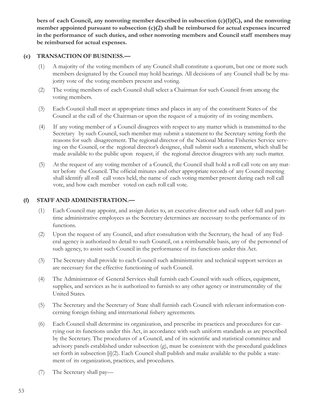**bers of each Council, any nonvoting member described in subsection (c)(1)(C), and the nonvoting member appointed pursuant to subsection (c)(2) shall be reimbursed for actual expenses incurred in the performance of such duties, and other nonvoting members and Council staff members may be reimbursed for actual expenses.**

#### **(e) TRANSACTION OF BUSINESS.—**

- (1) A majority of the voting members of any Council shall constitute a quorum, but one or more such members designated by the Council may hold hearings. All decisions of any Council shall be by majority vote of the voting members present and voting.
- (2) The voting members of each Council shall select a Chairman for such Council from among the voting members.
- (3) Each Council shall meet at appropriate times and places in any of the constituent States of the Council at the call of the Chairman or upon the request of a majority of its voting members.
- (4) If any voting member of a Council disagrees with respect to any matter which is transmitted to the Secretary by such Council, such member may submit a statement to the Secretary setting forth the reasons for such disagreement. The regional director of the National Marine Fisheries Service serving on the Council, or the regional director's designee, shall submit such a statement, which shall be made available to the public upon request, if the regional director disagrees with any such matter.
- (5) At the request of any voting member of a Council, the Council shall hold a roll call vote on any matter before the Council. The official minutes and other appropriate records of any Council meeting shall identify all roll call votes held, the name of each voting member present during each roll call vote, and how each member voted on each roll call vote.

#### **(f) STAFF AND ADMINISTRATION.—**

- (1) Each Council may appoint, and assign duties to, an executive director and such other full and parttime administrative employees as the Secretary determines are necessary to the performance of its functions.
- (2) Upon the request of any Council, and after consultation with the Secretary, the head of any Federal agency is authorized to detail to such Council, on a reimbursable basis, any of the personnel of such agency, to assist such Council in the performance of its functions under this Act.
- (3) The Secretary shall provide to each Council such administrative and technical support services as are necessary for the effective functioning of such Council.
- (4) The Administrator of General Services shall furnish each Council with such offices, equipment, supplies, and services as he is authorized to furnish to any other agency or instrumentality of the United States.
- (5) The Secretary and the Secretary of State shall furnish each Council with relevant information concerning foreign fishing and international fishery agreements.
- (6) Each Council shall determine its organization, and prescribe its practices and procedures for carrying out its functions under this Act, in accordance with such uniform standards as are prescribed by the Secretary. The procedures of a Council, and of its scientific and statistical committee and advisory panels established under subsection (g), must be consistent with the procedural guidelines set forth in subsection [i](2). Each Council shall publish and make available to the public a statement of its organization, practices, and procedures.
- (7) The Secretary shall pay—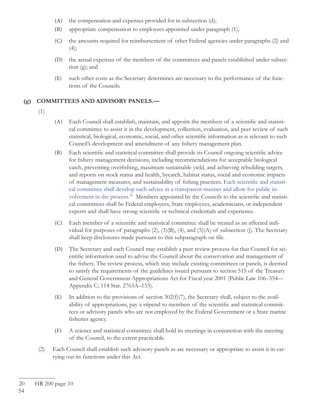- (A) the compensation and expenses provided for in subsection (d);
- (B) appropriate compensation to employees appointed under paragraph (1);
- (C) the amounts required for reimbursement of other Federal agencies under paragraphs (2) and  $(4);$
- (D) the actual expenses of the members of the committees and panels established under subsection (g); and
- (E) such other costs as the Secretary determines are necessary to the performance of the functions of the Councils.

#### **(g) COMMITTEES AND ADVISORY PANELS.—**

- (1)
- (A) Each Council shall establish, maintain, and appoint the members of a scientific and statistical committee to assist it in the development, collection, evaluation, and peer review of such statistical, biological, economic, social, and other scientific information as is relevant to such Council's development and amendment of any fishery management plan.
- (B) Each scientific and statistical committee shall provide its Council ongoing scientific advice for fishery management decisions, including recommendations for acceptable biological catch, preventing overfishing, maximum sustainable yield, and achieving rebuilding targets, and reports on stock status and health, bycatch, habitat status, social and economic impacts of management measures, and sustainability of fishing practices. Each scientific and statistical committee shall develop such advice in a transparent manner and allow for public involvement in the process.<sup>20</sup> Members appointed by the Councils to the scientific and statistical committees shall be Federal employees, State employees, academicians, or independent experts and shall have strong scientific or technical credentials and experience.
- (C) Each member of a scientific and statistical committee shall be treated as an affected individual for purposes of paragraphs  $(2)$ ,  $(3)(B)$ ,  $(4)$ , and  $(5)(A)$  of subsection (j). The Secretary shall keep disclosures made pursuant to this subparagraph on file.
- (D) The Secretary and each Council may establish a peer review process for that Council for scientific information used to advise the Council about the conservation and management of the fishery. The review process, which may include existing committees or panels, is deemed to satisfy the requirements of the guidelines issued pursuant to section 515 of the Treasury and General Government Appropriations Act for Fiscal year 2001 (Public Law 106–554— Appendix C; 114 Stat. 2763A–153).
- (E) In addition to the provisions of section 302(f)(7), the Secretary shall, subject to the availability of appropriations, pay a stipend to members of the scientific and statistical committees or advisory panels who are not employed by the Federal Government or a State marine fisheries agency.
- (F) A science and statistical committee shall hold its meetings in conjunction with the meeting of the Council, to the extent practicable.
- (2) Each Council shall establish such advisory panels as are necessary or appropriate to assist it in carrying out its functions under this Act.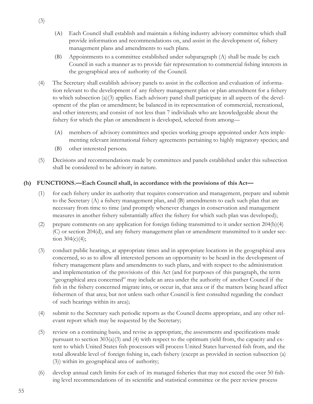- (A) Each Council shall establish and maintain a fishing industry advisory committee which shall provide information and recommendations on, and assist in the development of, fishery management plans and amendments to such plans.
- (B) Appointments to a committee established under subparagraph (A) shall be made by each Council in such a manner as to provide fair representation to commercial fishing interests in the geographical area of authority of the Council.
- (4) The Secretary shall establish advisory panels to assist in the collection and evaluation of information relevant to the development of any fishery management plan or plan amendment for a fishery to which subsection (a)(3) applies. Each advisory panel shall participate in all aspects of the development of the plan or amendment; be balanced in its representation of commercial, recreational, and other interests; and consist of not less than 7 individuals who are knowledgeable about the fishery for which the plan or amendment is developed, selected from among—
	- (A) members of advisory committees and species working groups appointed under Acts implementing relevant international fishery agreements pertaining to highly migratory species; and
	- (B) other interested persons.
- (5) Decisions and recommendations made by committees and panels established under this subsection shall be considered to be advisory in nature.

### **(h) FUNCTIONS.—Each Council shall, in accordance with the provisions of this Act—**

- (1) for each fishery under its authority that requires conservation and management, prepare and submit to the Secretary  $(A)$  a fishery management plan, and  $(B)$  amendments to each such plan that are necessary from time to time (and promptly whenever changes in conservation and management measures in another fishery substantially affect the fishery for which such plan was developed);
- (2) prepare comments on any application for foreign fishing transmitted to it under section  $204(b)(4)$ (C) or section 204(d), and any fishery management plan or amendment transmitted to it under section  $304(c)(4)$ ;
- (3) conduct public hearings, at appropriate times and in appropriate locations in the geographical area concerned, so as to allow all interested persons an opportunity to be heard in the development of fishery management plans and amendments to such plans, and with respect to the administration and implementation of the provisions of this Act (and for purposes of this paragraph, the term "geographical area concerned" may include an area under the authority of another Council if the fish in the fishery concerned migrate into, or occur in, that area or if the matters being heard affect fishermen of that area; but not unless such other Council is first consulted regarding the conduct of such hearings within its area);
- (4) submit to the Secretary such periodic reports as the Council deems appropriate, and any other relevant report which may be requested by the Secretary;
- (5) review on a continuing basis, and revise as appropriate, the assessments and specifications made pursuant to section 303(a)(3) and (4) with respect to the optimum yield from, the capacity and extent to which United States fish processors will process United States harvested fish from, and the total allowable level of foreign fishing in, each fishery (except as provided in section subsection (a) (3)) within its geographical area of authority;
- $(6)$  develop annual catch limits for each of its managed fisheries that may not exceed the over 50 fishing level recommendations of its scientific and statistical committee or the peer review process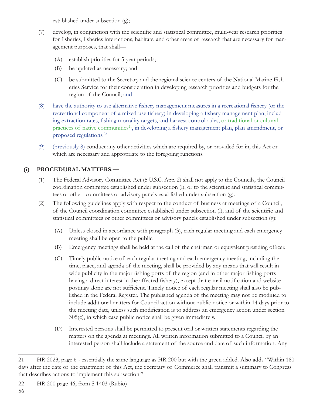established under subsection (g);

- (7) develop, in conjunction with the scientific and statistical committee, multi-year research priorities for fisheries, fisheries interactions, habitats, and other areas of research that are necessary for management purposes, that shall—
	- (A) establish priorities for 5-year periods;
	- (B) be updated as necessary; and
	- (C) be submitted to the Secretary and the regional science centers of the National Marine Fisheries Service for their consideration in developing research priorities and budgets for the region of the Council; and
- (8) have the authority to use alternative fishery management measures in a recreational fishery (or the recreational component of a mixed-use fishery) in developing a fishery management plan, including extraction rates, fishing mortality targets, and harvest control rules, or traditional or cultural practices of native communities<sup>21</sup>, in developing a fishery management plan, plan amendment, or proposed regulations.22
- (9) (previously 8) conduct any other activities which are required by, or provided for in, this Act or which are necessary and appropriate to the foregoing functions.

### **(i) PROCEDURAL MATTERS.—**

- (1) The Federal Advisory Committee Act (5 U.S.C. App. 2) shall not apply to the Councils, the Council coordination committee established under subsection (l), or to the scientific and statistical committees or other committees or advisory panels established under subsection (g).
- (2) The following guidelines apply with respect to the conduct of business at meetings of a Council, of the Council coordination committee established under subsection (l), and of the scientific and statistical committees or other committees or advisory panels established under subsection (g):
	- (A) Unless closed in accordance with paragraph (3), each regular meeting and each emergency meeting shall be open to the public.
	- (B) Emergency meetings shall be held at the call of the chairman or equivalent presiding officer.
	- (C) Timely public notice of each regular meeting and each emergency meeting, including the time, place, and agenda of the meeting, shall be provided by any means that will result in wide publicity in the major fishing ports of the region (and in other major fishing ports having a direct interest in the affected fishery), except that e-mail notification and website postings alone are not sufficient. Timely notice of each regular meeting shall also be published in the Federal Register. The published agenda of the meeting may not be modified to include additional matters for Council action without public notice or within 14 days prior to the meeting date, unless such modification is to address an emergency action under section 305(c), in which case public notice shall be given immediately.
	- (D) Interested persons shall be permitted to present oral or written statements regarding the matters on the agenda at meetings. All written information submitted to a Council by an interested person shall include a statement of the source and date of such information. Any

22 HR 200 page 46, from S 1403 (Rubio)

<sup>21</sup> HR 2023, page 6 - essentially the same language as HR 200 but with the green added. Also adds "Within 180 days after the date of the enactment of this Act, the Secretary of Commerce shall transmit a summary to Congress that describes actions to implement this subsection."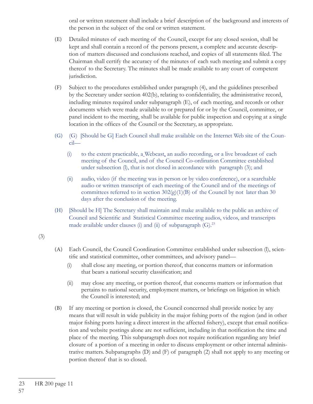oral or written statement shall include a brief description of the background and interests of the person in the subject of the oral or written statement.

- (E) Detailed minutes of each meeting of the Council, except for any closed session, shall be kept and shall contain a record of the persons present, a complete and accurate description of matters discussed and conclusions reached, and copies of all statements filed. The Chairman shall certify the accuracy of the minutes of each such meeting and submit a copy thereof to the Secretary. The minutes shall be made available to any court of competent jurisdiction.
- (F) Subject to the procedures established under paragraph (4), and the guidelines prescribed by the Secretary under section 402(b), relating to confidentiality, the administrative record, including minutes required under subparagraph (E), of each meeting, and records or other documents which were made available to or prepared for or by the Council, committee, or panel incident to the meeting, shall be available for public inspection and copying at a single location in the offices of the Council or the Secretary, as appropriate.
- (G) (G) [Should be G] Each Council shall make available on the Internet Web site of the Council—
	- (i) to the extent practicable, a Webcast, an audio recording, or a live broadcast of each meeting of the Council, and of the Council Co-ordination Committee established under subsection (l), that is not closed in accordance with paragraph (3); and
	- (ii) audio, video (if the meeting was in person or by video conference), or a searchable audio or written transcript of each meeting of the Council and of the meetings of committees referred to in section  $302(g)(1)(B)$  of the Council by not later than 30 days after the conclusion of the meeting.
- (H) [Should be H] The Secretary shall maintain and make available to the public an archive of Council and Scientific and Statistical Committee meeting audios, videos, and transcripts made available under clauses (i) and (ii) of subparagraph  $(G)$ .<sup>23</sup>

(3)

- (A) Each Council, the Council Coordination Committee established under subsection (l), scientific and statistical committee, other committees, and advisory panel—
	- (i) shall close any meeting, or portion thereof, that concerns matters or information that bears a national security classification; and
	- (ii) may close any meeting, or portion thereof, that concerns matters or information that pertains to national security, employment matters, or briefings on litigation in which the Council is interested; and
- (B) If any meeting or portion is closed, the Council concerned shall provide notice by any means that will result in wide publicity in the major fishing ports of the region (and in other major fishing ports having a direct interest in the affected fishery), except that email notification and website postings alone are not sufficient, including in that notification the time and place of the meeting. This subparagraph does not require notification regarding any brief closure of a portion of a meeting in order to discuss employment or other internal administrative matters. Subparagraphs (D) and (F) of paragraph (2) shall not apply to any meeting or portion thereof that is so closed.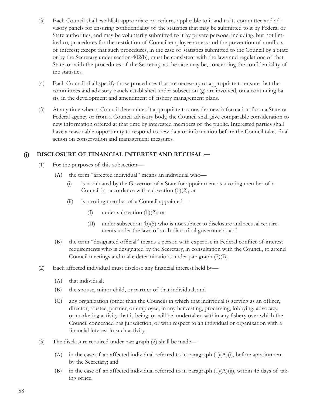- (3) Each Council shall establish appropriate procedures applicable to it and to its committee and advisory panels for ensuring confidentiality of the statistics that may be submitted to it by Federal or State authorities, and may be voluntarily submitted to it by private persons; including, but not limited to, procedures for the restriction of Council employee access and the prevention of conflicts of interest; except that such procedures, in the case of statistics submitted to the Council by a State or by the Secretary under section 402(b), must be consistent with the laws and regulations of that State, or with the procedures of the Secretary, as the case may be, concerning the confidentiality of the statistics.
- (4) Each Council shall specify those procedures that are necessary or appropriate to ensure that the committees and advisory panels established under subsection (g) are involved, on a continuing basis, in the development and amendment of fishery management plans.
- (5) At any time when a Council determines it appropriate to consider new information from a State or Federal agency or from a Council advisory body, the Council shall give comparable consideration to new information offered at that time by interested members of the public. Interested parties shall have a reasonable opportunity to respond to new data or information before the Council takes final action on conservation and management measures.

#### **(j) DISCLOSURE OF FINANCIAL INTEREST AND RECUSAL.—**

- (1) For the purposes of this subsection—
	- (A) the term "affected individual" means an individual who—
		- (i) is nominated by the Governor of a State for appointment as a voting member of a Council in accordance with subsection (b)(2); or
		- (ii) is a voting member of a Council appointed—
			- (I) under subsection (b)(2); or
			- (II) under subsection (b)(5) who is not subject to disclosure and recusal requirements under the laws of an Indian tribal government; and
	- (B) the term "designated official" means a person with expertise in Federal conflict-of-interest requirements who is designated by the Secretary, in consultation with the Council, to attend Council meetings and make determinations under paragraph (7)(B)
- $(2)$  Each affected individual must disclose any financial interest held by—
	- (A) that individual;
	- (B) the spouse, minor child, or partner of that individual; and
	- (C) any organization (other than the Council) in which that individual is serving as an officer, director, trustee, partner, or employee; in any harvesting, processing, lobbying, advocacy, or marketing activity that is being, or will be, undertaken within any fishery over which the Council concerned has jurisdiction, or with respect to an individual or organization with a financial interest in such activity.
- (3) The disclosure required under paragraph (2) shall be made—
	- (A) in the case of an affected individual referred to in paragraph  $(1)(A)(i)$ , before appointment by the Secretary; and
	- (B) in the case of an affected individual referred to in paragraph  $(1)(A)(ii)$ , within 45 days of taking office.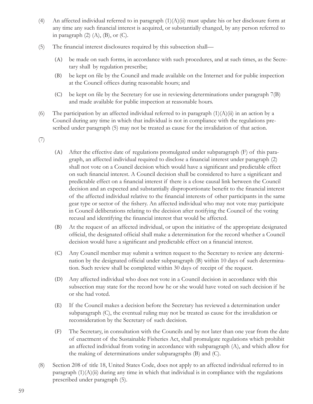- (4) An affected individual referred to in paragraph  $(1)(A)(ii)$  must update his or her disclosure form at any time any such financial interest is acquired, or substantially changed, by any person referred to in paragraph  $(2)$   $(A)$ ,  $(B)$ , or  $(C)$ .
- (5) The financial interest disclosures required by this subsection shall—
	- (A) be made on such forms, in accordance with such procedures, and at such times, as the Secretary shall by regulation prescribe;
	- (B) be kept on file by the Council and made available on the Internet and for public inspection at the Council offices during reasonable hours; and
	- (C) be kept on file by the Secretary for use in reviewing determinations under paragraph  $7(B)$ and made available for public inspection at reasonable hours.
- (6) The participation by an affected individual referred to in paragraph  $(1)(A)(ii)$  in an action by a Council during any time in which that individual is not in compliance with the regulations prescribed under paragraph (5) may not be treated as cause for the invalidation of that action.
- (7)
- (A) After the effective date of regulations promulgated under subparagraph (F) of this paragraph, an affected individual required to disclose a financial interest under paragraph (2) shall not vote on a Council decision which would have a significant and predictable effect on such financial interest. A Council decision shall be considered to have a significant and predictable effect on a financial interest if there is a close causal link between the Council decision and an expected and substantially disproportionate benefit to the financial interest of the affected individual relative to the financial interests of other participants in the same gear type or sector of the fishery. An affected individual who may not vote may participate in Council deliberations relating to the decision after notifying the Council of the voting recusal and identifying the financial interest that would be affected.
- (B) At the request of an affected individual, or upon the initiative of the appropriate designated official, the designated official shall make a determination for the record whether a Council decision would have a significant and predictable effect on a financial interest.
- (C) Any Council member may submit a written request to the Secretary to review any determination by the designated official under subparagraph (B) within 10 days of such determination. Such review shall be completed within 30 days of receipt of the request.
- (D) Any affected individual who does not vote in a Council decision in accordance with this subsection may state for the record how he or she would have voted on such decision if he or she had voted.
- (E) If the Council makes a decision before the Secretary has reviewed a determination under subparagraph (C), the eventual ruling may not be treated as cause for the invalidation or reconsideration by the Secretary of such decision.
- (F) The Secretary, in consultation with the Councils and by not later than one year from the date of enactment of the Sustainable Fisheries Act, shall promulgate regulations which prohibit an affected individual from voting in accordance with subparagraph (A), and which allow for the making of determinations under subparagraphs (B) and (C).
- (8) Section 208 of title 18, United States Code, does not apply to an affected individual referred to in paragraph  $(1)(A)(ii)$  during any time in which that individual is in compliance with the regulations prescribed under paragraph (5).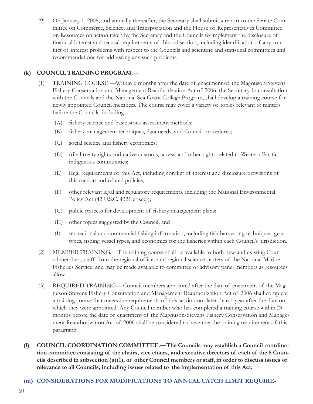(9) On January 1, 2008, and annually thereafter, the Secretary shall submit a report to the Senate Committee on Commerce, Science, and Transportation and the House of Representatives Committee on Resources on action taken by the Secretary and the Councils to implement the disclosure of financial interest and recusal requirements of this subsection, including identification of any conflict of interest problems with respect to the Councils and scientific and statistical committees and recommendations for addressing any such problems.

### **(k) COUNCIL TRAINING PROGRAM.—**

- (1) TRAINING COURSE.—Within 6 months after the date of enactment of the Magnuson-Stevens Fishery Conservation and Management Reauthorization Act of 2006, the Secretary, in consultation with the Councils and the National Sea Grant College Program, shall develop a training course for newly appointed Council members. The course may cover a variety of topics relevant to matters before the Councils, including—
	- (A) fishery science and basic stock assessment methods;
	- (B) fi shery management techniques, data needs, and Council procedures;
	- (C) social science and fishery economics;
	- (D) tribal treaty rights and native customs, access, and other rights related to Western Pacific indigenous communities;
	- (E) legal requirements of this Act, including conflict of interest and disclosure provisions of this section and related policies;
	- (F) other relevant legal and regulatory requirements, including the National Environmental Policy Act (42 U.S.C. 4321 et seq.);
	- (G) public process for development of fishery management plans;
	- (H) other topics suggested by the Council; and
	- (I) recreational and commercial fishing information, including fish harvesting techniques, gear types, fishing vessel types, and economics for the fisheries within each Council's jurisdiction.
- (2) MEMBER TRAINING.—The training course shall be available to both new and existing Council members, staff from the regional offices and regional science centers of the National Marine Fisheries Service, and may be made available to committee or advisory panel members as resources allow.
- (3) REQUIRED TRAINING.—Council members appointed after the date of enactment of the Magnuson-Stevens Fishery Conservation and Management Reauthorization Act of 2006 shall complete a training course that meets the requirements of this section not later than 1 year after the date on which they were appointed. Any Council member who has completed a training course within 24 months before the date of enactment of the Magnuson-Stevens Fishery Conservation and Management Reauthorization Act of 2006 shall be considered to have met the training requirement of this paragraph.
- **(l) COUNCIL COORDINATION COMMITTEE.—The Councils may establish a Council coordination committee consisting of the chairs, vice chairs, and executive directors of each of the 8 Councils described in subsection (a)(1), or other Council members or staff, in order to discuss issues of relevance to all Councils, including issues related to the implementation of this Act.**

#### **(m) CONSIDERATIONS FOR MODIFICATIONS TO ANNUAL CATCH LIMIT REQUIRE-**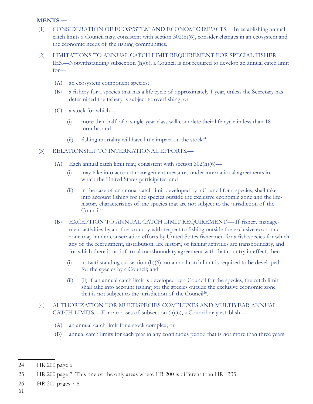#### **MENTS.—**

- (1) CONSIDERATION OF ECOSYSTEM AND ECONOMIC IMPACTS.—In establishing annual catch limits a Council may, consistent with section 302(h)(6), consider changes in an ecosystem and the economic needs of the fishing communities.
- (2) LIMITATIONS TO ANNUAL CATCH LIMIT REQUIREMENT FOR SPECIAL FISHER-IES.—Notwithstanding subsection (h)(6), a Council is not required to develop an annual catch limit for—
	- (A) an ecosystem component species;
	- (B) a fi shery for a species that has a life cycle of approximately 1 year, unless the Secretary has determined the fishery is subject to overfishing; or
	- (C) a stock for which—
		- (i) more than half of a single-year class will complete their life cycle in less than 18 months; and
		- (ii) fishing mortality will have little impact on the stock<sup>24</sup>.

#### (3) RELATIONSHIP TO INTERNATIONAL EFFORTS.—

- (A) Each annual catch limit may, consistent with section 302(h)(6)—
	- (i) may take into account management measures under international agreements in which the United States participates; and
	- (ii) in the case of an annual catch limit developed by a Council for a species, shall take into account fishing for the species outside the exclusive economic zone and the lifehistory characteristics of the species that are not subject to the jurisdiction of the Council<sup>25</sup>.
- (B) EXCEPTION TO ANNUAL CATCH LIMIT REQUIREMENT.— If fishery management activities by another country with respect to fishing outside the exclusive economic zone may hinder conservation efforts by United States fishermen for a fish species for which any of the recruitment, distribution, life history, or fishing activities are transboundary, and for which there is no informal transboundary agreement with that country in effect, then—
	- (i) notwithstanding subsection  $(h)(6)$ , no annual catch limit is required to be developed for the species by a Council; and
	- (ii) (ii) if an annual catch limit is developed by a Council for the species, the catch limit shall take into account fishing for the species outside the exclusive economic zone that is not subject to the jurisdiction of the Council<sup>26</sup>.
- (4) AUTHORIZATION FOR MULTISPECIES COMPLEXES AND MULTIYEAR ANNUAL CATCH LIMITS.—For purposes of subsection (h)(6), a Council may establish—
	- (A) an annual catch limit for a stock complex; or
	- (B) annual catch limits for each year in any continuous period that is not more than three years

26 HR 200 pages 7-8

61

<sup>24</sup> HR 200 page 6

<sup>25</sup> HR 200 page 7. This one of the only areas where HR 200 is different than HR 1335.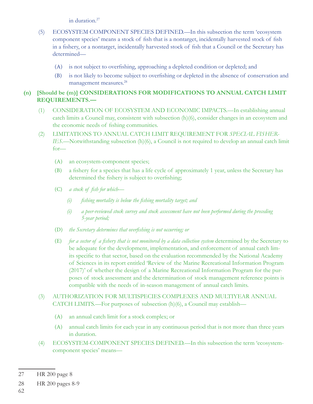in duration.<sup>27</sup>

- (5) ECOSYSTEM COMPONENT SPECIES DEFINED.—In this subsection the term 'ecosystem component species' means a stock of fish that is a nontarget, incidentally harvested stock of fish in a fishery, or a nontarget, incidentally harvested stock of fish that a Council or the Secretary has determined—
	- (A) is not subject to overfishing, approaching a depleted condition or depleted; and
	- (B) is not likely to become subject to overfishing or depleted in the absence of conservation and management measures.28

### **(n) [Should be (m)] CONSIDERATIONS FOR MODIFICATIONS TO ANNUAL CATCH LIMIT REQUIREMENTS.—**

- (1) CONSIDERATION OF ECOSYSTEM AND ECONOMIC IMPACTS.—In establishing annual catch limits a Council may, consistent with subsection (h)(6), consider changes in an ecosystem and the economic needs of fishing communities.
- (2) LIMITATIONS TO ANNUAL CATCH LIMIT REQUIREMENT FOR *SPECIAL FISHER-IES*.—Notwithstanding subsection (h)(6), a Council is not required to develop an annual catch limit for—
	- (A) an ecosystem-component species;
	- (B) a fi shery for a species that has a life cycle of approximately 1 year, unless the Secretary has determined the fishery is subject to overfishing;
	- (C) *a stock of fish for which*
		- *(i) fi shing mortality is below the fi shing mortality target; and*
		- *(i) a peer-reviewed stock survey and stock assessment have not been performed during the preceding 5-year period;*
	- (D) *the Secretary determines that overfi shing is not occurring; or*
	- (E) *for a sector of a fi shery that is not monitored by a data collection system* determined by the Secretary to be adequate for the development, implementation, and enforcement of annual catch limits specific to that sector, based on the evaluation recommended by the National Academy of Sciences in its report entitled 'Review of the Marine Recreational Information Program (2017)' of whether the design of a Marine Recreational Information Program for the purposes of stock assessment and the determination of stock management reference points is compatible with the needs of in-season management of annual catch limits.
- (3) AUTHORIZATION FOR MULTISPECIES COMPLEXES AND MULTIYEAR ANNUAL CATCH LIMITS.—For purposes of subsection (h)(6), a Council may establish—
	- (A) an annual catch limit for a stock complex; or
	- (A) annual catch limits for each year in any continuous period that is not more than three years in duration.
- (4) ECOSYSTEM-COMPONENT SPECIES DEFINED.—In this subsection the term 'ecosystemcomponent species' means—

62

<sup>27</sup> HR 200 page 8

<sup>28</sup> HR 200 pages 8-9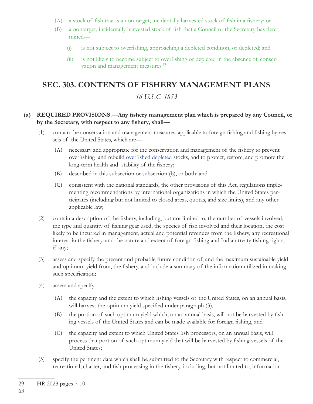- $(A)$  a stock of fish that is a non-target, incidentally harvested stock of fish in a fishery; or
- (B) a nontarget, incidentally harvested stock of fish that a Council or the Secretary has determined—
	- (i) is not subject to overfishing, approaching a depleted condition, or depleted; and
	- $(ii)$  is not likely to become subject to overfishing or depleted in the absence of conservation and management measures.<sup>29</sup>

## **SEC. 303. CONTENTS OF FISHERY MANAGEMENT PLANS**

### *16 U.S.C. 1853*

#### (a) REQUIRED PROVISIONS.—Any fishery management plan which is prepared by any Council, or by the Secretary, with respect to any fishery, shall-

- (1) contain the conservation and management measures, applicable to foreign fishing and fishing by vessels of the United States, which are—
	- (A) necessary and appropriate for the conservation and management of the fishery to prevent overfishing and rebuild overfished depleted stocks, and to protect, restore, and promote the long-term health and stability of the fishery;
	- (B) described in this subsection or subsection (b), or both; and
	- (C) consistent with the national standards, the other provisions of this Act, regulations implementing recommendations by international organizations in which the United States participates (including but not limited to closed areas, quotas, and size limits), and any other applicable law;
- (2) contain a description of the fishery, including, but not limited to, the number of vessels involved, the type and quantity of fishing gear used, the species of fish involved and their location, the cost likely to be incurred in management, actual and potential revenues from the fishery, any recreational interest in the fishery, and the nature and extent of foreign fishing and Indian treaty fishing rights, if any;
- (3) assess and specify the present and probable future condition of, and the maximum sustainable yield and optimum yield from, the fishery, and include a summary of the information utilized in making such specification;
- (4) assess and specify—
	- (A) the capacity and the extent to which fishing vessels of the United States, on an annual basis, will harvest the optimum yield specified under paragraph (3),
	- (B) the portion of such optimum yield which, on an annual basis, will not be harvested by fishing vessels of the United States and can be made available for foreign fishing, and
	- (C) the capacity and extent to which United States fish processors, on an annual basis, will process that portion of such optimum yield that will be harvested by fishing vessels of the United States;
- (5) specify the pertinent data which shall be submitted to the Secretary with respect to commercial, recreational, charter, and fish processing in the fishery, including, but not limited to, information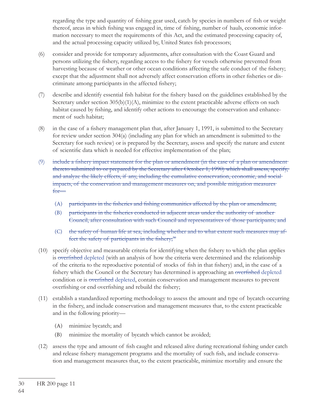regarding the type and quantity of fishing gear used, catch by species in numbers of fish or weight thereof, areas in which fishing was engaged in, time of fishing, number of hauls, economic information necessary to meet the requirements of this Act, and the estimated processing capacity of, and the actual processing capacity utilized by, United States fish processors;

- (6) consider and provide for temporary adjustments, after consultation with the Coast Guard and persons utilizing the fishery, regarding access to the fishery for vessels otherwise prevented from harvesting because of weather or other ocean conditions affecting the safe conduct of the fishery; except that the adjustment shall not adversely affect conservation efforts in other fisheries or discriminate among participants in the affected fishery;
- (7) describe and identify essential fish habitat for the fishery based on the guidelines established by the Secretary under section 305(b)(1)(A), minimize to the extent practicable adverse effects on such habitat caused by fishing, and identify other actions to encourage the conservation and enhancement of such habitat;
- $(8)$  in the case of a fishery management plan that, after January 1, 1991, is submitted to the Secretary for review under section 304(a) (including any plan for which an amendment is submitted to the Secretary for such review) or is prepared by the Secretary, assess and specify the nature and extent of scientific data which is needed for effective implementation of the plan;
- (9) include a fishery impact statement for the plan or amendment (in the case of a plan or amendment thereto submitted to or prepared by the Secretary after October 1, 1990) which shall assess, specify, and analyze the likely effects, if any, including the cumulative conservation, economic, and social impacts, of the conservation and management measures on, and possible mitigation measures for—
	- (A) participants in the fisheries and fishing communities affected by the plan or amendment;
	- (B) participants in the fisheries conducted in adjacent areas under the authority of another Council, after consultation with such Council and representatives of those participants; and
	- (C) the safety of human life at sea, including whether and to what extent such measures may affect the safety of participants in the fishery; $30$
- (10) specify objective and measurable criteria for identifying when the fishery to which the plan applies is overfished depleted (with an analysis of how the criteria were determined and the relationship of the criteria to the reproductive potential of stocks of fish in that fishery) and, in the case of a fishery which the Council or the Secretary has determined is approaching an overfished depleted condition or is overfished depleted, contain conservation and management measures to prevent overfishing or end overfishing and rebuild the fishery;
- (11) establish a standardized reporting methodology to assess the amount and type of bycatch occurring in the fishery, and include conservation and management measures that, to the extent practicable and in the following priority—
	- (A) minimize bycatch; and
	- (B) minimize the mortality of bycatch which cannot be avoided;
- (12) assess the type and amount of fish caught and released alive during recreational fishing under catch and release fishery management programs and the mortality of such fish, and include conservation and management measures that, to the extent practicable, minimize mortality and ensure the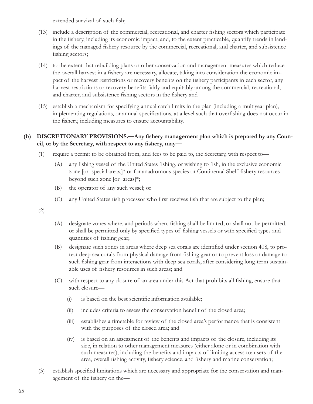extended survival of such fish;

- (13) include a description of the commercial, recreational, and charter fi shing sectors which participate in the fishery, including its economic impact, and, to the extent practicable, quantify trends in landings of the managed fishery resource by the commercial, recreational, and charter, and subsistence fishing sectors;
- (14) to the extent that rebuilding plans or other conservation and management measures which reduce the overall harvest in a fishery are necessary, allocate, taking into consideration the economic impact of the harvest restrictions or recovery benefits on the fishery participants in each sector, any harvest restrictions or recovery benefits fairly and equitably among the commercial, recreational, and charter, and subsistence fishing sectors in the fishery and
- (15) establish a mechanism for specifying annual catch limits in the plan (including a multiyear plan), implementing regulations, or annual specifications, at a level such that overfishing does not occur in the fishery, including measures to ensure accountability.

#### (b) DISCRETIONARY PROVISIONS.—Any fishery management plan which is prepared by any Council, or by the Secretary, with respect to any fishery, may-

- (1) require a permit to be obtained from, and fees to be paid to, the Secretary, with respect to—
	- (A) any fishing vessel of the United States fishing, or wishing to fish, in the exclusive economic zone [or special areas,] $*$  or for anadromous species or Continental Shelf fishery resources beyond such zone [or areas]\*;
	- (B) the operator of any such vessel; or
	- (C) any United States fish processor who first receives fish that are subject to the plan;

(2)

- (A) designate zones where, and periods when, fishing shall be limited, or shall not be permitted, or shall be permitted only by specified types of fishing vessels or with specified types and quantities of fishing gear;
- (B) designate such zones in areas where deep sea corals are identified under section 408, to protect deep sea corals from physical damage from fishing gear or to prevent loss or damage to such fishing gear from interactions with deep sea corals, after considering long-term sustainable uses of fishery resources in such areas; and
- (C) with respect to any closure of an area under this Act that prohibits all fishing, ensure that such closure—
	- $(i)$  is based on the best scientific information available;
	- (ii) includes criteria to assess the conservation benefit of the closed area;
	- (iii) establishes a timetable for review of the closed area's performance that is consistent with the purposes of the closed area; and
	- $(iv)$  is based on an assessment of the benefits and impacts of the closure, including its size, in relation to other management measures (either alone or in combination with such measures), including the benefits and impacts of limiting access to: users of the area, overall fishing activity, fishery science, and fishery and marine conservation;
- (3) establish specified limitations which are necessary and appropriate for the conservation and management of the fishery on the-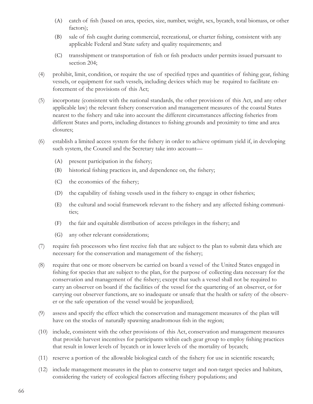- (A) catch of fish (based on area, species, size, number, weight, sex, bycatch, total biomass, or other factors);
- (B) sale of fish caught during commercial, recreational, or charter fishing, consistent with any applicable Federal and State safety and quality requirements; and
- (C) transshipment or transportation of fish or fish products under permits issued pursuant to section 204;
- $(4)$  prohibit, limit, condition, or require the use of specified types and quantities of fishing gear, fishing vessels, or equipment for such vessels, including devices which may be required to facilitate enforcement of the provisions of this Act;
- (5) incorporate (consistent with the national standards, the other provisions of this Act, and any other applicable law) the relevant fishery conservation and management measures of the coastal States nearest to the fishery and take into account the different circumstances affecting fisheries from different States and ports, including distances to fishing grounds and proximity to time and area closures;
- $(6)$  establish a limited access system for the fishery in order to achieve optimum yield if, in developing such system, the Council and the Secretary take into account—
	- $(A)$  present participation in the fishery;
	- (B) historical fishing practices in, and dependence on, the fishery;
	- (C) the economics of the fishery;
	- (D) the capability of fishing vessels used in the fishery to engage in other fisheries;
	- (E) the cultural and social framework relevant to the fishery and any affected fishing communities;
	- (F) the fair and equitable distribution of access privileges in the fishery; and
	- (G) any other relevant considerations;
- (7) require fish processors who first receive fish that are subject to the plan to submit data which are necessary for the conservation and management of the fishery;
- (8) require that one or more observers be carried on board a vessel of the United States engaged in fishing for species that are subject to the plan, for the purpose of collecting data necessary for the conservation and management of the fishery; except that such a vessel shall not be required to carry an observer on board if the facilities of the vessel for the quartering of an observer, or for carrying out observer functions, are so inadequate or unsafe that the health or safety of the observer or the safe operation of the vessel would be jeopardized;
- (9) assess and specify the effect which the conservation and management measures of the plan will have on the stocks of naturally spawning anadromous fish in the region;
- (10) include, consistent with the other provisions of this Act, conservation and management measures that provide harvest incentives for participants within each gear group to employ fishing practices that result in lower levels of bycatch or in lower levels of the mortality of bycatch;
- $(11)$  reserve a portion of the allowable biological catch of the fishery for use in scientific research;
- (12) include management measures in the plan to conserve target and non-target species and habitats, considering the variety of ecological factors affecting fishery populations; and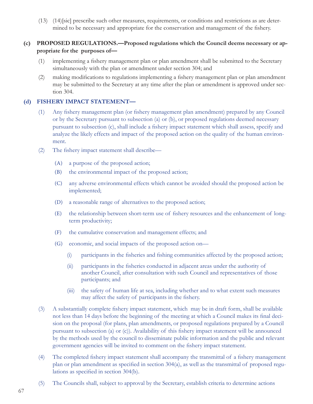(13) (14)[sic] prescribe such other measures, requirements, or conditions and restrictions as are determined to be necessary and appropriate for the conservation and management of the fishery.

#### **(c) PROPOSED REGULATIONS.—Proposed regulations which the Council deems necessary or appropriate for the purposes of—**

- (1) implementing a fishery management plan or plan amendment shall be submitted to the Secretary simultaneously with the plan or amendment under section 304; and
- (2) making modifications to regulations implementing a fishery management plan or plan amendment may be submitted to the Secretary at any time after the plan or amendment is approved under section 304.

#### **(d) FISHERY IMPACT STATEMENT—**

- (1) Any fishery management plan (or fishery management plan amendment) prepared by any Council or by the Secretary pursuant to subsection (a) or (b), or proposed regulations deemed necessary pursuant to subsection (c), shall include a fishery impact statement which shall assess, specify and analyze the likely effects and impact of the proposed action on the quality of the human environment.
- (2) The fishery impact statement shall describe—
	- (A) a purpose of the proposed action;
	- (B) the environmental impact of the proposed action;
	- (C) any adverse environmental effects which cannot be avoided should the proposed action be implemented;
	- (D) a reasonable range of alternatives to the proposed action;
	- (E) the relationship between short-term use of fishery resources and the enhancement of longterm productivity;
	- (F) the cumulative conservation and management effects; and
	- (G) economic, and social impacts of the proposed action on—
		- (i) participants in the fisheries and fishing communities affected by the proposed action;
		- (ii) participants in the fisheries conducted in adjacent areas under the authority of another Council, after consultation with such Council and representatives of those participants; and
		- (iii) the safety of human life at sea, including whether and to what extent such measures may affect the safety of participants in the fishery.
- (3) A substantially complete fishery impact statement, which may be in draft form, shall be available not less than 14 days before the beginning of the meeting at which a Council makes its final decision on the proposal (for plans, plan amendments, or proposed regulations prepared by a Council pursuant to subsection (a) or (c)). Availability of this fishery impact statement will be announced by the methods used by the council to disseminate public information and the public and relevant government agencies will be invited to comment on the fishery impact statement.
- (4) The completed fishery impact statement shall accompany the transmittal of a fishery management plan or plan amendment as specified in section  $304(a)$ , as well as the transmittal of proposed regulations as specified in section 304(b).
- (5) The Councils shall, subject to approval by the Secretary, establish criteria to determine actions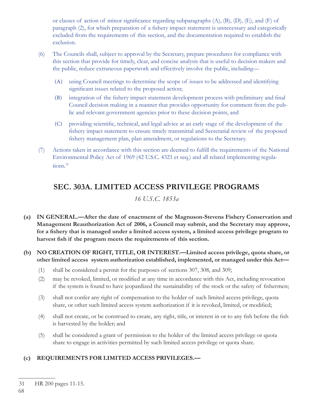or classes of action of minor significance regarding subparagraphs  $(A)$ ,  $(B)$ ,  $(D)$ ,  $(E)$ , and  $(F)$  of paragraph (2), for which preparation of a fishery impact statement is unnecessary and categorically excluded from the requirements of this section, and the documentation required to establish the exclusion.

- (6) The Councils shall, subject to approval by the Secretary, prepare procedures for compliance with this section that provide for timely, clear, and concise analysis that is useful to decision makers and the public, reduce extraneous paperwork and effectively involve the public, including—
	- (A) using Council meetings to determine the scope of issues to be addressed and identifying significant issues related to the proposed action;
	- (B) integration of the fishery impact statement development process with preliminary and final Council decision making in a manner that provides opportunity for comment from the public and relevant government agencies prior to these decision points, and
	- (C) providing scientific, technical, and legal advice at an early stage of the development of the fishery impact statement to ensure timely transmittal and Secretarial review of the proposed fishery management plan, plan amendment, or regulations to the Secretary.
- (7) Actions taken in accordance with this section are deemed to fulfill the requirements of the National Environmental Policy Act of 1969 (42 U.S.C. 4321 et seq.) and all related implementing regulations.<sup>31</sup>

# **SEC. 303A. LIMITED ACCESS PRIVILEGE PROGRAMS**

*16 U.S.C. 1853a*

- **(a) IN GENERAL.—After the date of enactment of the Magnuson-Stevens Fishery Conservation and Management Reauthorization Act of 2006, a Council may submit, and the Secretary may approve,**  for a fishery that is managed under a limited access system, a limited access privilege program to harvest fish if the program meets the requirements of this section.
- **(b) NO CREATION OF RIGHT, TITLE, OR INTEREST.—Limited access privilege, quota share, or other limited access system authorization established, implemented, or managed under this Act—**
	- (1) shall be considered a permit for the purposes of sections 307, 308, and 309;
	- (2) may be revoked, limited, or modified at any time in accordance with this Act, including revocation if the system is found to have jeopardized the sustainability of the stock or the safety of fishermen;
	- (3) shall not confer any right of compensation to the holder of such limited access privilege, quota share, or other such limited access system authorization if it is revoked, limited, or modified;
	- (4) shall not create, or be construed to create, any right, title, or interest in or to any fish before the fish is harvested by the holder; and
	- (5) shall be considered a grant of permission to the holder of the limited access privilege or quota share to engage in activities permitted by such limited access privilege or quota share.

## **(c) REQUIREMENTS FOR LIMITED ACCESS PRIVILEGES.—**

<sup>31</sup> HR 200 pages 11-15.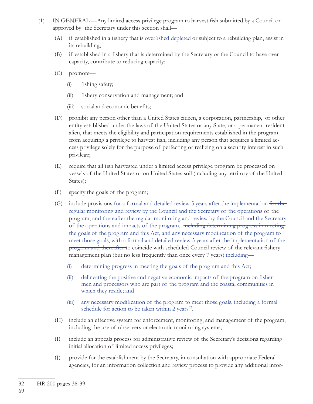- (1) IN GENERAL.—Any limited access privilege program to harvest fish submitted by a Council or approved by the Secretary under this section shall—
	- (A) if established in a fishery that is overfished depleted or subject to a rebuilding plan, assist in its rebuilding;
	- (B) if established in a fishery that is determined by the Secretary or the Council to have overcapacity, contribute to reducing capacity;
	- (C) promote—
		- (i) fishing safety;
		- (ii) fishery conservation and management; and
		- $(iii)$  social and economic benefits;
	- (D) prohibit any person other than a United States citizen, a corporation, partnership, or other entity established under the laws of the United States or any State, or a permanent resident alien, that meets the eligibility and participation requirements established in the program from acquiring a privilege to harvest fish, including any person that acquires a limited access privilege solely for the purpose of perfecting or realizing on a security interest in such privilege;
	- (E) require that all fish harvested under a limited access privilege program be processed on vessels of the United States or on United States soil (including any territory of the United States);
	- (F) specify the goals of the program;
	- (G) include provisions for a formal and detailed review 5 years after the implementation for the regular monitoring and review by the Council and the Secretary of the operations of the program, and thereafter the regular monitoring and review by the Council and the Secretary of the operations and impacts of the program, including determining progress in meeting the goals of the program and this Act, and any necessary modification of the program to meet those goals, with a formal and detailed review 5 years after the implementation of the program and thereafter to coincide with scheduled Council review of the relevant fishery management plan (but no less frequently than once every 7 years) including—
		- (i) determining progress in meeting the goals of the program and this Act;
		- $(ii)$  delineating the positive and negative economic impacts of the program on fishermen and processors who are part of the program and the coastal communities in which they reside; and
		- (iii) any necessary modification of the program to meet those goals, including a formal schedule for action to be taken within 2 years<sup>32</sup>.
	- (H) include an effective system for enforcement, monitoring, and management of the program, including the use of observers or electronic monitoring systems;
	- (I) include an appeals process for administrative review of the Secretary's decisions regarding initial allocation of limited access privileges;
	- (J) provide for the establishment by the Secretary, in consultation with appropriate Federal agencies, for an information collection and review process to provide any additional infor-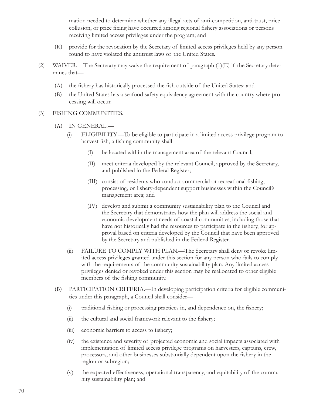mation needed to determine whether any illegal acts of anti-competition, anti-trust, price collusion, or price fixing have occurred among regional fishery associations or persons receiving limited access privileges under the program; and

- (K) provide for the revocation by the Secretary of limited access privileges held by any person found to have violated the antitrust laws of the United States.
- (2) WAIVER.—The Secretary may waive the requirement of paragraph (1)(E) if the Secretary determines that—
	- (A) the fishery has historically processed the fish outside of the United States; and
	- (B) the United States has a seafood safety equivalency agreement with the country where processing will occur.
- (3) FISHING COMMUNITIES.—
	- (A) IN GENERAL.—
		- (i) ELIGIBILITY.—To be eligible to participate in a limited access privilege program to harvest fish, a fishing community shall—
			- (I) be located within the management area of the relevant Council;
			- (II) meet criteria developed by the relevant Council, approved by the Secretary, and published in the Federal Register;
			- (III) consist of residents who conduct commercial or recreational fishing, processing, or fishery-dependent support businesses within the Council's management area; and
			- (IV) develop and submit a community sustainability plan to the Council and the Secretary that demonstrates how the plan will address the social and economic development needs of coastal communities, including those that have not historically had the resources to participate in the fishery, for approval based on criteria developed by the Council that have been approved by the Secretary and published in the Federal Register.
		- (ii) FAILURE TO COMPLY WITH PLAN.—The Secretary shall deny or revoke limited access privileges granted under this section for any person who fails to comply with the requirements of the community sustainability plan. Any limited access privileges denied or revoked under this section may be reallocated to other eligible members of the fishing community.
	- (B) PARTICIPATION CRITERIA.—In developing participation criteria for eligible communities under this paragraph, a Council shall consider—
		- $(i)$  traditional fishing or processing practices in, and dependence on, the fishery;
		- $(ii)$  the cultural and social framework relevant to the fishery;
		- (iii) economic barriers to access to fishery;
		- (iv) the existence and severity of projected economic and social impacts associated with implementation of limited access privilege programs on harvesters, captains, crew, processors, and other businesses substantially dependent upon the fishery in the region or subregion;
		- (v) the expected effectiveness, operational transparency, and equitability of the community sustainability plan; and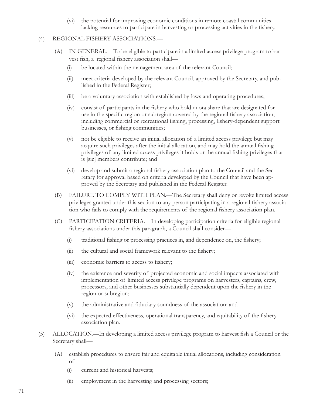(vi) the potential for improving economic conditions in remote coastal communities lacking resources to participate in harvesting or processing activities in the fishery.

#### (4) REGIONAL FISHERY ASSOCIATIONS.—

- (A) IN GENERAL.—To be eligible to participate in a limited access privilege program to harvest fish, a regional fishery association shall-
	- (i) be located within the management area of the relevant Council;
	- (ii) meet criteria developed by the relevant Council, approved by the Secretary, and published in the Federal Register;
	- (iii) be a voluntary association with established by-laws and operating procedures;
	- (iv) consist of participants in the fishery who hold quota share that are designated for use in the specific region or subregion covered by the regional fishery association, including commercial or recreational fishing, processing, fishery-dependent support businesses, or fishing communities;
	- (v) not be eligible to receive an initial allocation of a limited access privilege but may acquire such privileges after the initial allocation, and may hold the annual fishing privileges of any limited access privileges it holds or the annual fishing privileges that is [sic] members contribute; and
	- (vi) develop and submit a regional fishery association plan to the Council and the Secretary for approval based on criteria developed by the Council that have been approved by the Secretary and published in the Federal Register.
- (B) FAILURE TO COMPLY WITH PLAN.—The Secretary shall deny or revoke limited access privileges granted under this section to any person participating in a regional fishery association who fails to comply with the requirements of the regional fishery association plan.
- (C) PARTICIPATION CRITERIA.—In developing participation criteria for eligible regional fishery associations under this paragraph, a Council shall consider—
	- $(i)$  traditional fishing or processing practices in, and dependence on, the fishery;
	- (ii) the cultural and social framework relevant to the fishery;
	- (iii) economic barriers to access to fishery;
	- (iv) the existence and severity of projected economic and social impacts associated with implementation of limited access privilege programs on harvesters, captains, crew, processors, and other businesses substantially dependent upon the fishery in the region or subregion;
	- $(v)$  the administrative and fiduciary soundness of the association; and
	- (vi) the expected effectiveness, operational transparency, and equitability of the fishery association plan.
- (5) ALLOCATION.—In developing a limited access privilege program to harvest fish a Council or the Secretary shall—
	- (A) establish procedures to ensure fair and equitable initial allocations, including consideration of—
		- (i) current and historical harvests;
		- (ii) employment in the harvesting and processing sectors;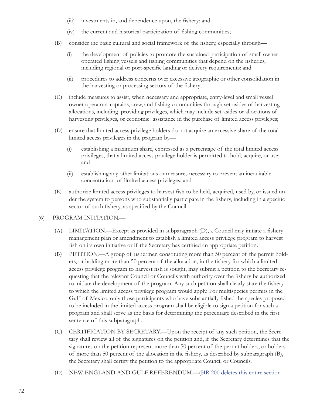- $(iii)$  investments in, and dependence upon, the fishery; and
- (iv) the current and historical participation of fishing communities;
- (B) consider the basic cultural and social framework of the fishery, especially through—
	- (i) the development of policies to promote the sustained participation of small owneroperated fishing vessels and fishing communities that depend on the fisheries, including regional or port-specific landing or delivery requirements; and
	- (ii) procedures to address concerns over excessive geographic or other consolidation in the harvesting or processing sectors of the fishery;
- (C) include measures to assist, when necessary and appropriate, entry-level and small vessel owner-operators, captains, crew, and fishing communities through set-asides of harvesting allocations, including providing privileges, which may include set-asides or allocations of harvesting privileges, or economic assistance in the purchase of limited access privileges;
- (D) ensure that limited access privilege holders do not acquire an excessive share of the total limited access privileges in the program by—
	- (i) establishing a maximum share, expressed as a percentage of the total limited access privileges, that a limited access privilege holder is permitted to hold, acquire, or use; and
	- (ii) establishing any other limitations or measures necessary to prevent an inequitable concentration of limited access privileges; and
- (E) authorize limited access privileges to harvest fish to be held, acquired, used by, or issued under the system to persons who substantially participate in the fishery, including in a specific sector of such fishery, as specified by the Council.

#### (6) PROGRAM INITIATION.—

- (A) LIMITATION.—Except as provided in subparagraph (D), a Council may initiate a fishery management plan or amendment to establish a limited access privilege program to harvest fish on its own initiative or if the Secretary has certified an appropriate petition.
- (B) PETITION.—A group of fishermen constituting more than 50 percent of the permit holders, or holding more than 50 percent of the allocation, in the fishery for which a limited access privilege program to harvest fish is sought, may submit a petition to the Secretary requesting that the relevant Council or Councils with authority over the fishery be authorized to initiate the development of the program. Any such petition shall clearly state the fishery to which the limited access privilege program would apply. For multispecies permits in the Gulf of Mexico, only those participants who have substantially fished the species proposed to be included in the limited access program shall be eligible to sign a petition for such a program and shall serve as the basis for determining the percentage described in the first sentence of this subparagraph.
- (C) CERTIFICATION BY SECRETARY.—Upon the receipt of any such petition, the Secretary shall review all of the signatures on the petition and, if the Secretary determines that the signatures on the petition represent more than 50 percent of the permit holders, or holders of more than 50 percent of the allocation in the fishery, as described by subparagraph (B), the Secretary shall certify the petition to the appropriate Council or Councils.
- (D) NEW ENGLAND AND GULF REFERENDUM.—(HR 200 deletes this entire section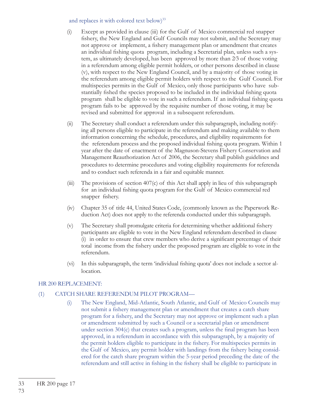#### and replaces it with colored text below)<sup>33</sup>

- (i) Except as provided in clause (iii) for the Gulf of Mexico commercial red snapper fishery, the New England and Gulf Councils may not submit, and the Secretary may not approve or implement, a fishery management plan or amendment that creates an individual fishing quota program, including a Secretarial plan, unless such a system, as ultimately developed, has been approved by more than 2⁄3 of those voting in a referendum among eligible permit holders, or other persons described in clause (v), with respect to the New England Council, and by a majority of those voting in the referendum among eligible permit holders with respect to the Gulf Council. For multispecies permits in the Gulf of Mexico, only those participants who have substantially fished the species proposed to be included in the individual fishing quota program shall be eligible to vote in such a referendum. If an individual fishing quota program fails to be approved by the requisite number of those voting, it may be revised and submitted for approval in a subsequent referendum.
- (ii) The Secretary shall conduct a referendum under this subparagraph, including notifying all persons eligible to participate in the referendum and making available to them information concerning the schedule, procedures, and eligibility requirements for the referendum process and the proposed individual fishing quota program. Within 1 year after the date of enactment of the Magnuson-Stevens Fishery Conservation and Management Reauthorization Act of 2006, the Secretary shall publish guidelines and procedures to determine procedures and voting eligibility requirements for referenda and to conduct such referenda in a fair and equitable manner.
- (iii) The provisions of section 407(c) of this Act shall apply in lieu of this subparagraph for an individual fishing quota program for the Gulf of Mexico commercial red snapper fishery.
- (iv) Chapter 35 of title 44, United States Code, (commonly known as the Paperwork Reduction Act) does not apply to the referenda conducted under this subparagraph.
- (v) The Secretary shall promulgate criteria for determining whether additional fishery participants are eligible to vote in the New England referendum described in clause  $(i)$  in order to ensure that crew members who derive a significant percentage of their total income from the fishery under the proposed program are eligible to vote in the referendum.
- (vi) In this subparagraph, the term 'individual fishing quota' does not include a sector allocation.

#### HR 200 REPLACEMENT:

#### (1) CATCH SHARE REFERENDUM PILOT PROGRAM—

(i) The New England, Mid-Atlantic, South Atlantic, and Gulf of Mexico Councils may not submit a fishery management plan or amendment that creates a catch share program for a fishery, and the Secretary may not approve or implement such a plan or amendment submitted by such a Council or a secretarial plan or amendment under section  $304(c)$  that creates such a program, unless the final program has been approved, in a referendum in accordance with this subparagraph, by a majority of the permit holders eligible to participate in the fishery. For multispecies permits in the Gulf of Mexico, any permit holder with landings from the fishery being considered for the catch share program within the 5-year period preceding the date of the referendum and still active in fishing in the fishery shall be eligible to participate in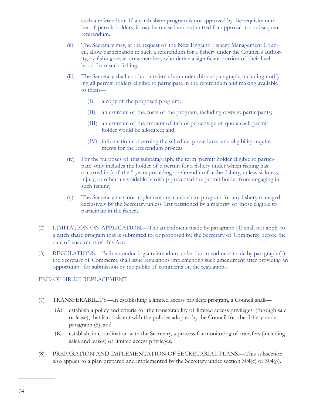such a referendum. If a catch share program is not approved by the requisite number of permit holders, it may be revised and submitted for approval in a subsequent referendum.

- (ii) The Secretary may, at the request of the New England Fishery Management Council, allow participation in such a referendum for a fishery under the Council's authority, by fishing vessel crewmembers who derive a significant portion of their livelihood from such fishing.
- (iii) The Secretary shall conduct a referendum under this subparagraph, including notifying all permit holders eligible to participate in the referendum and making available to them—
	- (I) a copy of the proposed program;
	- (II) an estimate of the costs of the program, including costs to participants;
	- (III) an estimate of the amount of fish or percentage of quota each permit holder would be allocated; and
	- (IV) information concerning the schedule, procedures, and eligibility requirements for the referendum process.
- (iv) For the purposes of this subparagraph, the term 'permit holder eligible to participate' only includes the holder of a permit for a fishery under which fishing has occurred in 3 of the 5 years preceding a referendum for the fishery, unless sickness, injury, or other unavoidable hardship prevented the permit holder from engaging in such fishing.
- (v) The Secretary may not implement any catch share program for any fishery managed exclusively by the Secretary unless first petitioned by a majority of those eligible to participate in the fishery.
- (2) LIMITATION ON APPLICATION.—The amendment made by paragraph (1) shall not apply to a catch share program that is submitted to, or proposed by, the Secretary of Commerce before the date of enactment of this Act.
- (3) REGULATIONS.—Before conducting a referendum under the amendment made by paragraph (1), the Secretary of Commerce shall issue regulations implementing such amendment after providing an opportunity for submission by the public of comments on the regulations.

#### END OF HR 200 REPLACEMENT

- (7) TRANSFERABILITY.—In establishing a limited access privilege program, a Council shall—
	- (A) establish a policy and criteria for the transferability of limited access privileges (through sale or lease), that is consistent with the policies adopted by the Council for the fishery under paragraph (5); and
	- (B) establish, in coordination with the Secretary, a process for monitoring of transfers (including sales and leases) of limited access privileges.
- (8) PREPARATION AND IMPLEMENTATION OF SECRETARIAL PLANS.—This subsection also applies to a plan prepared and implemented by the Secretary under section 304(c) or 304(g).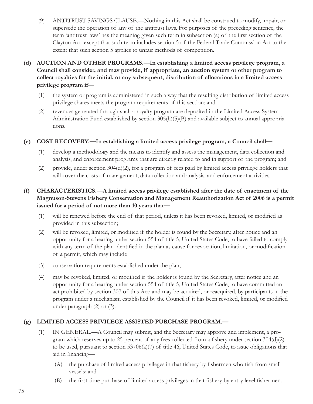- (9) ANTITRUST SAVINGS CLAUSE.—Nothing in this Act shall be construed to modify, impair, or supersede the operation of any of the antitrust laws. For purposes of the preceding sentence, the term 'antitrust laws' has the meaning given such term in subsection (a) of the first section of the Clayton Act, except that such term includes section 5 of the Federal Trade Commission Act to the extent that such section 5 applies to unfair methods of competition.
- **(d) AUCTION AND OTHER PROGRAMS.—In establishing a limited access privilege program, a Council shall consider, and may provide, if appropriate, an auction system or other program to collect royalties for the initial, or any subsequent, distribution of allocations in a limited access privilege program if—**
	- (1) the system or program is administered in such a way that the resulting distribution of limited access privilege shares meets the program requirements of this section; and
	- (2) revenues generated through such a royalty program are deposited in the Limited Access System Administration Fund established by section 305(h)(5)(B) and available subject to annual appropriations.
- **(e) COST RECOVERY.—In establishing a limited access privilege program, a Council shall—**
	- (1) develop a methodology and the means to identify and assess the management, data collection and analysis, and enforcement programs that are directly related to and in support of the program; and
	- (2) provide, under section 304(d)(2), for a program of fees paid by limited access privilege holders that will cover the costs of management, data collection and analysis, and enforcement activities.

#### **(f) CHARACTERISTICS.—A limited access privilege established after the date of enactment of the Magnuson-Stevens Fishery Conservation and Management Reauthorization Act of 2006 is a permit issued for a period of not more than 10 years that—**

- (1) will be renewed before the end of that period, unless it has been revoked, limited, or modified as provided in this subsection;
- (2) will be revoked, limited, or modified if the holder is found by the Secretary, after notice and an opportunity for a hearing under section 554 of title 5, United States Code, to have failed to comply with any term of the plan identified in the plan as cause for revocation, limitation, or modification of a permit, which may include
- (3) conservation requirements established under the plan;
- (4) may be revoked, limited, or modified if the holder is found by the Secretary, after notice and an opportunity for a hearing under section 554 of title 5, United States Code, to have committed an act prohibited by section 307 of this Act; and may be acquired, or reacquired, by participants in the program under a mechanism established by the Council if it has been revoked, limited, or modified under paragraph (2) or (3).

#### **(g) LIMITED ACCESS PRIVILEGE ASSISTED PURCHASE PROGRAM.—**

- (1) IN GENERAL.—A Council may submit, and the Secretary may approve and implement, a program which reserves up to 25 percent of any fees collected from a fishery under section  $304(d)(2)$ to be used, pursuant to section 53706(a)(7) of title 46, United States Code, to issue obligations that aid in financing-
	- (A) the purchase of limited access privileges in that fishery by fishermen who fish from small vessels; and
	- (B) the first-time purchase of limited access privileges in that fishery by entry level fishermen.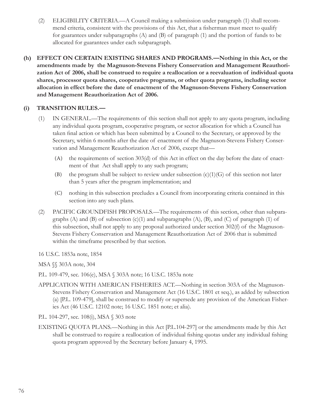- (2) ELIGIBILITY CRITERIA.—A Council making a submission under paragraph (1) shall recommend criteria, consistent with the provisions of this Act, that a fisherman must meet to qualify for guarantees under subparagraphs (A) and (B) of paragraph (1) and the portion of funds to be allocated for guarantees under each subparagraph.
- **(h) EFFECT ON CERTAIN EXISTING SHARES AND PROGRAMS.—Nothing in this Act, or the amendments made by the Magnuson-Stevens Fishery Conservation and Management Reauthorization Act of 2006, shall be construed to require a reallocation or a reevaluation of individual quota shares, processor quota shares, cooperative programs, or other quota programs, including sector allocation in effect before the date of enactment of the Magnuson-Stevens Fishery Conservation and Management Reauthorization Act of 2006.**

#### **(i) TRANSITION RULES.—**

- (1) IN GENERAL.—The requirements of this section shall not apply to any quota program, including any individual quota program, cooperative program, or sector allocation for which a Council has taken final action or which has been submitted by a Council to the Secretary, or approved by the Secretary, within 6 months after the date of enactment of the Magnuson-Stevens Fishery Conservation and Management Reauthorization Act of 2006, except that—
	- (A) the requirements of section 303(d) of this Act in effect on the day before the date of enactment of that Act shall apply to any such program;
	- (B) the program shall be subject to review under subsection  $(c)(1)(G)$  of this section not later than 5 years after the program implementation; and
	- (C) nothing in this subsection precludes a Council from incorporating criteria contained in this section into any such plans.
- (2) PACIFIC GROUNDFISH PROPOSALS.—The requirements of this section, other than subparagraphs  $(A)$  and  $(B)$  of subsection  $(c)(1)$  and subparagraphs  $(A)$ ,  $(B)$ , and  $(C)$  of paragraph  $(1)$  of this subsection, shall not apply to any proposal authorized under section 302(f) of the Magnuson-Stevens Fishery Conservation and Management Reauthorization Act of 2006 that is submitted within the timeframe prescribed by that section.

16 U.S.C. 1853a note, 1854

MSA §§ 303A note, 304

P.L. 109-479, sec. 106(e), MSA § 303A note; 16 U.S.C. 1853a note

- APPLICATION WITH AMERICAN FISHERIES ACT.—Nothing in section 303A of the Magnuson-Stevens Fishery Conservation and Management Act (16 U.S.C. 1801 et seq.), as added by subsection (a) [P.L. 109-479], shall be construed to modify or supersede any provision of the American Fisheries Act (46 U.S.C. 12102 note; 16 U.S.C. 1851 note; et alia).
- P.L. 104-297, sec. 108(i), MSA § 303 note
- EXISTING QUOTA PLANS.—Nothing in this Act [P.L.104-297] or the amendments made by this Act shall be construed to require a reallocation of individual fishing quotas under any individual fishing quota program approved by the Secretary before January 4, 1995.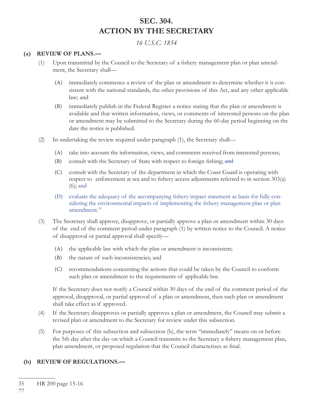# **SEC. 304. ACTION BY THE SECRETARY**

*16 U.S.C. 1854*

#### **(a) REVIEW OF PLANS.—**

- $(1)$  Upon transmittal by the Council to the Secretary of a fishery management plan or plan amendment, the Secretary shall—
	- (A) immediately commence a review of the plan or amendment to determine whether it is consistent with the national standards, the other provisions of this Act, and any other applicable law; and
	- (B) immediately publish in the Federal Register a notice stating that the plan or amendment is available and that written information, views, or comments of interested persons on the plan or amendment may be submitted to the Secretary during the 60-day period beginning on the date the notice is published.
- (2) In undertaking the review required under paragraph (1), the Secretary shall—
	- (A) take into account the information, views, and comments received from interested persons;
	- (B) consult with the Secretary of State with respect to foreign fishing; and
	- (C) consult with the Secretary of the department in which the Coast Guard is operating with respect to enforcement at sea and to fishery access adjustments referred to in section 303(a) (6); and
	- (D) evaluate the adequacy of the accompanying fishery impact statement as basis for fully considering the environmental impacts of implementing the fishery management plan or plan amendment.<sup>35</sup>
- (3) The Secretary shall approve, disapprove, or partially approve a plan or amendment within 30 days of the end of the comment period under paragraph (1) by written notice to the Council. A notice of disapproval or partial approval shall specify—
	- (A) the applicable law with which the plan or amendment is inconsistent;
	- (B) the nature of such inconsistencies; and
	- (C) recommendations concerning the actions that could be taken by the Council to conform such plan or amendment to the requirements of applicable law.

 If the Secretary does not notify a Council within 30 days of the end of the comment period of the approval, disapproval, or partial approval of a plan or amendment, then such plan or amendment shall take effect as if approved.

- (4) If the Secretary disapproves or partially approves a plan or amendment, the Council may submit a revised plan or amendment to the Secretary for review under this subsection.
- (5) For purposes of this subsection and subsection (b), the term "immediately" means on or before the 5th day after the day on which a Council transmits to the Secretary a fishery management plan, plan amendment, or proposed regulation that the Council characterizes as final.

### **(b) REVIEW OF REGULATIONS.—**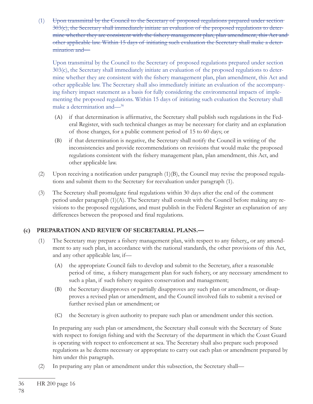(1) Upon transmittal by the Council to the Secretary of proposed regulations prepared under section 303(c), the Secretary shall immediately initiate an evaluation of the proposed regulations to determine whether they are consistent with the fishery management plan, plan amendment, this Act and other applicable law. Within 15 days of initiating such evaluation the Secretary shall make a determination and—

 Upon transmittal by the Council to the Secretary of proposed regulations prepared under section 303(c), the Secretary shall immediately initiate an evaluation of the proposed regulations to determine whether they are consistent with the fishery management plan, plan amendment, this Act and other applicable law. The Secretary shall also immediately initiate an evaluation of the accompanying fishery impact statement as a basis for fully considering the environmental impacts of implementing the proposed regulations. Within 15 days of initiating such evaluation the Secretary shall make a determination and—36

- (A) if that determination is affirmative, the Secretary shall publish such regulations in the Federal Register, with such technical changes as may be necessary for clarity and an explanation of those changes, for a public comment period of 15 to 60 days; or
- (B) if that determination is negative, the Secretary shall notify the Council in writing of the inconsistencies and provide recommendations on revisions that would make the proposed regulations consistent with the fishery management plan, plan amendment, this Act, and other applicable law.
- (2) Upon receiving a notification under paragraph  $(1)(B)$ , the Council may revise the proposed regulations and submit them to the Secretary for reevaluation under paragraph (1).
- (3) The Secretary shall promulgate final regulations within 30 days after the end of the comment period under paragraph  $(1)(A)$ . The Secretary shall consult with the Council before making any revisions to the proposed regulations, and must publish in the Federal Register an explanation of any differences between the proposed and final regulations.

## **(c) PREPARATION AND REVIEW OF SECRETARIAL PLANS.—**

- (1) The Secretary may prepare a fishery management plan, with respect to any fishery,, or any amendment to any such plan, in accordance with the national standards, the other provisions of this Act, and any other applicable law, if—
	- (A) the appropriate Council fails to develop and submit to the Secretary, after a reasonable period of time, a fishery management plan for such fishery, or any necessary amendment to such a plan, if such fishery requires conservation and management;
	- (B) the Secretary disapproves or partially disapproves any such plan or amendment, or disapproves a revised plan or amendment, and the Council involved fails to submit a revised or further revised plan or amendment; or
	- (C) the Secretary is given authority to prepare such plan or amendment under this section.

 In preparing any such plan or amendment, the Secretary shall consult with the Secretary of State with respect to foreign fishing and with the Secretary of the department in which the Coast Guard is operating with respect to enforcement at sea. The Secretary shall also prepare such proposed regulations as he deems necessary or appropriate to carry out each plan or amendment prepared by him under this paragraph.

(2) In preparing any plan or amendment under this subsection, the Secretary shall—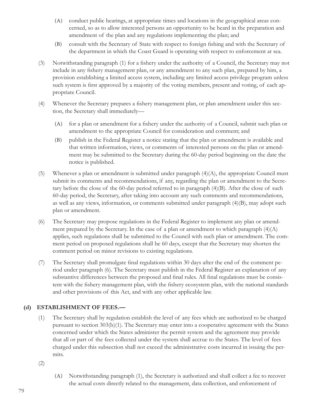- (A) conduct public hearings, at appropriate times and locations in the geographical areas concerned, so as to allow interested persons an opportunity to be heard in the preparation and amendment of the plan and any regulations implementing the plan; and
- (B) consult with the Secretary of State with respect to foreign fishing and with the Secretary of the department in which the Coast Guard is operating with respect to enforcement at sea.
- (3) Notwithstanding paragraph (1) for a fishery under the authority of a Council, the Secretary may not include in any fishery management plan, or any amendment to any such plan, prepared by him, a provision establishing a limited access system, including any limited access privilege program unless such system is first approved by a majority of the voting members, present and voting, of each appropriate Council.
- (4) Whenever the Secretary prepares a fishery management plan, or plan amendment under this section, the Secretary shall immediately—
	- (A) for a plan or amendment for a fishery under the authority of a Council, submit such plan or amendment to the appropriate Council for consideration and comment; and
	- (B) publish in the Federal Register a notice stating that the plan or amendment is available and that written information, views, or comments of interested persons on the plan or amendment may be submitted to the Secretary during the 60-day period beginning on the date the notice is published.
- (5) Whenever a plan or amendment is submitted under paragraph  $(4)(A)$ , the appropriate Council must submit its comments and recommendations, if any, regarding the plan or amendment to the Secretary before the close of the 60-day period referred to in paragraph (4)(B). After the close of such 60-day period, the Secretary, after taking into account any such comments and recommendations, as well as any views, information, or comments submitted under paragraph (4)(B), may adopt such plan or amendment.
- (6) The Secretary may propose regulations in the Federal Register to implement any plan or amendment prepared by the Secretary. In the case of a plan or amendment to which paragraph  $(4)(A)$ applies, such regulations shall be submitted to the Council with such plan or amendment. The comment period on proposed regulations shall be 60 days, except that the Secretary may shorten the comment period on minor revisions to existing regulations.
- (7) The Secretary shall promulgate final regulations within 30 days after the end of the comment period under paragraph (6). The Secretary must publish in the Federal Register an explanation of any substantive differences between the proposed and final rules. All final regulations must be consistent with the fishery management plan, with the fishery ecosystem plan, with the national standards and other provisions of this Act, and with any other applicable law.

### **(d) ESTABLISHMENT OF FEES.—**

(1) The Secretary shall by regulation establish the level of any fees which are authorized to be charged pursuant to section 303(b)(1). The Secretary may enter into a cooperative agreement with the States concerned under which the States administer the permit system and the agreement may provide that all or part of the fees collected under the system shall accrue to the States. The level of fees charged under this subsection shall not exceed the administrative costs incurred in issuing the permits.

(2)

(A) Notwithstanding paragraph (1), the Secretary is authorized and shall collect a fee to recover the actual costs directly related to the management, data collection, and enforcement of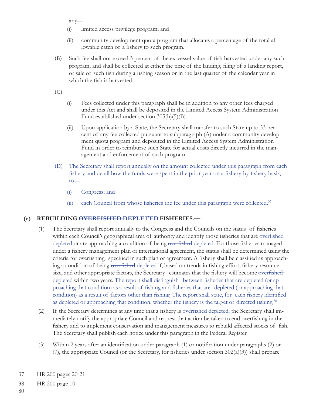any—

- (i) limited access privilege program; and
- (ii) community development quota program that allocates a percentage of the total allowable catch of a fishery to such program.
- (B) Such fee shall not exceed 3 percent of the ex-vessel value of fish harvested under any such program, and shall be collected at either the time of the landing, filing of a landing report, or sale of such fish during a fishing season or in the last quarter of the calendar year in which the fish is harvested.

(C)

- (i) Fees collected under this paragraph shall be in addition to any other fees charged under this Act and shall be deposited in the Limited Access System Administration Fund established under section 305(h)(5)(B).
- (ii) Upon application by a State, the Secretary shall transfer to such State up to 33 percent of any fee collected pursuant to subparagraph (A) under a community development quota program and deposited in the Limited Access System Administration Fund in order to reimburse such State for actual costs directly incurred in the management and enforcement of such program.
- (D) The Secretary shall report annually on the amount collected under this paragraph from each fishery and detail how the funds were spent in the prior year on a fishery-by-fishery basis, to—
	- (i) Congress; and
	- (ii) each Council from whose fisheries the fee under this paragraph were collected. $3<sup>7</sup>$

#### **(e) REBUILDING OVERFISHED DEPLETED FISHERIES.—**

- (1) The Secretary shall report annually to the Congress and the Councils on the status of fisheries within each Council's geographical area of authority and identify those fisheries that are overfished depleted or are approaching a condition of being overfished depleted. For those fisheries managed under a fishery management plan or international agreement, the status shall be determined using the criteria for overfishing specified in such plan or agreement. A fishery shall be classified as approaching a condition of being overfished depleted if, based on trends in fishing effort, fishery resource size, and other appropriate factors, the Secretary estimates that the fishery will become overfished depleted within two years. The report shall distinguish between fisheries that are depleted (or approaching that condition) as a result of fishing and fisheries that are depleted (or approaching that condition) as a result of factors other than fishing. The report shall state, for each fishery identified as depleted or approaching that condition, whether the fishery is the target of directed fishing.<sup>38</sup>
- (2) If the Secretary determines at any time that a fishery is overfished depleted, the Secretary shall immediately notify the appropriate Council and request that action be taken to end overfishing in the fishery and to implement conservation and management measures to rebuild affected stocks of fish. The Secretary shall publish each notice under this paragraph in the Federal Register.
- (3) Within 2 years after an identification under paragraph  $(1)$  or notification under paragraphs  $(2)$  or (7), the appropriate Council (or the Secretary, for fisheries under section  $302(a)(3)$ ) shall prepare

<sup>37</sup> HR 200 pages 20-21

<sup>38</sup> HR 200 page 10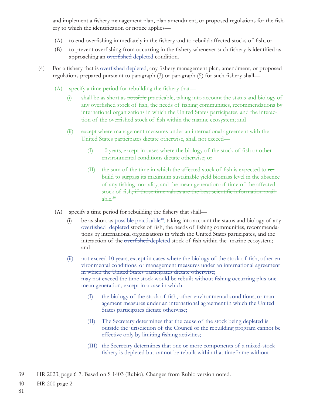and implement a fishery management plan, plan amendment, or proposed regulations for the fishery to which the identification or notice applies—

- (A) to end overfishing immediately in the fishery and to rebuild affected stocks of fish, or
- (B) to prevent overfishing from occurring in the fishery whenever such fishery is identified as approaching an overfished depleted condition.
- (4) For a fishery that is <del>overfished</del> depleted, any fishery management plan, amendment, or proposed regulations prepared pursuant to paragraph (3) or paragraph (5) for such fishery shall—
	- (A) specify a time period for rebuilding the fishery that—
		- (i) shall be as short as possible practicable, taking into account the status and biology of any overfished stock of fish, the needs of fishing communities, recommendations by international organizations in which the United States participates, and the interaction of the overfished stock of fish within the marine ecosystem; and
		- (ii) except where management measures under an international agreement with the United States participates dictate otherwise, shall not exceed—
			- $(I)$  10 years, except in cases where the biology of the stock of fish or other environmental conditions dictate otherwise; or
			- (II) the sum of the time in which the affected stock of fish is expected to  $\tau$ ebuild to surpass its maximum sustainable yield biomass level in the absence of any fi shing mortality, and the mean generation of time of the affected stock of fish, if those time values are the best scientific information available. 39
	- $(A)$  specify a time period for rebuilding the fishery that shall—
		- (i) be as short as possible practicable<sup>40</sup>, taking into account the status and biology of any overfished depleted stocks of fish, the needs of fishing communities, recommendations by international organizations in which the United States participates, and the interaction of the overfished depleted stock of fish within the marine ecosystem; and
		- $(ii)$  not exceed 10 years, except in cases where the biology of the stock of fish, other environmental conditions, or management measures under an international agreement in which the United States participates dictate otherwise; may not exceed the time stock would be rebuilt without fishing occurring plus one mean generation, except in a case in which—
			- (I) the biology of the stock of fish, other environmental conditions, or management measures under an international agreement in which the United States participates dictate otherwise;
			- (II) The Secretary determines that the cause of the stock being depleted is outside the jurisdiction of the Council or the rebuilding program cannot be effective only by limiting fishing activities;
			- (III) the Secretary determines that one or more components of a mixed-stock fishery is depleted but cannot be rebuilt within that timeframe without

40 HR 200 page 2

81

<sup>39</sup> HR 2023, page 6-7. Based on S 1403 (Rubio). Changes from Rubio version noted.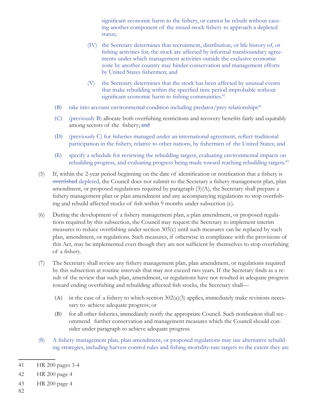significant economic harm to the fishery, or cannot be rebuilt without causing another component of the mixed-stock fishery to approach a depleted status;

- (IV) the Secretary determines that recruitment, distribution, or life history of, or fishing activities for, the stock are affected by informal transboundary agreements under which management activities outside the exclusive economic zone by another country may hinder conservation and management efforts by United States fishermen; and
- (V) the Secretary determines that the stock has been affected by unusual events that make rebuilding within the specified time period improbable without significant economic harm to fishing communities.<sup>41</sup>
- (B) take into account environmental condition including predator/prey relationships $42$
- (C) (previously B) allocate both overfishing restrictions and recovery benefits fairly and equitably among sectors of the fishery; and
- (D) (previously C) for fisheries managed under an international agreement, reflect traditional participation in the fishery, relative to other nations, by fishermen of the United States; and
- (E) specify a schedule for reviewing the rebuilding targets, evaluating environmental impacts on rebuilding progress, and evaluating progress being made toward reaching rebuilding targets.<sup>43</sup>
- (5) If, within the 2-year period beginning on the date of identification or notification that a fishery is overfished depleted, the Council does not submit to the Secretary a fishery management plan, plan amendment, or proposed regulations required by paragraph (3)(A), the Secretary shall prepare a fishery management plan or plan amendment and any accompanying regulations to stop overfishing and rebuild affected stocks of fish within 9 months under subsection (c).
- (6) During the development of a fishery management plan, a plan amendment, or proposed regulations required by this subsection, the Council may request the Secretary to implement interim measures to reduce overfishing under section  $305(c)$  until such measures can be replaced by such plan, amendment, or regulations. Such measures, if otherwise in compliance with the provisions of this Act, may be implemented even though they are not sufficient by themselves to stop overfishing of a fishery.
- (7) The Secretary shall review any fishery management plan, plan amendment, or regulations required by this subsection at routine intervals that may not exceed two years. If the Secretary finds as a result of the review that such plan, amendment, or regulations have not resulted in adequate progress toward ending overfishing and rebuilding affected fish stocks, the Secretary shall—
	- (A) in the case of a fishery to which section  $302(a)(3)$  applies, immediately make revisions necessary to achieve adequate progress; or
	- (B) for all other fisheries, immediately notify the appropriate Council. Such notification shall recommend further conservation and management measures which the Council should consider under paragraph to achieve adequate progress.
- (8) A fishery management plan, plan amendment, or proposed regulations may use alternative rebuilding strategies, including harvest control rules and fishing mortality-rate targets to the extent they are

82

<sup>41</sup> HR 200 pages 3-4

<sup>42</sup> HR 200 page 4

<sup>43</sup> HR 200 page 4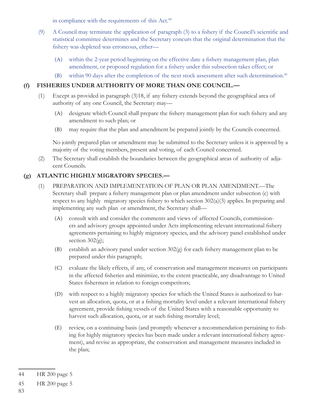in compliance with the requirements of this Act.<sup>44</sup>

- (9) A Council may terminate the application of paragraph  $(3)$  to a fishery if the Council's scientific and statistical committee determines and the Secretary concurs that the original determination that the fishery was depleted was erroneous, either—
	- (A) within the 2-year period beginning on the effective date a fishery management plan, plan amendment, or proposed regulation for a fishery under this subsection takes effect; or
	- (B) within 90 days after the completion of the next stock assessment after such determination.45

#### **(f) FISHERIES UNDER AUTHORITY OF MORE THAN ONE COUNCIL.—**

- $(1)$  Except as provided in paragraph  $(3)18$ , if any fishery extends beyond the geographical area of authority of any one Council, the Secretary may—
	- (A) designate which Council shall prepare the fishery management plan for such fishery and any amendment to such plan; or
	- (B) may require that the plan and amendment be prepared jointly by the Councils concerned.

No jointly prepared plan or amendment may be submitted to the Secretary unless it is approved by a majority of the voting members, present and voting, of each Council concerned.

(2) The Secretary shall establish the boundaries between the geographical areas of authority of adjacent Councils.

### **(g) ATLANTIC HIGHLY MIGRATORY SPECIES.—**

- (1) PREPARATION AND IMPLEMENTATION OF PLAN OR PLAN AMENDMENT.—The Secretary shall prepare a fishery management plan or plan amendment under subsection (c) with respect to any highly migratory species fishery to which section  $302(a)(3)$  applies. In preparing and implementing any such plan or amendment, the Secretary shall—
	- (A) consult with and consider the comments and views of affected Councils, commissioners and advisory groups appointed under Acts implementing relevant international fishery agreements pertaining to highly migratory species, and the advisory panel established under section  $302(g)$ ;
	- (B) establish an advisory panel under section  $302(g)$  for each fishery management plan to be prepared under this paragraph;
	- (C) evaluate the likely effects, if any, of conservation and management measures on participants in the affected fisheries and minimize, to the extent practicable, any disadvantage to United States fishermen in relation to foreign competitors;
	- (D) with respect to a highly migratory species for which the United States is authorized to harvest an allocation, quota, or at a fishing mortality level under a relevant international fishery agreement, provide fishing vessels of the United States with a reasonable opportunity to harvest such allocation, quota, or at such fishing mortality level;
	- (E) review, on a continuing basis (and promptly whenever a recommendation pertaining to fishing for highly migratory species has been made under a relevant international fishery agreement), and revise as appropriate, the conservation and management measures included in the plan;

<sup>44</sup> HR 200 page 5

<sup>45</sup> HR 200 page 5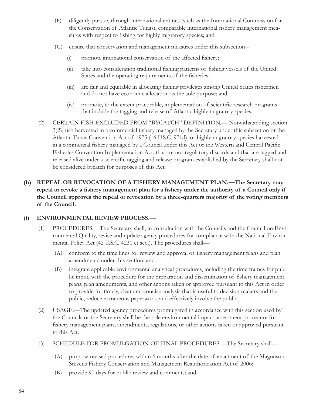- (F) diligently pursue, through international entities (such as the International Commission for the Conservation of Atlantic Tunas), comparable international fishery management measures with respect to fishing for highly migratory species; and
- (G) ensure that conservation and management measures under this subsection--
	- (i) promote international conservation of the affected fishery;
	- (ii) take into consideration traditional fishing patterns of fishing vessels of the United States and the operating requirements of the fisheries;
	- (iii) are fair and equitable in allocating fishing privileges among United States fishermen and do not have economic allocation as the sole purpose; and
	- (iv) promote, to the extent practicable, implementation of scientific research programs that include the tagging and release of Atlantic highly migratory species.
- (2) CERTAIN FISH EXCLUDED FROM "BYCATCH" DEFINITION.— Notwithstanding section 3(2), fish harvested in a commercial fishery managed by the Secretary under this subsection or the Atlantic Tunas Convention Act of 1975 (16 U.S.C. 971d), or highly migratory species harvested in a commercial fishery managed by a Council under this Act or the Western and Central Pacific Fisheries Convention Implementation Act, that are not regulatory discards and that are tagged and released alive under a scientific tagging and release program established by the Secretary shall not be considered bycatch for purposes of this Act.
- **(h) REPEAL OR REVOCATION OF A FISHERY MANAGEMENT PLAN.—The Secretary may**  repeal or revoke a fishery management plan for a fishery under the authority of a Council only if **the Council approves the repeal or revocation by a three-quarters majority of the voting members of the Council.**

#### **(i) ENVIRONMENTAL REVIEW PROCESS.—**

- (1) PROCEDURES.—The Secretary shall, in consultation with the Councils and the Council on Environmental Quality, revise and update agency procedures for compliance with the National Environmental Policy Act (42 U.S.C. 4231 et seq.). The procedures shall—
	- (A) conform to the time lines for review and approval of fishery management plans and plan amendments under this section; and
	- (B) integrate applicable environmental analytical procedures, including the time frames for public input, with the procedure for the preparation and dissemination of fishery management plans, plan amendments, and other actions taken or approved pursuant to this Act in order to provide for timely, clear and concise analysis that is useful to decision makers and the public, reduce extraneous paperwork, and effectively involve the public.
- (2) USAGE.—The updated agency procedures promulgated in accordance with this section used by the Councils or the Secretary shall be the sole environmental impact assessment procedure for fishery management plans, amendments, regulations, or other actions taken or approved pursuant to this Act.
- (3) SCHEDULE FOR PROMULGATION OF FINAL PROCEDURES.—The Secretary shall—
	- (A) propose revised procedures within 6 months after the date of enactment of the Magnuson-Stevens Fishery Conservation and Management Reauthorization Act of 2006;
	- (B) provide 90 days for public review and comments; and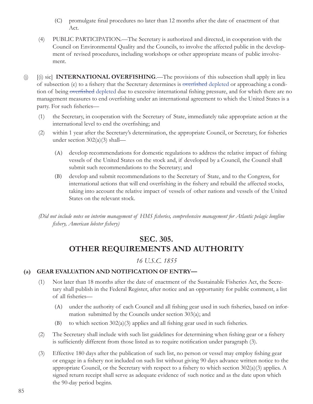- (C) promulgate final procedures no later than 12 months after the date of enactment of that Act.
- (4) PUBLIC PARTICIPATION.—The Secretary is authorized and directed, in cooperation with the Council on Environmental Quality and the Councils, to involve the affected public in the development of revised procedures, including workshops or other appropriate means of public involvement.
- (j) [(i) sic] **INTERNATIONAL OVERFISHING**.—The provisions of this subsection shall apply in lieu of subsection (e) to a fishery that the Secretary determines is <del>overfished</del> depleted or approaching a condition of being overfished depleted due to excessive international fishing pressure, and for which there are no management measures to end overfishing under an international agreement to which the United States is a party. For such fisheries—
	- (1) the Secretary, in cooperation with the Secretary of State, immediately take appropriate action at the international level to end the overfishing; and
	- (2) within 1 year after the Secretary's determination, the appropriate Council, or Secretary, for fisheries under section 302(a)(3) shall—
		- (A) develop recommendations for domestic regulations to address the relative impact of fishing vessels of the United States on the stock and, if developed by a Council, the Council shall submit such recommendations to the Secretary; and
		- (B) develop and submit recommendations to the Secretary of State, and to the Congress, for international actions that will end overfishing in the fishery and rebuild the affected stocks, taking into account the relative impact of vessels of other nations and vessels of the United States on the relevant stock.

*(Did not include notes on interim management of HMS fisheries, comprehensive management for Atlantic pelagic longline fi shery, American lobster fi shery)*

# **SEC. 305. OTHER REQUIREMENTS AND AUTHORITY**

## *16 U.S.C. 1855*

### **(a) GEAR EVALUATION AND NOTIFICATION OF ENTRY—**

- (1) Not later than 18 months after the date of enactment of the Sustainable Fisheries Act, the Secretary shall publish in the Federal Register, after notice and an opportunity for public comment, a list of all fisheries-
	- (A) under the authority of each Council and all fishing gear used in such fisheries, based on information submitted by the Councils under section 303(a); and
	- (B) to which section  $302(a)(3)$  applies and all fishing gear used in such fisheries.
- (2) The Secretary shall include with such list guidelines for determining when fishing gear or a fishery is sufficiently different from those listed as to require notification under paragraph (3).
- (3) Effective 180 days after the publication of such list, no person or vessel may employ fishing gear or engage in a fishery not included on such list without giving 90 days advance written notice to the appropriate Council, or the Secretary with respect to a fishery to which section  $302(a)(3)$  applies. A signed return receipt shall serve as adequate evidence of such notice and as the date upon which the 90-day period begins.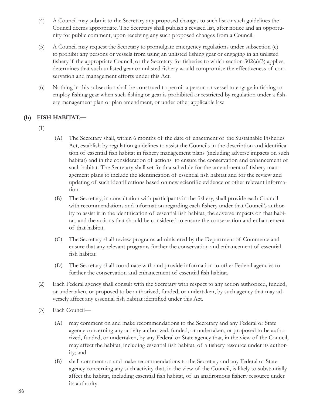- (4) A Council may submit to the Secretary any proposed changes to such list or such guidelines the Council deems appropriate. The Secretary shall publish a revised list, after notice and an opportunity for public comment, upon receiving any such proposed changes from a Council.
- (5) A Council may request the Secretary to promulgate emergency regulations under subsection (c) to prohibit any persons or vessels from using an unlisted fishing gear or engaging in an unlisted fishery if the appropriate Council, or the Secretary for fisheries to which section  $302(a)(3)$  applies, determines that such unlisted gear or unlisted fishery would compromise the effectiveness of conservation and management efforts under this Act.
- (6) Nothing in this subsection shall be construed to permit a person or vessel to engage in fishing or employ fishing gear when such fishing or gear is prohibited or restricted by regulation under a fishery management plan or plan amendment, or under other applicable law.

### **(b) FISH HABITAT.—**

- (1)
- (A) The Secretary shall, within 6 months of the date of enactment of the Sustainable Fisheries Act, establish by regulation guidelines to assist the Councils in the description and identification of essential fish habitat in fishery management plans (including adverse impacts on such habitat) and in the consideration of actions to ensure the conservation and enhancement of such habitat. The Secretary shall set forth a schedule for the amendment of fishery management plans to include the identification of essential fish habitat and for the review and updating of such identifications based on new scientific evidence or other relevant information.
- (B) The Secretary, in consultation with participants in the fishery, shall provide each Council with recommendations and information regarding each fishery under that Council's authority to assist it in the identification of essential fish habitat, the adverse impacts on that habitat, and the actions that should be considered to ensure the conservation and enhancement of that habitat.
- (C) The Secretary shall review programs administered by the Department of Commerce and ensure that any relevant programs further the conservation and enhancement of essential fish habitat.
- (D) The Secretary shall coordinate with and provide information to other Federal agencies to further the conservation and enhancement of essential fish habitat.
- (2) Each Federal agency shall consult with the Secretary with respect to any action authorized, funded, or undertaken, or proposed to be authorized, funded, or undertaken, by such agency that may adversely affect any essential fish habitat identified under this Act.
- (3) Each Council—
	- (A) may comment on and make recommendations to the Secretary and any Federal or State agency concerning any activity authorized, funded, or undertaken, or proposed to be authorized, funded, or undertaken, by any Federal or State agency that, in the view of the Council, may affect the habitat, including essential fish habitat, of a fishery resource under its authority; and
	- (B) shall comment on and make recommendations to the Secretary and any Federal or State agency concerning any such activity that, in the view of the Council, is likely to substantially affect the habitat, including essential fish habitat, of an anadromous fishery resource under its authority.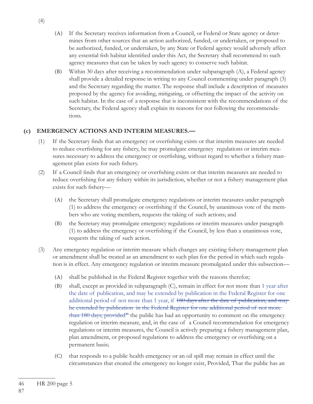- (A) If the Secretary receives information from a Council, or Federal or State agency or determines from other sources that an action authorized, funded, or undertaken, or proposed to be authorized, funded, or undertaken, by any State or Federal agency would adversely affect any essential fish habitat identified under this Act, the Secretary shall recommend to such agency measures that can be taken by such agency to conserve such habitat.
- (B) Within 30 days after receiving a recommendation under subparagraph (A), a Federal agency shall provide a detailed response in writing to any Council commenting under paragraph (3) and the Secretary regarding the matter. The response shall include a description of measures proposed by the agency for avoiding, mitigating, or offsetting the impact of the activity on such habitat. In the case of a response that is inconsistent with the recommendations of the Secretary, the Federal agency shall explain its reasons for not following the recommendations.

### **(c) EMERGENCY ACTIONS AND INTERIM MEASURES.—**

- (1) If the Secretary finds that an emergency or overfishing exists or that interim measures are needed to reduce overfishing for any fishery, he may promulgate emergency regulations or interim measures necessary to address the emergency or overfishing, without regard to whether a fishery management plan exists for such fishery.
- $(2)$  If a Council finds that an emergency or overfishing exists or that interim measures are needed to reduce overfishing for any fishery within its jurisdiction, whether or not a fishery management plan exists for such fishery-
	- (A) the Secretary shall promulgate emergency regulations or interim measures under paragraph (1) to address the emergency or overfishing if the Council, by unanimous vote of the members who are voting members, requests the taking of such actions; and
	- (B) the Secretary may promulgate emergency regulations or interim measures under paragraph  $(1)$  to address the emergency or overfishing if the Council, by less than a unanimous vote, requests the taking of such action.
- (3) Any emergency regulation or interim measure which changes any existing fishery management plan or amendment shall be treated as an amendment to such plan for the period in which such regulation is in effect. Any emergency regulation or interim measure promulgated under this subsection—
	- (A) shall be published in the Federal Register together with the reasons therefor;
	- (B) shall, except as provided in subparagraph (C), remain in effect for not more than 1 year after the date of publication, and may be extended by publication in the Federal Register for one additional period of not more than 1 year, if 180 days after the date of publication, and may be extended by publication in the Federal Register for one additional period of not more  $than 180 \text{ days}, provided*$  the public has had an opportunity to comment on the emergency regulation or interim measure, and, in the case of a Council recommendation for emergency regulations or interim measures, the Council is actively preparing a fishery management plan, plan amendment, or proposed regulations to address the emergency or overfishing on a permanent basis;
	- (C) that responds to a public health emergency or an oil spill may remain in effect until the circumstances that created the emergency no longer exist, Provided, That the public has an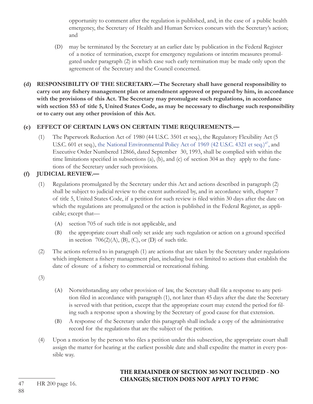opportunity to comment after the regulation is published, and, in the case of a public health emergency, the Secretary of Health and Human Services concurs with the Secretary's action; and

- (D) may be terminated by the Secretary at an earlier date by publication in the Federal Register of a notice of termination, except for emergency regulations or interim measures promulgated under paragraph (2) in which case such early termination may be made only upon the agreement of the Secretary and the Council concerned.
- **(d) RESPONSIBILITY OF THE SECRETARY.—The Secretary shall have general responsibility to**  carry out any fishery management plan or amendment approved or prepared by him, in accordance **with the provisions of this Act. The Secretary may promulgate such regulations, in accordance with section 553 of title 5, United States Code, as may be necessary to discharge such responsibility or to carry out any other provision of this Act.**

### **(e) EFFECT OF CERTAIN LAWS ON CERTAIN TIME REQUIREMENTS.—**

(1) The Paperwork Reduction Act of 1980 (44 U.S.C. 3501 et seq.), the Regulatory Flexibility Act (5 U.S.C. 601 et seq.), the National Environmental Policy Act of 1969 (42 U.S.C. 4321 et seq.)<sup>47</sup>, and Executive Order Numbered 12866, dated September 30, 1993, shall be complied with within the time limitations specified in subsections (a), (b), and (c) of section 304 as they apply to the functions of the Secretary under such provisions.

### **(f) JUDICIAL REVIEW.—**

- (1) Regulations promulgated by the Secretary under this Act and actions described in paragraph (2) shall be subject to judicial review to the extent authorized by, and in accordance with, chapter 7 of title 5, United States Code, if a petition for such review is filed within 30 days after the date on which the regulations are promulgated or the action is published in the Federal Register, as applicable; except that—
	- (A) section 705 of such title is not applicable, and
	- (B) the appropriate court shall only set aside any such regulation or action on a ground specified in section  $706(2)(A)$ , (B), (C), or (D) of such title.
- (2) The actions referred to in paragraph (1) are actions that are taken by the Secretary under regulations which implement a fishery management plan, including but not limited to actions that establish the date of closure of a fishery to commercial or recreational fishing.
- (3)
- (A) Notwithstanding any other provision of law, the Secretary shall file a response to any petition filed in accordance with paragraph (1), not later than 45 days after the date the Secretary is served with that petition, except that the appropriate court may extend the period for filing such a response upon a showing by the Secretary of good cause for that extension.
- (B) A response of the Secretary under this paragraph shall include a copy of the administrative record for the regulations that are the subject of the petition.
- $(4)$  Upon a motion by the person who files a petition under this subsection, the appropriate court shall assign the matter for hearing at the earliest possible date and shall expedite the matter in every possible way.

## **THE REMAINDER OF SECTION 305 NOT INCLUDED - NO CHANGES; SECTION DOES NOT APPLY TO PFMC**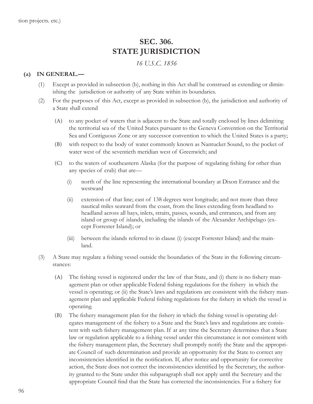# **SEC. 306. STATE JURISDICTION**

### *16 U.S.C. 1856*

#### **(a) IN GENERAL.—**

- (1) Except as provided in subsection (b), nothing in this Act shall be construed as extending or diminishing the jurisdiction or authority of any State within its boundaries.
- (2) For the purposes of this Act, except as provided in subsection (b), the jurisdiction and authority of a State shall extend
	- (A) to any pocket of waters that is adjacent to the State and totally enclosed by lines delimiting the territorial sea of the United States pursuant to the Geneva Convention on the Territorial Sea and Contiguous Zone or any successor convention to which the United States is a party;
	- (B) with respect to the body of water commonly known as Nantucket Sound, to the pocket of water west of the seventieth meridian west of Greenwich; and
	- (C) to the waters of southeastern Alaska (for the purpose of regulating fi shing for other than any species of crab) that are—
		- (i) north of the line representing the international boundary at Dixon Entrance and the westward
		- (ii) extension of that line; east of 138 degrees west longitude; and not more than three nautical miles seaward from the coast, from the lines extending from headland to headland across all bays, inlets, straits, passes, sounds, and entrances, and from any island or group of islands, including the islands of the Alexander Archipelago (except Forrester Island); or
		- (iii) between the islands referred to in clause (i) (except Forrester Island) and the mainland.
- (3) A State may regulate a fishing vessel outside the boundaries of the State in the following circumstances:
	- (A) The fishing vessel is registered under the law of that State, and (i) there is no fishery management plan or other applicable Federal fishing regulations for the fishery in which the vessel is operating; or (ii) the State's laws and regulations are consistent with the fishery management plan and applicable Federal fishing regulations for the fishery in which the vessel is operating.
	- (B) The fishery management plan for the fishery in which the fishing vessel is operating delegates management of the fishery to a State and the State's laws and regulations are consistent with such fishery management plan. If at any time the Secretary determines that a State law or regulation applicable to a fishing vessel under this circumstance is not consistent with the fishery management plan, the Secretary shall promptly notify the State and the appropriate Council of such determination and provide an opportunity for the State to correct any inconsistencies identified in the notification. If, after notice and opportunity for corrective action, the State does not correct the inconsistencies identified by the Secretary, the authority granted to the State under this subparagraph shall not apply until the Secretary and the appropriate Council find that the State has corrected the inconsistencies. For a fishery for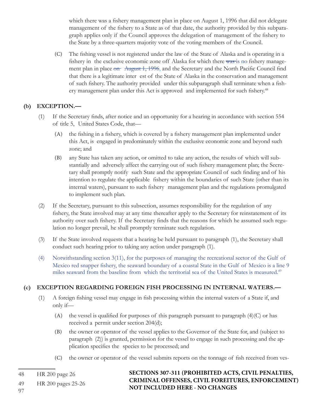which there was a fishery management plan in place on August 1, 1996 that did not delegate management of the fishery to a State as of that date, the authority provided by this subparagraph applies only if the Council approves the delegation of management of the fishery to the State by a three-quarters majority vote of the voting members of the Council.

(C) The fishing vessel is not registered under the law of the State of Alaska and is operating in a fishery in the exclusive economic zone off Alaska for which there was is no fishery management plan in place on August 1, 1996, and the Secretary and the North Pacific Council find that there is a legitimate inter est of the State of Alaska in the conservation and management of such fishery. The authority provided under this subparagraph shall terminate when a fishery management plan under this Act is approved and implemented for such fishery.<sup>48</sup>

#### **(b) EXCEPTION.—**

- (1) If the Secretary finds, after notice and an opportunity for a hearing in accordance with section 554 of title 5, United States Code, that—
	- (A) the fishing in a fishery, which is covered by a fishery management plan implemented under this Act, is engaged in predominately within the exclusive economic zone and beyond such zone; and
	- (B) any State has taken any action, or omitted to take any action, the results of which will substantially and adversely affect the carrying out of such fishery management plan; the Secretary shall promptly notify such State and the appropriate Council of such finding and of his intention to regulate the applicable fishery within the boundaries of such State (other than its internal waters), pursuant to such fishery management plan and the regulations promulgated to implement such plan.
- (2) If the Secretary, pursuant to this subsection, assumes responsibility for the regulation of any fishery, the State involved may at any time thereafter apply to the Secretary for reinstatement of its authority over such fishery. If the Secretary finds that the reasons for which he assumed such regulation no longer prevail, he shall promptly terminate such regulation.
- (3) If the State involved requests that a hearing be held pursuant to paragraph (1), the Secretary shall conduct such hearing prior to taking any action under paragraph (1).
- (4) Notwithstanding section 3(11), for the purposes of managing the recreational sector of the Gulf of Mexico red snapper fishery, the seaward boundary of a coastal State in the Gulf of Mexico is a line 9 miles seaward from the baseline from which the territorial sea of the United States is measured.<sup>49</sup>

### **(c) EXCEPTION REGARDING FOREIGN FISH PROCESSING IN INTERNAL WATERS.—**

- (1) A foreign fishing vessel may engage in fish processing within the internal waters of a State if, and only if—
	- (A) the vessel is qualified for purposes of this paragraph pursuant to paragraph  $(4)(C)$  or has received a permit under section 204(d);
	- (B) the owner or operator of the vessel applies to the Governor of the State for, and (subject to paragraph (2)) is granted, permission for the vessel to engage in such processing and the application specifies the species to be processed; and
	- (C) the owner or operator of the vessel submits reports on the tonnage of fish received from ves-

48 HR 200 page 26

**SECTIONS 307-311 (PROHIBITED ACTS, CIVIL PENALTIES, CRIMINAL OFFENSES, CIVIL FOREITURES, ENFORCEMENT) NOT INCLUDED HERE - NO CHANGES**

97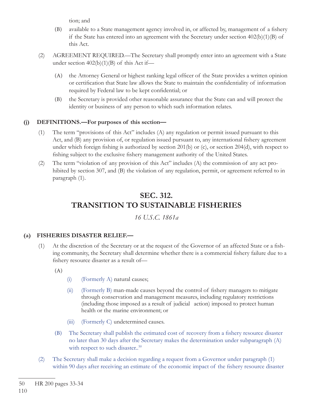tion; and

- (B) available to a State management agency involved in, or affected by, management of a fishery if the State has entered into an agreement with the Secretary under section  $402(b)(1)(B)$  of this Act.
- (2) AGREEMENT REQUIRED.—The Secretary shall promptly enter into an agreement with a State under section  $402(b)(1)(B)$  of this Act if—
	- (A) the Attorney General or highest ranking legal officer of the State provides a written opinion or certification that State law allows the State to maintain the confidentiality of information required by Federal law to be kept confidential; or
	- (B) the Secretary is provided other reasonable assurance that the State can and will protect the identity or business of any person to which such information relates.

#### **(j) DEFINITIONS.—For purposes of this section—**

- (1) The term "provisions of this Act" includes (A) any regulation or permit issued pursuant to this Act, and (B) any provision of, or regulation issued pursuant to, any international fishery agreement under which foreign fishing is authorized by section 201(b) or (c), or section 204(d), with respect to fishing subject to the exclusive fishery management authority of the United States.
- (2) The term "violation of any provision of this Act" includes (A) the commission of any act prohibited by section 307, and (B) the violation of any regulation, permit, or agreement referred to in paragraph (1).

# **SEC. 312. TRANSITION TO SUSTAINABLE FISHERIES**

*16 U.S.C. 1861a*

#### **(a) FISHERIES DISASTER RELIEF.—**

- $(1)$  At the discretion of the Secretary or at the request of the Governor of an affected State or a fishing community, the Secretary shall determine whether there is a commercial fishery failure due to a fishery resource disaster as a result of-
	- (A)
- (i) (Formerly A) natural causes;
- $(ii)$  (Formerly B) man-made causes beyond the control of fishery managers to mitigate through conservation and management measures, including regulatory restrictions (including those imposed as a result of judicial action) imposed to protect human health or the marine environment; or
- (iii) (Formerly C) undetermined causes.
- (B) The Secretary shall publish the estimated cost of recovery from a fishery resource disaster no later than 30 days after the Secretary makes the determination under subparagraph (A) with respect to such disaster..<sup>50</sup>
- (2) The Secretary shall make a decision regarding a request from a Governor under paragraph (1) within 90 days after receiving an estimate of the economic impact of the fishery resource disaster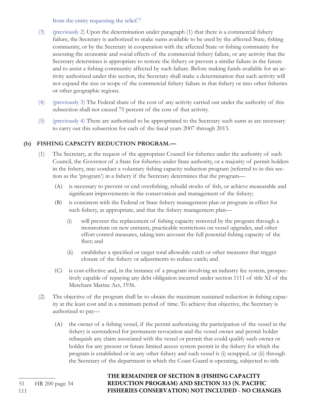from the entity requesting the relief. $51$ 

- (3) (previously 2) Upon the determination under paragraph (1) that there is a commercial fishery failure, the Secretary is authorized to make sums available to be used by the affected State, fishing community, or by the Secretary in cooperation with the affected State or fishing community for assessing the economic and social effects of the commercial fishery failure, or any activity that the Secretary determines is appropriate to restore the fishery or prevent a similar failure in the future and to assist a fishing community affected by such failure. Before making funds available for an activity authorized under this section, the Secretary shall make a determination that such activity will not expand the size or scope of the commercial fishery failure in that fishery or into other fisheries or other geographic regions.
- (4) (previously 3) The Federal share of the cost of any activity carried out under the authority of this subsection shall not exceed 75 percent of the cost of that activity.
- (5) (previously 4) There are authorized to be appropriated to the Secretary such sums as are necessary to carry out this subsection for each of the fiscal years 2007 through 2013.

### **(b) FISHING CAPACITY REDUCTION PROGRAM.—**

- (1) The Secretary, at the request of the appropriate Council for fisheries under the authority of such Council, the Governor of a State for fisheries under State authority, or a majority of permit holders in the fishery, may conduct a voluntary fishing capacity reduction program (referred to in this section as the 'program') in a fishery if the Secretary determines that the program—
	- (A) is necessary to prevent or end overfishing, rebuild stocks of fish, or achieve measurable and significant improvements in the conservation and management of the fishery;
	- (B) is consistent with the Federal or State fishery management plan or program in effect for such fishery, as appropriate, and that the fishery management plan—
		- (i) will prevent the replacement of fishing capacity removed by the program through a moratorium on new entrants, practicable restrictions on vessel upgrades, and other effort control measures, taking into account the full potential fishing capacity of the fleet; and
		- (ii) establishes a specified or target total allowable catch or other measures that trigger closure of the fishery or adjustments to reduce catch; and
	- (C) is cost-effective and, in the instance of a program involving an industry fee system, prospectively capable of repaying any debt obligation incurred under section 1111 of title XI of the Merchant Marine Act, 1936.
- $(2)$  The objective of the program shall be to obtain the maximum sustained reduction in fishing capacity at the least cost and in a minimum period of time. To achieve that objective, the Secretary is authorized to pay—
	- (A) the owner of a fishing vessel, if the permit authorizing the participation of the vessel in the fishery is surrendered for permanent revocation and the vessel owner and permit holder relinquish any claim associated with the vessel or permit that could qualify such owner or holder for any present or future limited access system permit in the fishery for which the program is established or in any other fishery and such vessel is (i) scrapped, or (ii) through the Secretary of the department in which the Coast Guard is operating, subjected to title

### **THE REMAINDER OF SECTION B (FISHING CAPACITY REDUCTION PROGRAM) AND SECTION 313 (N. PACIFIC FISHERIES CONSERVATION) NOT INCLUDED - NO CHANGES**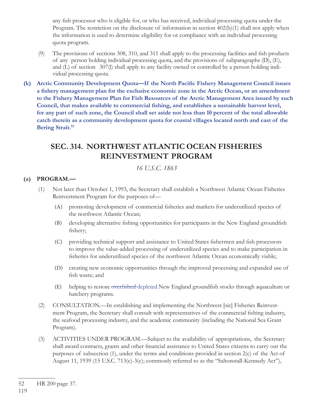any fish processor who is eligible for, or who has received, individual processing quota under the Program. The restriction on the disclosure of information in section 402(b)(1) shall not apply when the information is used to determine eligibility for or compliance with an individual processing quota program.

- (9) The provisions of sections  $308, 310,$  and  $311$  shall apply to the processing facilities and fish products of any person holding individual processing quota, and the provisions of subparagraphs (D), (E), and (L) of section 307(l) shall apply to any facility owned or controlled by a person holding individual processing quota.
- (k) Arctic Community Development Quota—If the North Pacific Fishery Management Council issues a fishery management plan for the exclusive economic zone in the Arctic Ocean, or an amendment **to the Fishery Management Plan for Fish Resources of the Arctic Management Area issued by such**  Council, that makes available to commercial fishing, and establishes a sustainable harvest level, **for any part of such zone, the Council shall set aside not less than 10 percent of the total allowable catch therein as a community development quota for coastal villages located north and east of the Bering Strait.52**

# **SEC. 314. NORTHWEST ATLANTIC OCEAN FISHERIES REINVESTMENT PROGRAM**

*16 U.S.C. 1863*

### **(a) PROGRAM.—**

- (1) Not later than October 1, 1993, the Secretary shall establish a Northwest Atlantic Ocean Fisheries Reinvestment Program for the purposes of—
	- (A) promoting development of commercial fisheries and markets for underutilized species of the northwest Atlantic Ocean;
	- (B) developing alternative fishing opportunities for participants in the New England groundfish fishery;
	- (C) providing technical support and assistance to United States fishermen and fish processors to improve the value-added processing of underutilized species and to make participation in fisheries for underutilized species of the northwest Atlantic Ocean economically viable;
	- (D) creating new economic opportunities through the improved processing and expanded use of fish waste; and
	- (E) helping to restore overfished depleted New England groundfish stocks through aquaculture or hatchery programs.
- (2) CONSULTATION.—In establishing and implementing the Northwest [sic] Fisheries Reinvestment Program, the Secretary shall consult with representatives of the commercial fishing industry, the seafood processing industry, and the academic community (including the National Sea Grant Program).
- (3) ACTIVITIES UNDER PROGRAM.—Subject to the availability of appropriations, the Secretary shall award contracts, grants and other financial assistance to United States citizens to carry out the purposes of subsection (1), under the terms and conditions provided in section 2(c) of the Act of August 11, 1939 (15 U.S.C. 713(c)-3(c); commonly referred to as the "Saltonstall-Kennedy Act"),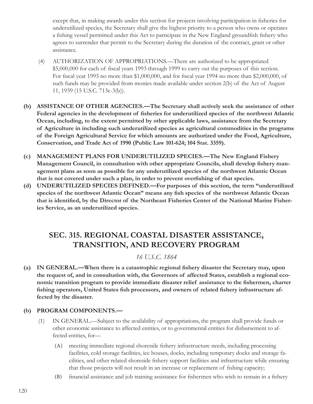except that, in making awards under this section for projects involving participation in fisheries for underutilized species, the Secretary shall give the highest priority to a person who owns or operates a fishing vessel permitted under this Act to participate in the New England groundfish fishery who agrees to surrender that permit to the Secretary during the duration of the contract, grant or other assistance.

- (4) AUTHORIZATION OF APPROPRIATIONS.—There are authorized to be appropriated \$5,000,000 for each of fiscal years 1993 through 1999 to carry out the purposes of this section. For fiscal year 1993 no more than  $$1,000,000$ , and for fiscal year 1994 no more than  $$2,000,000$ , of such funds may be provided from monies made available under section 2(b) of the Act of August 11, 1939 (15 U.S.C. 713c-3(b)).
- **(b) ASSISTANCE OF OTHER AGENCIES.—The Secretary shall actively seek the assistance of other**  Federal agencies in the development of fisheries for underutilized species of the northwest Atlantic **Ocean, including, to the extent permitted by other applicable laws, assistance from the Secretary of Agriculture in including such underutilized species as agricultural commodities in the programs of the Foreign Agricultural Service for which amounts are authorized under the Food, Agriculture, Conservation, and Trade Act of 1990 (Public Law 101-624; 104 Stat. 3359).**
- **(c) MANAGEMENT PLANS FOR UNDERUTILIZED SPECIES.—The New England Fishery Management Council, in consultation with other appropriate Councils, shall develop fishery management plans as soon as possible for any underutilized species of the northwest Atlantic Ocean**  that is not covered under such a plan, in order to prevent overfishing of that species.
- **(d) UNDERUTILIZED SPECIES DEFINED.—For purposes of this section, the term "underutilized**  species of the northwest Atlantic Ocean" means any fish species of the northwest Atlantic Ocean that is identified, by the Director of the Northeast Fisheries Center of the National Marine Fisher**ies Service, as an underutilized species.**

# SEC. 315. REGIONAL COASTAL DISASTER ASSISTANCE, **TRANSITION, AND RECOVERY PROGRAM**

## *16 U.S.C. 1864*

(a) IN GENERAL.—When there is a catastrophic regional fishery disaster the Secretary may, upon **the request of, and in consultation with, the Governors of affected States, establish a regional economic transition program to provide immediate disaster relief assistance to the fishermen, charter** fishing operators, United States fish processors, and owners of related fishery infrastructure af**fected by the disaster.**

### **(b) PROGRAM COMPONENTS.—**

- (1) IN GENERAL.—Subject to the availability of appropriations, the program shall provide funds or other economic assistance to affected entities, or to governmental entities for disbursement to affected entities, for—
	- (A) meeting immediate regional shoreside fishery infrastructure needs, including processing facilities, cold storage facilities, ice houses, docks, including temporary docks and storage facilities, and other related shoreside fishery support facilities and infrastructure while ensuring that those projects will not result in an increase or replacement of fishing capacity;
	- (B) financial assistance and job training assistance for fishermen who wish to remain in a fishery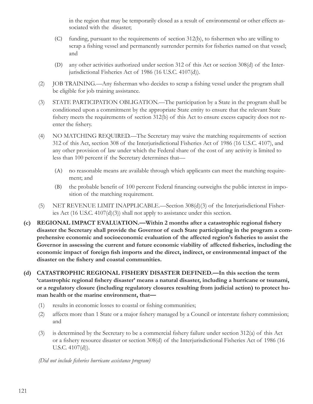in the region that may be temporarily closed as a result of environmental or other effects associated with the disaster;

- (C) funding, pursuant to the requirements of section  $312(b)$ , to fishermen who are willing to scrap a fishing vessel and permanently surrender permits for fisheries named on that vessel; and
- (D) any other activities authorized under section 312 of this Act or section 308(d) of the Interjurisdictional Fisheries Act of 1986 (16 U.S.C. 4107(d)).
- (2) JOB TRAINING.—Any fisherman who decides to scrap a fishing vessel under the program shall be eligible for job training assistance.
- (3) STATE PARTICIPATION OBLIGATION.—The participation by a State in the program shall be conditioned upon a commitment by the appropriate State entity to ensure that the relevant State fishery meets the requirements of section 312(b) of this Act to ensure excess capacity does not reenter the fishery.
- (4) NO MATCHING REQUIRED.—The Secretary may waive the matching requirements of section 312 of this Act, section 308 of the Interjurisdictional Fisheries Act of 1986 (16 U.S.C. 4107), and any other provision of law under which the Federal share of the cost of any activity is limited to less than 100 percent if the Secretary determines that—
	- (A) no reasonable means are available through which applicants can meet the matching requirement; and
	- (B) the probable benefit of 100 percent Federal financing outweighs the public interest in imposition of the matching requirement.
- (5) NET REVENUE LIMIT INAPPLICABLE.—Section 308(d)(3) of the Interjurisdictional Fisheries Act (16 U.S.C. 4107(d)(3)) shall not apply to assistance under this section.
- (c) REGIONAL IMPACT EVALUATION.—Within 2 months after a catastrophic regional fishery **disaster the Secretary shall provide the Governor of each State participating in the program a com**prehensive economic and socioeconomic evaluation of the affected region's fisheries to assist the Governor in assessing the current and future economic viability of affected fisheries, including the economic impact of foreign fish imports and the direct, indirect, or environmental impact of the disaster on the fishery and coastal communities.
- **(d) CATASTROPHIC REGIONAL FISHERY DISASTER DEFINED.—In this section the term**  'catastrophic regional fishery disaster' means a natural disaster, including a hurricane or tsunami, **or a regulatory closure (including regulatory closures resulting from judicial action) to protect human health or the marine environment, that—**
	- (1) results in economic losses to coastal or fishing communities;
	- (2) affects more than 1 State or a major fishery managed by a Council or interstate fishery commission; and
	- (3) is determined by the Secretary to be a commercial fishery failure under section  $312(a)$  of this Act or a fishery resource disaster or section 308(d) of the Interjurisdictional Fisheries Act of 1986 (16 U.S.C. 4107(d)).

*(Did not include fi sheries hurricane assistance program)*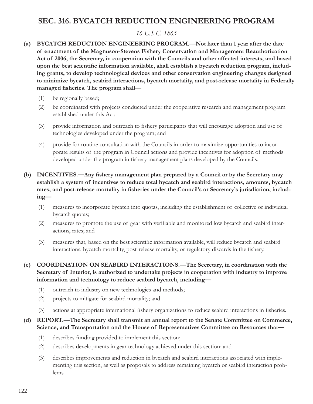# **SEC. 316. BYCATCH REDUCTION ENGINEERING PROGRAM**

## *16 U.S.C. 1865*

- **(a) BYCATCH REDUCTION ENGINEERING PROGRAM.—Not later than 1 year after the date of enactment of the Magnuson-Stevens Fishery Conservation and Management Reauthorization Act of 2006, the Secretary, in cooperation with the Councils and other affected interests, and based**  upon the best scientific information available, shall establish a bycatch reduction program, includ**ing grants, to develop technological devices and other conservation engineering changes designed to minimize bycatch, seabird interactions, bycatch mortality, and post-release mortality in Federally**  managed fisheries. The program shall-
	- (1) be regionally based;
	- (2) be coordinated with projects conducted under the cooperative research and management program established under this Act;
	- (3) provide information and outreach to fishery participants that will encourage adoption and use of technologies developed under the program; and
	- (4) provide for routine consultation with the Councils in order to maximize opportunities to incorporate results of the program in Council actions and provide incentives for adoption of methods developed under the program in fishery management plans developed by the Councils.
- **(b) INCENTIVES.—Any fishery management plan prepared by a Council or by the Secretary may establish a system of incentives to reduce total bycatch and seabird interactions, amounts, bycatch**  rates, and post-release mortality in fisheries under the Council's or Secretary's jurisdiction, includ**ing—**
	- (1) measures to incorporate bycatch into quotas, including the establishment of collective or individual bycatch quotas;
	- (2) measures to promote the use of gear with verifiable and monitored low bycatch and seabird interactions, rates; and
	- (3) measures that, based on the best scientific information available, will reduce bycatch and seabird interactions, bycatch mortality, post-release mortality, or regulatory discards in the fishery.
- **(c) COORDINATION ON SEABIRD INTERACTIONS.—The Secretary, in coordination with the Secretary of Interior, is authorized to undertake projects in cooperation with industry to improve information and technology to reduce seabird bycatch, including—**
	- (1) outreach to industry on new technologies and methods;
	- (2) projects to mitigate for seabird mortality; and
	- (3) actions at appropriate international fishery organizations to reduce seabird interactions in fisheries.

#### **(d) REPORT.—The Secretary shall transmit an annual report to the Senate Committee on Commerce, Science, and Transportation and the House of Representatives Committee on Resources that—**

- (1) describes funding provided to implement this section;
- (2) describes developments in gear technology achieved under this section; and
- (3) describes improvements and reduction in bycatch and seabird interactions associated with implementing this section, as well as proposals to address remaining bycatch or seabird interaction problems.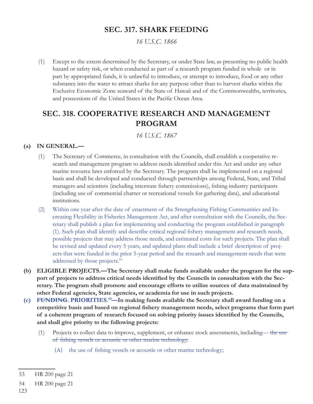## **SEC . 317. SHARK FEEDING**

*16 U.S.C. 1866*

(1) Except to the extent determined by the Secretary, or under State law, as presenting no public health hazard or safety risk, or when conducted as part of a research program funded in whole or in part by appropriated funds, it is unlawful to introduce, or attempt to introduce, food or any other substance into the water to attract sharks for any purpose other than to harvest sharks within the Exclusive Economic Zone seaward of the State of Hawaii and of the Commonwealths, territories, and possessions of the United States in the Pacific Ocean Area.

## **SEC . 318. COOPERATIVE RESEARCH AND MANAGEMENT PROGRAM**

*16 U.S.C. 1867*

### **(a) IN GENERAL.—**

- (1) The Secretary of Commerce, in consultation with the Councils, shall establish a cooperative research and management program to address needs identified under this Act and under any other marine resource laws enforced by the Secretary. The program shall be implemented on a regional basis and shall be developed and conducted through partnerships among Federal, State, and Tribal managers and scientists (including interstate fishery commissions), fishing industry participants (including use of commercial charter or recreational vessels for gathering data), and educational institutions.
- (2) Within one year after the date of enactment of the Strengthening Fishing Communities and Increasing Flexibility in Fisheries Management Act, and after consultation with the Councils, the Secretary shall publish a plan for implementing and conducting the program established in paragraph (1). Such plan shall identify and describe critical regional fishery management and research needs, possible projects that may address those needs, and estimated costs for such projects. The plan shall be revised and updated every 5 years, and updated plans shall include a brief description of projects that were funded in the prior 5-year period and the research and management needs that were addressed by those projects.<sup>53</sup>
- **(b) ELIGIBLE PROJECTS.—The Secretary shall make funds available under the program for the sup**port of projects to address critical needs identified by the Councils in consultation with the Sec**retary. The program shall promote and encourage efforts to utilize sources of data maintained by other Federal agencies, State agencies, or academia for use in such projects.**
- **(c) FUNDING. PRIORITIES.54—In making funds available the Secretary shall award funding on a**  competitive basis and based on regional fishery management needs, select programs that form part of a coherent program of research focused on solving priority issues identified by the Councils, **and shall give priority to the following projects:**
	- (1) Projects to collect data to improve, supplement, or enhance stock assessments, including— the use of fishing vessels or acoustic or other marine technology.
		- (A) the use of fishing vessels or acoustic or other marine technology;

<sup>53</sup> HR 200 page 21

<sup>54</sup> HR 200 page 21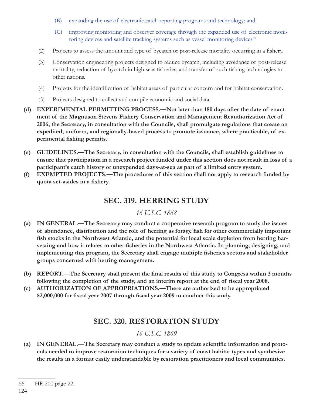- (B) expanding the use of electronic catch reporting programs and technology; and
- (C) improving monitoring and observer coverage through the expanded use of electronic monitoring devices and satellite tracking systems such as vessel monitoring devices<sup>55</sup>
- (2) Projects to assess the amount and type of bycatch or post-release mortality occurring in a fishery.
- (3) Conservation engineering projects designed to reduce bycatch, including avoidance of post-release mortality, reduction of bycatch in high seas fisheries, and transfer of such fishing technologies to other nations.
- (4) Projects for the identification of habitat areas of particular concern and for habitat conservation.
- (5) Projects designed to collect and compile economic and social data.
- **(d) EXPERIMENTAL PERMITTING PROCESS.—Not later than 180 days after the date of enactment of the Magnuson Stevens Fishery Conservation and Management Reauthorization Act of 2006, the Secretary, in consultation with the Councils, shall promulgate regulations that create an expedited, uniform, and regionally-based process to promote issuance, where practicable, of ex**perimental fishing permits.
- **(e) GUIDELINES.—The Secretary, in consultation with the Councils, shall establish guidelines to ensure that participation in a research project funded under this section does not result in loss of a participant's catch history or unexpended days-at-sea as part of a limited entry system.**
- **(f) EXEMPTED PROJECTS.—The procedures of this section shall not apply to research funded by**  quota set-asides in a fishery.

# **SEC. 319. HERRING STUDY**

### *16 U.S.C. 1868*

- **(a) IN GENERAL.—The Secretary may conduct a cooperative research program to study the issues**  of abundance, distribution and the role of herring as forage fish for other commercially important fish stocks in the Northwest Atlantic, and the potential for local scale depletion from herring harvesting and how it relates to other fisheries in the Northwest Atlantic. In planning, designing, and implementing this program, the Secretary shall engage multiple fisheries sectors and stakeholder **groups concerned with herring management.**
- **(b) REPORT.—The Secretary shall present the final results of this study to Congress within 3 months** following the completion of the study, and an interim report at the end of fiscal year 2008.
- **(c) AUTHORIZATION OF APPROPRIATIONS.—There are authorized to be appropriated**  \$2,000,000 for fiscal year 2007 through fiscal year 2009 to conduct this study.

## **SEC. 320. RESTORATION STUDY**

## *16 U.S.C. 1869*

(a) IN GENERAL.—The Secretary may conduct a study to update scientific information and proto**cols needed to improve restoration techniques for a variety of coast habitat types and synthesize the results in a format easily understandable by restoration practitioners and local communities.**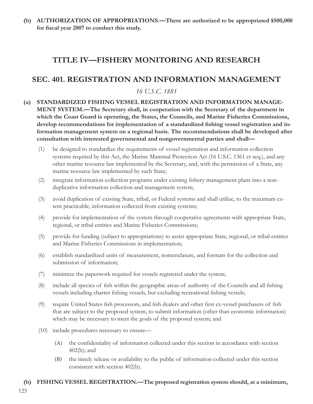**(b) AUTHORIZATION OF APPROPRIATIONS.—There are authorized to be appropriated \$500,000**  for fiscal year 2007 to conduct this study.

# TITLE IV—FISHERY MONITORING AND RESEARCH

## **SEC. 401. REGISTRATION AND INFORMATION MANAGEMENT**

## *16 U.S.C. 1881*

- **(a) STANDARDIZED FISHING VESSEL REGISTRATION AND INFORMATION MANAGE-MENT SYSTEM.—The Secretary shall, in cooperation with the Secretary of the department in which the Coast Guard is operating, the States, the Councils, and Marine Fisheries Commissions,**  develop recommendations for implementation of a standardized fishing vessel registration and in**formation management system on a regional basis. The recommendations shall be developed after consultation with interested governmental and nongovernmental parties and shall—**
	- (1) be designed to standardize the requirements of vessel registration and information collection systems required by this Act, the Marine Mammal Protection Act (16 U.S.C. 1361 et seq.), and any other marine resource law implemented by the Secretary, and, with the permission of a State, any marine resource law implemented by such State;
	- (2) integrate information collection programs under existing fishery management plans into a nonduplicative information collection and management system;
	- (3) avoid duplication of existing State, tribal, or Federal systems and shall utilize, to the maximum extent practicable, information collected from existing systems;
	- (4) provide for implementation of the system through cooperative agreements with appropriate State, regional, or tribal entities and Marine Fisheries Commissions;
	- (5) provide for funding (subject to appropriations) to assist appropriate State, regional, or tribal entities and Marine Fisheries Commissions in implementation;
	- (6) establish standardized units of measurement, nomenclature, and formats for the collection and submission of information;
	- (7) minimize the paperwork required for vessels registered under the system;
	- (8) include all species of fish within the geographic areas of authority of the Councils and all fishing vessels including charter fishing vessels, but excluding recreational fishing vessels;
	- (9) require United States fish processors, and fish dealers and other first ex-vessel purchasers of fish that are subject to the proposed system, to submit information (other than economic information) which may be necessary to meet the goals of the proposed system; and
	- (10) include procedures necessary to ensure—
		- (A) the confidentiality of information collected under this section in accordance with section 402(b); and
		- (B) the timely release or availability to the public of information collected under this section consistent with section 402(b).

#### **(b) FISHING VESSEL REGISTRATION.—The proposed registration system should, at a minimum,**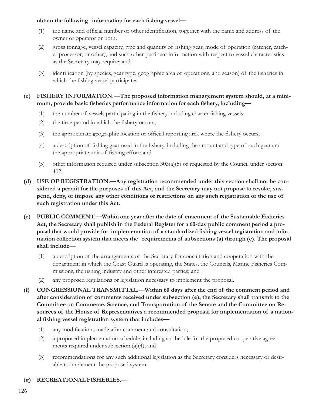#### **obtain the following information** for each fishing vessel—

- (1) the name and official number or other identification, together with the name and address of the owner or operator or both;
- (2) gross tonnage, vessel capacity, type and quantity of fishing gear, mode of operation (catcher, catcher processor, or other), and such other pertinent information with respect to vessel characteristics as the Secretary may require; and
- (3) identification (by species, gear type, geographic area of operations, and season) of the fisheries in which the fishing vessel participates.

#### **(c) FISHERY INFORMATION.—The proposed information management system should, at a mini**mum, provide basic fisheries performance information for each fishery, including-

- $(1)$  the number of vessels participating in the fishery including charter fishing vessels;
- $(2)$  the time period in which the fishery occurs;
- (3) the approximate geographic location or official reporting area where the fishery occurs;
- (4) a description of fishing gear used in the fishery, including the amount and type of such gear and the appropriate unit of fishing effort; and
- (5) other information required under subsection  $303(a)(5)$  or requested by the Council under section 402.
- **(d) USE OF REGISTRATION.—Any registration recommended under this section shall not be considered a permit for the purposes of this Act, and the Secretary may not propose to revoke, suspend, deny, or impose any other conditions or restrictions on any such registration or the use of such registration under this Act.**
- **(e) PUBLIC COMMENT.—Within one year after the date of enactment of the Sustainable Fisheries Act, the Secretary shall publish in the Federal Register for a 60-day public comment period a pro**posal that would provide for implementation of a standardized fishing vessel registration and infor**mation collection system that meets the requirements of subsections (a) through (c). The proposal shall include—**
	- (1) a description of the arrangements of the Secretary for consultation and cooperation with the department in which the Coast Guard is operating, the States, the Councils, Marine Fisheries Commissions, the fishing industry and other interested parties; and
	- (2) any proposed regulations or legislation necessary to implement the proposal.
- **(f) CONGRESSIONAL TRANSMITTAL.—Within 60 days after the end of the comment period and after consideration of comments received under subsection (e), the Secretary shall transmit to the Committee on Commerce, Science, and Transportation of the Senate and the Committee on Resources of the House of Representatives a recommended proposal for implementation of a national fi shing vessel registration system that includes—**
	- (1) any modifications made after comment and consultation;
	- (2) a proposed implementation schedule, including a schedule for the proposed cooperative agreements required under subsection (a)(4); and
	- (3) recommendations for any such additional legislation as the Secretary considers necessary or desirable to implement the proposed system.

### **(g) RECREATIONAL FISHERIES.—**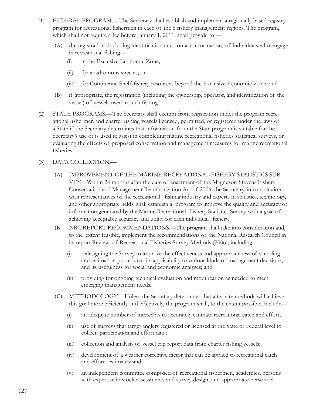- (1) FEDERAL PROGRAM.—The Secretary shall establish and implement a regionally based registry program for recreational fishermen in each of the 8 fishery management regions. The program, which shall not require a fee before January 1, 2011, shall provide for—
	- (A) the registration (including identification and contact information) of individuals who engage in recreational fishing—
		- (i) in the Exclusive Economic Zone;
		- (ii) for anadromous species; or
		- (iii) for Continental Shelf fishery resources beyond the Exclusive Economic Zone; and
	- (B) if appropriate, the registration (including the ownership, operator, and identification of the vessel) of vessels used in such fishing.
- (2) STATE PROGRAMS.—The Secretary shall exempt from registration under the program recreational fishermen and charter fishing vessels licensed, permitted, or registered under the laws of a State if the Secretary determines that information from the State program is suitable for the Secretary's use or is used to assist in completing marine recreational fisheries statistical surveys, or evaluating the effects of proposed conservation and management measures for marine recreational fisheries.

#### (3) DATA COLLECTION.—

- (A) IMPROVEMENT OF THE MARINE RECREATIONAL FISHERY STATISTICS SUR-VEY.—Within 24 months after the date of enactment of the Magnuson-Stevens Fishery Conservation and Management Reauthorization Act of 2006, the Secretary, in consultation with representatives of the recreational fishing industry and experts in statistics, technology, and other appropriate fields, shall establish a program to improve the quality and accuracy of information generated by the Marine Recreational Fishery Statistics Survey, with a goal of achieving acceptable accuracy and utility for each individual fishery.
- (B) NRC REPORT RECOMMENDATIONS.—The program shall take into consideration and, to the extent feasible, implement the recommendations of the National Research Council in its report Review of Recreational Fisheries Survey Methods (2006), including—
	- (i) redesigning the Survey to improve the effectiveness and appropriateness of sampling and estimation procedures, its applicability to various kinds of management decisions, and its usefulness for social and economic analyses; and
	- (ii) providing for ongoing technical evaluation and modification as needed to meet emerging management needs.
- (C) METHODOLOGY.—Unless the Secretary determines that alternate methods will achieve this goal more efficiently and effectively, the program shall, to the extent possible, include—
	- (i) an adequate number of intercepts to accurately estimate recreational catch and effort;
	- (ii) use of surveys that target anglers registered or licensed at the State or Federal level to collect participation and effort data;
	- (iii) collection and analysis of vessel trip report data from charter fishing vessels;
	- (iv) development of a weather corrective factor that can be applied to recreational catch and effort estimates; and
	- (v) an independent committee composed of recreational fishermen, academics, persons with expertise in stock assessments and survey design, and appropriate personnel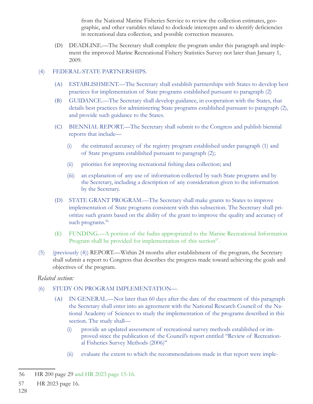from the National Marine Fisheries Service to review the collection estimates, geographic, and other variables related to dockside intercepts and to identify deficiencies in recreational data collection, and possible correction measures.

(D) DEADLINE.—The Secretary shall complete the program under this paragraph and implement the improved Marine Recreational Fishery Statistics Survey not later than January 1, 2009.

#### (4) FEDERAL-STATE PARTNERSHIPS.

- (A) ESTABLISHMENT.—The Secretary shall establish partnerships with States to develop best practices for implementation of State programs established pursuant to paragraph (2)
- (B) GUIDANCE.—The Secretary shall develop guidance, in cooperation with the States, that details best practices for administering State programs established pursuant to paragraph (2), and provide such guidance to the States.
- (C) BIENNIAL REPORT.—The Secretary shall submit to the Congress and publish biennial reports that include—
	- (i) the estimated accuracy of the registry program established under paragraph (1) and of State programs established pursuant to paragraph (2);
	- (ii) priorities for improving recreational fishing data collection; and
	- (iii) an explanation of any use of information collected by such State programs and by the Secretary, including a description of any consideration given to the information by the Secretary.
- (D) STATE GRANT PROGRAM.—The Secretary shall make grants to States to improve implementation of State programs consistent with this subsection. The Secretary shall prioritize such grants based on the ability of the grant to improve the quality and accuracy of such programs.<sup>56</sup>
- (E) FUNDING.—A portion of the fudns appropriated to the Marine Recreational Information Program shall be provided for implementation of this section<sup>57</sup>.
- (5) (previously (4)) REPORT.—Within 24 months after establishment of the program, the Secretary shall submit a report to Congress that describes the progress made toward achieving the goals and objectives of the program.

### *Related section:*

- (6) STUDY ON PROGRAM IMPLEMENTATION—
	- (A) IN GENERAL.—Not later than 60 days after the date of the enactment of this paragraph the Secretary shall enter into an agreement with the National Research Council of the National Academy of Sciences to study the implementation of the programs described in this section. The study shall—
		- (i) provide an updated assessment of recreational survey methods established or improved since the publication of the Council's report entitled ''Review of Recreational Fisheries Survey Methods (2006)''
		- (ii) evaluate the extent to which the recommendations made in that report were imple-

<sup>56</sup> HR 200 page 29 and HR 2023 page 15-16.

<sup>57</sup> HR 2023 page 16.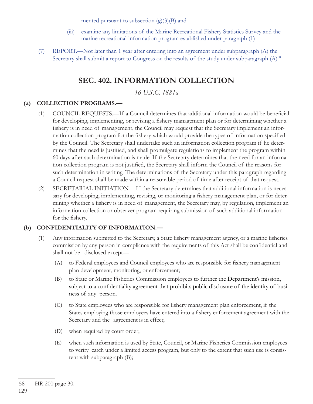mented pursuant to subsection  $(g)(3)(B)$  and

- (iii) examine any limitations of the Marine Recreational Fishery Statistics Survey and the marine recreational information program established under paragraph (1)
- (7) REPORT.—Not later than 1 year after entering into an agreement under subparagraph (A) the Secretary shall submit a report to Congress on the results of the study under subparagraph  $(A)$ <sup>58</sup>

## **SEC. 402. INFORMATION COLLECTION**

*16 U.S.C. 1881a*

### **(a) COLLECTION PROGRAMS.—**

- (1) COUNCIL REQUESTS.—If a Council determines that additional information would be beneficial for developing, implementing, or revising a fishery management plan or for determining whether a fishery is in need of management, the Council may request that the Secretary implement an information collection program for the fishery which would provide the types of information specified by the Council. The Secretary shall undertake such an information collection program if he determines that the need is justified, and shall promulgate regulations to implement the program within 60 days after such determination is made. If the Secretary determines that the need for an information collection program is not justified, the Secretary shall inform the Council of the reasons for such determination in writing. The determinations of the Secretary under this paragraph regarding a Council request shall be made within a reasonable period of time after receipt of that request.
- (2) SECRETARIAL INITIATION.—If the Secretary determines that additional information is necessary for developing, implementing, revising, or monitoring a fishery management plan, or for determining whether a fishery is in need of management, the Secretary may, by regulation, implement an information collection or observer program requiring submission of such additional information for the fishery.

#### **(b) CONFIDENTIALITY OF INFORMATION.—**

- (1) Any information submitted to the Secretary, a State fishery management agency, or a marine fisheries commission by any person in compliance with the requirements of this Act shall be confidential and shall not be disclosed except—
	- (A) to Federal employees and Council employees who are responsible for fishery management plan development, monitoring, or enforcement;
	- (B) to State or Marine Fisheries Commission employees to further the Department's mission, subject to a confidentiality agreement that prohibits public disclosure of the identity of business of any person.
	- (C) to State employees who are responsible for fishery management plan enforcement, if the States employing those employees have entered into a fishery enforcement agreement with the Secretary and the agreement is in effect;
	- (D) when required by court order;
	- (E) when such information is used by State, Council, or Marine Fisheries Commission employees to verify catch under a limited access program, but only to the extent that such use is consistent with subparagraph (B);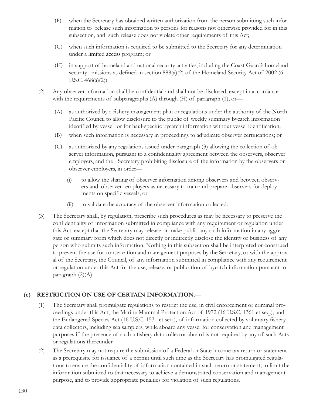- (F) when the Secretary has obtained written authorization from the person submitting such information to release such information to persons for reasons not otherwise provided for in this subsection, and such release does not violate other requirements of this Act;
- (G) when such information is required to be submitted to the Secretary for any determination under a limited access program; or
- (H) in support of homeland and national security activities, including the Coast Guard's homeland security missions as defined in section  $888(a)(2)$  of the Homeland Security Act of 2002 (6 U.S.C.  $468(a)(2)$ ).
- (2) Any observer information shall be confidential and shall not be disclosed, except in accordance with the requirements of subparagraphs  $(A)$  through  $(H)$  of paragraph  $(1)$ , or—
	- (A) as authorized by a fishery management plan or regulations under the authority of the North Pacific Council to allow disclosure to the public of weekly summary bycatch information identified by vessel or for haul-specific bycatch information without vessel identification;
	- (B) when such information is necessary in proceedings to adjudicate observer certifications; or
	- (C) as authorized by any regulations issued under paragraph (3) allowing the collection of observer information, pursuant to a confidentiality agreement between the observers, observer employers, and the Secretary prohibiting disclosure of the information by the observers or observer employers, in order—
		- (i) to allow the sharing of observer information among observers and between observers and observer employers as necessary to train and prepare observers for deployments on specific vessels; or
		- (ii) to validate the accuracy of the observer information collected.
- (3) The Secretary shall, by regulation, prescribe such procedures as may be necessary to preserve the confidentiality of information submitted in compliance with any requirement or regulation under this Act, except that the Secretary may release or make public any such information in any aggregate or summary form which does not directly or indirectly disclose the identity or business of any person who submits such information. Nothing in this subsection shall be interpreted or construed to prevent the use for conservation and management purposes by the Secretary, or with the approval of the Secretary, the Council, of any information submitted in compliance with any requirement or regulation under this Act for the use, release, or publication of bycatch information pursuant to paragraph (2)(A).

#### **(c) RESTRICTION ON USE OF CERTAIN INFORMATION.—**

- (1) The Secretary shall promulgate regulations to restrict the use, in civil enforcement or criminal proceedings under this Act, the Marine Mammal Protection Act of 1972 (16 U.S.C. 1361 et seq.), and the Endangered Species Act (16 U.S.C. 1531 et seq.), of information collected by voluntary fishery data collectors, including sea samplers, while aboard any vessel for conservation and management purposes if the presence of such a fishery data collector aboard is not required by any of such Acts or regulations thereunder.
- (2) The Secretary may not require the submission of a Federal or State income tax return or statement as a prerequisite for issuance of a permit until such time as the Secretary has promulgated regulations to ensure the confidentiality of information contained in such return or statement, to limit the information submitted to that necessary to achieve a demonstrated conservation and management purpose, and to provide appropriate penalties for violation of such regulations.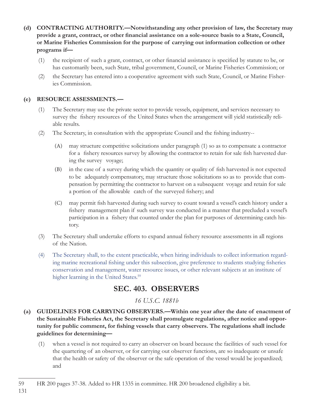- **(d) CONTRACTING AUTHORITY.—Notwithstanding any other provision of law, the Secretary may**  provide a grant, contract, or other financial assistance on a sole-source basis to a State, Council, **or Marine Fisheries Commission for the purpose of carrying out information collection or other programs if—**
	- $(1)$  the recipient of such a grant, contract, or other financial assistance is specified by statute to be, or has customarily been, such State, tribal government, Council, or Marine Fisheries Commission; or
	- (2) the Secretary has entered into a cooperative agreement with such State, Council, or Marine Fisheries Commission.

#### **(e) RESOURCE ASSESSMENTS.—**

- (1) The Secretary may use the private sector to provide vessels, equipment, and services necessary to survey the fishery resources of the United States when the arrangement will yield statistically reliable results.
- $(2)$  The Secretary, in consultation with the appropriate Council and the fishing industry--
	- (A) may structure competitive solicitations under paragraph (1) so as to compensate a contractor for a fishery resources survey by allowing the contractor to retain for sale fish harvested during the survey voyage;
	- (B) in the case of a survey during which the quantity or quality of fish harvested is not expected to be adequately compensatory, may structure those solicitations so as to provide that compensation by permitting the contractor to harvest on a subsequent voyage and retain for sale a portion of the allowable catch of the surveyed fishery; and
	- (C) may permit fish harvested during such survey to count toward a vessel's catch history under a fishery management plan if such survey was conducted in a manner that precluded a vessel's participation in a fishery that counted under the plan for purposes of determining catch history.
- (3) The Secretary shall undertake efforts to expand annual fishery resource assessments in all regions of the Nation.
- (4) The Secretary shall, to the extent practicable, when hiring individuals to collect information regarding marine recreational fishing under this subsection, give preference to students studying fisheries conservation and management, water resource issues, or other relevant subjects at an institute of higher learning in the United States.<sup>59</sup>

### **SEC. 403. OBSERVERS**

#### *16 U.S.C. 1881b*

- **(a) GUIDELINES FOR CARRYING OBSERVERS.—Within one year after the date of enactment of the Sustainable Fisheries Act, the Secretary shall promulgate regulations, after notice and oppor**tunity for public comment, for fishing vessels that carry observers. The regulations shall include **guidelines for determining—**
	- (1) when a vessel is not required to carry an observer on board because the facilities of such vessel for the quartering of an observer, or for carrying out observer functions, are so inadequate or unsafe that the health or safety of the observer or the safe operation of the vessel would be jeopardized; and

<sup>59</sup> HR 200 pages 37-38. Added to HR 1335 in committee. HR 200 broadened eligibility a bit.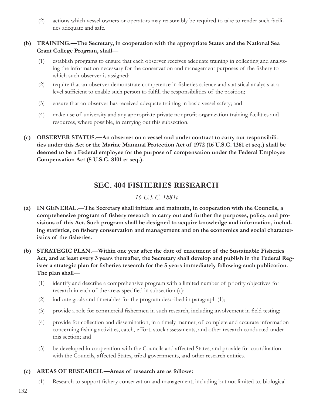(2) actions which vessel owners or operators may reasonably be required to take to render such facilities adequate and safe.

#### **(b) TRAINING.—The Secretary, in cooperation with the appropriate States and the National Sea Grant College Program, shall—**

- (1) establish programs to ensure that each observer receives adequate training in collecting and analyzing the information necessary for the conservation and management purposes of the fishery to which such observer is assigned;
- (2) require that an observer demonstrate competence in fisheries science and statistical analysis at a level sufficient to enable such person to fulfill the responsibilities of the position;
- (3) ensure that an observer has received adequate training in basic vessel safety; and
- (4) make use of university and any appropriate private nonprofi t organization training facilities and resources, where possible, in carrying out this subsection.
- **(c) OBSERVER STATUS.—An observer on a vessel and under contract to carry out responsibilities under this Act or the Marine Mammal Protection Act of 1972 (16 U.S.C. 1361 et seq.) shall be deemed to be a Federal employee for the purpose of compensation under the Federal Employee Compensation Act (5 U.S.C. 8101 et seq.).**

### **SEC. 404 FISHERIES RESEARCH**

### *16 U.S.C. 1881c*

- **(a) IN GENERAL.—The Secretary shall initiate and maintain, in cooperation with the Councils, a**  comprehensive program of fishery research to carry out and further the purposes, policy, and pro**visions of this Act. Such program shall be designed to acquire knowledge and information, includ**ing statistics, on fishery conservation and management and on the economics and social character**istics of the fisheries.**
- **(b) STRATEGIC PLAN.—Within one year after the date of enactment of the Sustainable Fisheries Act, and at least every 3 years thereafter, the Secretary shall develop and publish in the Federal Reg**ister a strategic plan for fisheries research for the 5 years immediately following such publication. **The plan shall—**
	- (1) identify and describe a comprehensive program with a limited number of priority objectives for research in each of the areas specified in subsection  $(c)$ ;
	- (2) indicate goals and timetables for the program described in paragraph (1);
	- (3) provide a role for commercial fishermen in such research, including involvement in field testing;
	- (4) provide for collection and dissemination, in a timely manner, of complete and accurate information concerning fishing activities, catch, effort, stock assessments, and other research conducted under this section; and
	- (5) be developed in cooperation with the Councils and affected States, and provide for coordination with the Councils, affected States, tribal governments, and other research entities.

#### **(c) AREAS OF RESEARCH.—Areas of research are as follows:**

(1) Research to support fishery conservation and management, including but not limited to, biological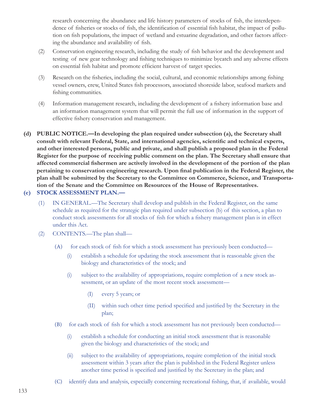research concerning the abundance and life history parameters of stocks of fish, the interdependence of fisheries or stocks of fish, the identification of essential fish habitat, the impact of pollution on fish populations, the impact of wetland and estuarine degradation, and other factors affecting the abundance and availability of fish.

- (2) Conservation engineering research, including the study of fish behavior and the development and testing of new gear technology and fishing techniques to minimize bycatch and any adverse effects on essential fish habitat and promote efficient harvest of target species.
- (3) Research on the fisheries, including the social, cultural, and economic relationships among fishing vessel owners, crew, United States fish processors, associated shoreside labor, seafood markets and fishing communities.
- (4) Information management research, including the development of a fishery information base and an information management system that will permit the full use of information in the support of effective fishery conservation and management.
- **(d) PUBLIC NOTICE.—In developing the plan required under subsection (a), the Secretary shall**  consult with relevant Federal, State, and international agencies, scientific and technical experts, **and other interested persons, public and private, and shall publish a proposed plan in the Federal Register for the purpose of receiving public comment on the plan. The Secretary shall ensure that**  affected commercial fishermen are actively involved in the development of the portion of the plan pertaining to conservation engineering research. Upon final publication in the Federal Register, the **plan shall be submitted by the Secretary to the Committee on Commerce, Science, and Transportation of the Senate and the Committee on Resources of the House of Representatives.**

#### **(e) STOCK ASSESSMENT PLAN.—**

- (1) IN GENERAL.—The Secretary shall develop and publish in the Federal Register, on the same schedule as required for the strategic plan required under subsection (b) of this section, a plan to conduct stock assessments for all stocks of fish for which a fishery management plan is in effect under this Act.
- (2) CONTENTS.—The plan shall—
	- (A) for each stock of fish for which a stock assessment has previously been conducted—
		- (i) establish a schedule for updating the stock assessment that is reasonable given the biology and characteristics of the stock; and
		- (i) subject to the availability of appropriations, require completion of a new stock assessment, or an update of the most recent stock assessment—
			- (I) every 5 years; or
			- (II) within such other time period specified and justified by the Secretary in the plan;
	- (B) for each stock of fish for which a stock assessment has not previously been conducted—
		- (i) establish a schedule for conducting an initial stock assessment that is reasonable given the biology and characteristics of the stock; and
		- (ii) subject to the availability of appropriations, require completion of the initial stock assessment within 3 years after the plan is published in the Federal Register unless another time period is specified and justified by the Secretary in the plan; and
	- (C) identify data and analysis, especially concerning recreational fishing, that, if available, would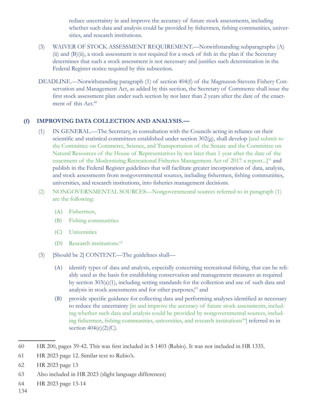reduce uncertainty in and improve the accuracy of future stock assessments, including whether such data and analysis could be provided by fishermen, fishing communities, universities, and research institutions.

- (3) WAIVER OF STOCK ASSESSMENT REQUIREMENT.—Notwithstanding subparagraphs (A)  $(ii)$  and  $(B)(ii)$ , a stock assessment is not required for a stock of fish in the plan if the Secretary determines that such a stock assessment is not necessary and justifies such determination in the Federal Register notice required by this subsection.
- DEADLINE.—Notwithstanding paragraph (1) of section 404(f) of the Magnuson-Stevens Fishery Conservation and Management Act, as added by this section, the Secretary of Commerce shall issue the first stock assessment plan under such section by not later than 2 years after the date of the enactment of this Act.<sup>60</sup>

#### **(f) IMPROVING DATA COLLECTION AND ANALYSIS.—**

- (1) IN GENERAL.—The Secretary, in consultation with the Councils acting in reliance on their scientific and statistical committees established under section  $302(g)$ , shall develop [and submit to the Committee on Commerce, Science, and Transportation of the Senate and the Committee on Natural Resources of the House of Representatives by not later than 1 year after the date of the enactment of the Modernizing Recreational Fisheries Management Act of 2017 a report...]<sup>61</sup> and publish in the Federal Register guidelines that will facilitate greater incorporation of data, analysis, and stock assessments from nongovernmental sources, including fishermen, fishing communities, universities, and research institutions, into fisheries management decisions.
- (2) NONGOVERNMENTAL SOURCES—Nongovernmental sources referred to in paragraph (1) are the following:
	- (A) Fishermen,
	- (B) Fishing communities
	- (C) Universities
	- (D) Research institutions.<sup>62</sup>
- (3) [Should be 2] CONTENT.—The guidelines shall—
	- (A) identify types of data and analysis, especially concerning recreational fishing, that can be reliably used as the basis for establishing conservation and management measures as required by section 303(a)(1), including setting standards for the collection and use of such data and analysis in stock assessments and for other purposes;<sup>63</sup> and
	- (B) provide specific guidance for collecting data and performing analyses identified as necessary to reduce the uncertainty [in and improve the accuracy of future stock assessments, including whether such data and analysis could be provided by nongovernmental sources, including fishermen, fishing communities, universities, and research institutions<sup>64</sup>] referred to in section 404(e)(2)(C).

- 62 HR 2023 page 13
- 63 Also included in HR 2023 (slight language differences)
- 64 HR 2023 page 13-14
- 134

<sup>60</sup> HR 200, pages 39-42. This was first included in S 1403 (Rubio). It was not included in HR 1335.

<sup>61</sup> HR 2023 page 12. Similar text to Rubio's.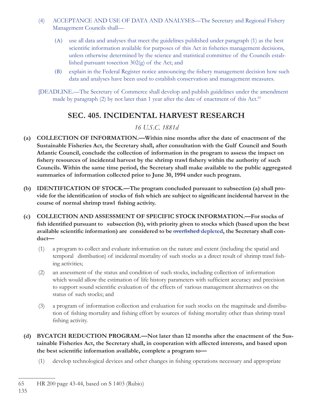- (4) ACCEPTANCE AND USE OF DATA AND ANALYSES—The Secretary and Regional Fishery Management Councils shall—
	- (A) use all data and analyses that meet the guidelines published under paragraph (1) as the best scientific information available for purposes of this Act in fisheries management decisions, unless otherwise determined by the science and statistical committee of the Councils established pursuant tosection 302(g) of the Act; and
	- (B) explain in the Federal Register notice announcing the fishery management decision how such data and analyses have been used to establish conservation and management measures.
- [DEADLINE.—The Secretary of Commerce shall develop and publish guidelines under the amendment made by paragraph (2) by not later than 1 year after the date of enactment of this Act.<sup>65</sup>

## **S EC. 405. INCIDENTAL HARVEST RESEARCH**

### *16 U.S.C. 1881d*

- **(a) COLLECTION OF INFORMATION.—Within nine months after the date of enactment of the Sustainable Fisheries Act, the Secretary shall, after consultation with the Gulf Council and South Atlantic Council, conclude the collection of information in the program to assess the impact on**  fishery resources of incidental harvest by the shrimp trawl fishery within the authority of such **Councils. Within the same time period, the Secretary shall make available to the public aggregated summaries of information collected prior to June 30, 1994 under such program.**
- **(b) IDENTIFICATION OF STOCK.—The program concluded pursuant to subsection (a) shall pro**vide for the identification of stocks of fish which are subject to significant incidental harvest in the course of normal shrimp trawl fishing activity.
- **(c) COLLECTION AND ASSESSMENT OF SPECIFIC STOCK INFORMATION.—For stocks of**  fish identified pursuant to subsection (b), with priority given to stocks which (based upon the best available scientific information) are considered to be overfished depleted, the Secretary shall con**duct—**
	- (1) a program to collect and evaluate information on the nature and extent (including the spatial and temporal distribution) of incidental mortality of such stocks as a direct result of shrimp trawl fishing activities;
	- (2) an assessment of the status and condition of such stocks, including collection of information which would allow the estimation of life history parameters with sufficient accuracy and precision to support sound scientific evaluation of the effects of various management alternatives on the status of such stocks; and
	- (3) a program of information collection and evaluation for such stocks on the magnitude and distribution of fishing mortality and fishing effort by sources of fishing mortality other than shrimp trawl fishing activity.
- **(d) BYCATCH REDUCTION PROGRAM.—Not later than 12 months after the enactment of the Sustainable Fisheries Act, the Secretary shall, in cooperation with affected interests, and based upon**  the best scientific information available, complete a program to-
	- (1) develop technological devices and other changes in fishing operations necessary and appropriate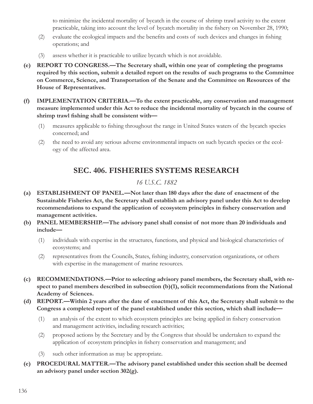to minimize the incidental mortality of bycatch in the course of shrimp trawl activity to the extent practicable, taking into account the level of bycatch mortality in the fishery on November 28, 1990;

- (2) evaluate the ecological impacts and the benefits and costs of such devices and changes in fishing operations; and
- (3) assess whether it is practicable to utilize bycatch which is not avoidable.
- **(e) REPORT TO CONGRESS.—The Secretary shall, within one year of completing the programs required by this section, submit a detailed report on the results of such programs to the Committee on Commerce, Science, and Transportation of the Senate and the Committee on Resources of the House of Representatives.**
- **(f) IMPLEMENTATION CRITERIA.—To the extent practicable, any conservation and management measure implemented under this Act to reduce the incidental mortality of bycatch in the course of**  shrimp trawl fishing shall be consistent with—
	- (1) measures applicable to fishing throughout the range in United States waters of the bycatch species concerned; and
	- (2) the need to avoid any serious adverse environmental impacts on such bycatch species or the ecology of the affected area.

# **SEC. 4 06. FISHERIES SYSTEMS RESEARCH**

### *16 U.S.C. 1882*

- **(a) ESTABLISHMENT OF PANEL.—Not later than 180 days after the date of enactment of the Sustainable Fisheries Act, the Secretary shall establish an advisory panel under this Act to develop**  recommendations to expand the application of ecosystem principles in fishery conservation and **management activities.**
- **(b) PANEL MEMBERSHIP.—The advisory panel shall consist of not more than 20 individuals and include—**
	- (1) individuals with expertise in the structures, functions, and physical and biological characteristics of ecosystems; and
	- (2) representatives from the Councils, States, fishing industry, conservation organizations, or others with expertise in the management of marine resources.
- **(c) RECOMMENDATIONS.—Prior to selecting advisory panel members, the Secretary shall, with respect to panel members described in subsection (b)(1), solicit recommendations from the National Academy of Sciences.**
- **(d) REPORT.—Within 2 years after the date of enactment of this Act, the Secretary shall submit to the Congress a completed report of the panel established under this section, which shall include—**
	- $(1)$  an analysis of the extent to which ecosystem principles are being applied in fishery conservation and management activities, including research activities;
	- (2) proposed actions by the Secretary and by the Congress that should be undertaken to expand the application of ecosystem principles in fishery conservation and management; and
	- (3) such other information as may be appropriate.
- **(e) PROCEDURAL MATTER.—The advisory panel established under this section shall be deemed an advisory panel under section 302(g).**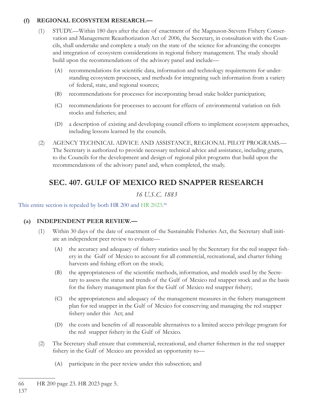#### **(f) REGIONAL ECOSYSTEM RESEARCH.—**

- (1) STUDY.—Within 180 days after the date of enactment of the Magnuson-Stevens Fishery Conservation and Management Reauthorization Act of 2006, the Secretary, in consultation with the Councils, shall undertake and complete a study on the state of the science for advancing the concepts and integration of ecosystem considerations in regional fishery management. The study should build upon the recommendations of the advisory panel and include—
	- (A) recommendations for scientific data, information and technology requirements for understanding ecosystem processes, and methods for integrating such information from a variety of federal, state, and regional sources;
	- (B) recommendations for processes for incorporating broad stake holder participation;
	- (C) recommendations for processes to account for effects of environmental variation on fish stocks and fisheries; and
	- (D) a description of existing and developing council efforts to implement ecosystem approaches, including lessons learned by the councils.
- (2) AGENCY TECHNICAL ADVICE AND ASSISTANCE, REGIONAL PILOT PROGRAMS.— The Secretary is authorized to provide necessary technical advice and assistance, including grants, to the Councils for the development and design of regional pilot programs that build upon the recommendations of the advisory panel and, when completed, the study.

## **SEC. 407. GULF OF MEXICO RED SNAPPER RESEARCH**

*16 U.S.C. 1883*

#### This entire section is repealed by both HR 200 and HR 2023.<sup>66</sup>

#### **(a) INDEPENDENT PEER REVIEW.—**

- (1) Within 30 days of the date of enactment of the Sustainable Fisheries Act, the Secretary shall initiate an independent peer review to evaluate—
	- (A) the accuracy and adequacy of fishery statistics used by the Secretary for the red snapper fishery in the Gulf of Mexico to account for all commercial, recreational, and charter fishing harvests and fishing effort on the stock;
	- (B) the appropriateness of the scientific methods, information, and models used by the Secretary to assess the status and trends of the Gulf of Mexico red snapper stock and as the basis for the fishery management plan for the Gulf of Mexico red snapper fishery;
	- (C) the appropriateness and adequacy of the management measures in the fishery management plan for red snapper in the Gulf of Mexico for conserving and managing the red snapper fishery under this Act; and
	- (D) the costs and benefits of all reasonable alternatives to a limited access privilege program for the red snapper fishery in the Gulf of Mexico.
- (2) The Secretary shall ensure that commercial, recreational, and charter fi shermen in the red snapper fishery in the Gulf of Mexico are provided an opportunity to—
	- (A) participate in the peer review under this subsection; and

<sup>66</sup> HR 200 page 23. HR 2023 page 5.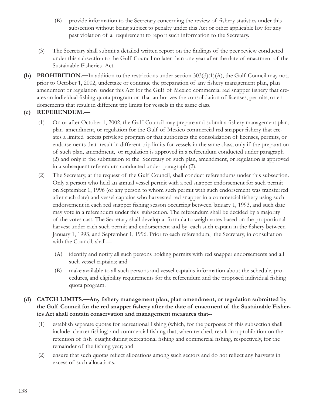- (B) provide information to the Secretary concerning the review of fishery statistics under this subsection without being subject to penalty under this Act or other applicable law for any past violation of a requirement to report such information to the Secretary.
- (3) The Secretary shall submit a detailed written report on the findings of the peer review conducted under this subsection to the Gulf Council no later than one year after the date of enactment of the Sustainable Fisheries Act.
- **(b) PROHIBITION.—**In addition to the restrictions under section 303(d)(1)(A), the Gulf Council may not, prior to October 1, 2002, undertake or continue the preparation of any fishery management plan, plan amendment or regulation under this Act for the Gulf of Mexico commercial red snapper fishery that creates an individual fishing quota program or that authorizes the consolidation of licenses, permits, or endorsements that result in different trip limits for vessels in the same class.

### **(c) REFERENDUM.—**

- (1) On or after October 1, 2002, the Gulf Council may prepare and submit a fi shery management plan, plan amendment, or regulation for the Gulf of Mexico commercial red snapper fishery that creates a limited access privilege program or that authorizes the consolidation of licenses, permits, or endorsements that result in different trip limits for vessels in the same class, only if the preparation of such plan, amendment, or regulation is approved in a referendum conducted under paragraph (2) and only if the submission to the Secretary of such plan, amendment, or regulation is approved in a subsequent referendum conducted under paragraph (2).
- (2) The Secretary, at the request of the Gulf Council, shall conduct referendums under this subsection. Only a person who held an annual vessel permit with a red snapper endorsement for such permit on September 1, 1996 (or any person to whom such permit with such endorsement was transferred after such date) and vessel captains who harvested red snapper in a commercial fishery using such endorsement in each red snapper fishing season occurring between January 1, 1993, and such date may vote in a referendum under this subsection. The referendum shall be decided by a majority of the votes cast. The Secretary shall develop a formula to weigh votes based on the proportional harvest under each such permit and endorsement and by each such captain in the fishery between January 1, 1993, and September 1, 1996. Prior to each referendum, the Secretary, in consultation with the Council, shall—
	- (A) identify and notify all such persons holding permits with red snapper endorsements and all such vessel captains; and
	- (B) make available to all such persons and vessel captains information about the schedule, procedures, and eligibility requirements for the referendum and the proposed individual fishing quota program.

#### (d) CATCH LIMITS.—Any fishery management plan, plan amendment, or regulation submitted by the Gulf Council for the red snapper fishery after the date of enactment of the Sustainable Fisher**ies Act shall contain conservation and management measures that--**

- (1) establish separate quotas for recreational fishing (which, for the purposes of this subsection shall include charter fishing) and commercial fishing that, when reached, result in a prohibition on the retention of fish caught during recreational fishing and commercial fishing, respectively, for the remainder of the fishing year; and
- (2) ensure that such quotas reflect allocations among such sectors and do not reflect any harvests in excess of such allocations.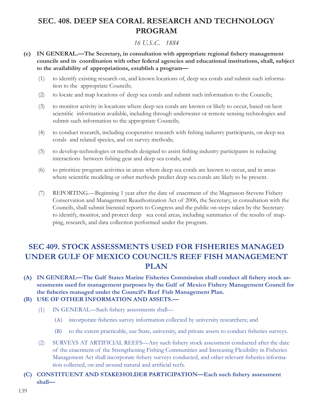## **SEC. 408. DEEP SEA CORAL RESEARCH AND TECHNOLOGY PROGRAM**

### *16 U.S.C. 1884*

- **(e) IN GENERAL.—The Secretary, in consultation with appropriate regional fishery management councils and in coordination with other federal agencies and educational institutions, shall, subject to the availability of appropriations, establish a program—**
	- (1) to identify existing research on, and known locations of, deep sea corals and submit such information to the appropriate Councils;
	- (2) to locate and map locations of deep sea corals and submit such information to the Councils;
	- (3) to monitor activity in locations where deep sea corals are known or likely to occur, based on best scientific information available, including through underwater or remote sensing technologies and submit such information to the appropriate Councils;
	- (4) to conduct research, including cooperative research with fishing industry participants, on deep sea corals and related species, and on survey methods;
	- (5) to develop technologies or methods designed to assist fishing industry participants in reducing interactions between fishing gear and deep sea corals; and
	- (6) to prioritize program activities in areas where deep sea corals are known to occur, and in areas where scientific modeling or other methods predict deep sea corals are likely to be present.
	- (7) REPORTING.—Beginning 1 year after the date of enactment of the Magnuson-Stevens Fishery Conservation and Management Reauthorization Act of 2006, the Secretary, in consultation with the Councils, shall submit biennial reports to Congress and the public on steps taken by the Secretary to identify, monitor, and protect deep sea coral areas, including summaries of the results of mapping, research, and data collection performed under the program.

## **SEC 409. STOCK ASSESSMENTS USED FOR FISHERIES MANAGED UNDER GULF OF MEXICO COUNCIL'S REEF FISH MANAGEMENT PLAN**

(A) IN GENERAL—The Gulf States Marine Fisheries Commission shall conduct all fishery stock as**sessments used for management purposes by the Gulf of Mexico Fishery Management Council for**  the fisheries managed under the Council's Reef Fish Management Plan.

#### **(B) USE OF OTHER INFORMATION AND ASSETS.—**

- (1) IN GENERAL—Such fishery assessments shall—
	- (A) incorporate fisheries survey information collected by university researchers; and
	- (B) to the extent practicable, use State, university, and private assets to conduct fisheries surveys.
- (2) SURVEYS AT ARTIFICIAL REEFS—Any such fishery stock assessment conducted after the date of the enactment of the Strengthening Fishing Communities and Increasing Flexibility in Fisheries Management Act shall incorporate fishery surveys conducted, and other relevant fisheries information collected, on and around natural and artificial reefs.
- **(C) CONSTITUENT AND STAKEHOLDER PARTICIPATION—Each such fishery assessment shall—**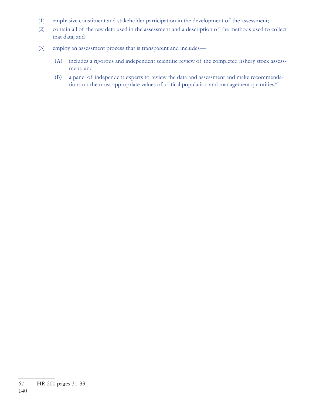- (1) emphasize constituent and stakeholder participation in the development of the assessment;
- (2) contain all of the raw data used in the assessment and a description of the methods used to collect that data; and
- (3) employ an assessment process that is transparent and includes—
	- (A) includes a rigorous and independent scientific review of the completed fishery stock assessment; and
	- (B) a panel of independent experts to review the data and assessment and make recommendations on the most appropriate values of critical population and management quantities.<sup>67</sup>

<sup>67</sup> HR 200 pages 31-33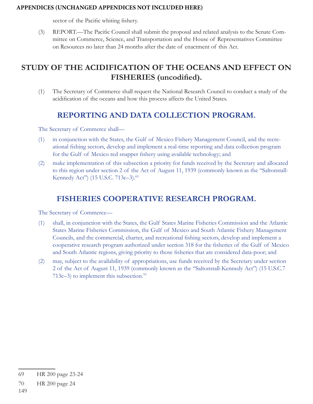#### **APPENDICES (UNCHANGED APPENDICES NOT INCLUDED HERE)**

sector of the Pacific whiting fishery.

(3) REPORT.—The Pacific Council shall submit the proposal and related analysis to the Senate Committee on Commerce, Science, and Transportation and the House of Representatives Committee on Resources no later than 24 months after the date of enactment of this Act.

## **STUDY OF THE ACIDIFICATION OF THE OCEANS AND EFFECT ON FISHERIES** (uncodified).

(1) The Secretary of Commerce shall request the National Research Council to conduct a study of the acidification of the oceans and how this process affects the United States.

### **REPORTING AND DATA COLLECTION PROGRAM.**

The Secretary of Commerce shall—

- (1) in conjunction with the States, the Gulf of Mexico Fishery Management Council, and the recreational fishing sectors, develop and implement a real-time reporting and data collection program for the Gulf of Mexico red snapper fishery using available technology; and
- (2) make implementation of this subsection a priority for funds received by the Secretary and allocated to this region under section 2 of the Act of August 11, 1939 (commonly known as the ''Saltonstall-Kennedy Act") (15 U.S.C. 713c-3).<sup>69</sup>

### **FISHERIES COOPERATIVE RESEARCH PROGRAM.**

The Secretary of Commerce—

- (1) shall, in conjunction with the States, the Gulf States Marine Fisheries Commission and the Atlantic States Marine Fisheries Commission, the Gulf of Mexico and South Atlantic Fishery Management Councils, and the commercial, charter, and recreational fishing sectors, develop and implement a cooperative research program authorized under section 318 for the fisheries of the Gulf of Mexico and South Atlantic regions, giving priority to those fisheries that are considered data-poor; and
- (2) may, subject to the availability of appropriations, use funds received by the Secretary under section 2 of the Act of August 11, 1939 (commonly known as the ''Saltonstall-Kennedy Act'') (15 U.S.C.7 713c–3) to implement this subsection.<sup>70</sup>

<sup>69</sup> HR 200 page 23-24

<sup>70</sup> HR 200 page 24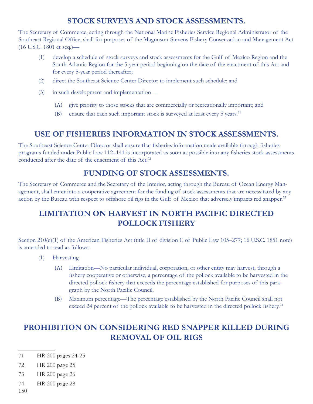### **STOCK SURVEYS AND STOCK ASSESSMENTS.**

The Secretary of Commerce, acting through the National Marine Fisheries Service Regional Administrator of the Southeast Regional Office, shall for purposes of the Magnuson-Stevens Fishery Conservation and Management Act (16 U.S.C. 1801 et seq.)—

- (1) develop a schedule of stock surveys and stock assessments for the Gulf of Mexico Region and the South Atlantic Region for the 5-year period beginning on the date of the enactment of this Act and for every 5-year period thereafter;
- (2) direct the Southeast Science Center Director to implement such schedule; and
- (3) in such development and implementation—
	- (A) give priority to those stocks that are commercially or recreationally important; and
	- (B) ensure that each such important stock is surveyed at least every 5 years.<sup>71</sup>

### **USE OF FISHERIES INFORMATION IN STOCK ASSESSMENTS.**

The Southeast Science Center Director shall ensure that fisheries information made available through fisheries programs funded under Public Law 112–141 is incorporated as soon as possible into any fisheries stock assessments conducted after the date of the enactment of this Act.<sup>72</sup>

### **FUNDING OF STOCK ASSESSMENTS.**

The Secretary of Commerce and the Secretary of the Interior, acting through the Bureau of Ocean Energy Management, shall enter into a cooperative agreement for the funding of stock assessments that are necessitated by any action by the Bureau with respect to offshore oil rigs in the Gulf of Mexico that adversely impacts red snapper.73

## **LIMITATION ON HARVEST IN NORTH PACIFIC DIRECTED POLLOCK FISHERY**

Section 210(e)(1) of the American Fisheries Act (title II of division C of Public Law 105–277; 16 U.S.C. 1851 note) is amended to read as follows:

- (1) Harvesting
	- (A) Limitation—No particular individual, corporation, or other entity may harvest, through a fishery cooperative or otherwise, a percentage of the pollock available to be harvested in the directed pollock fishery that exceeds the percentage established for purposes of this paragraph by the North Pacific Council.
	- (B) Maximum percentage—The percentage established by the North Pacific Council shall not exceed 24 percent of the pollock available to be harvested in the directed pollock fishery.<sup>74</sup>

# **PROHIBITION ON CONSIDERING RED SNAPPER KILLED DURING REMOVAL OF OIL RIGS**

- 71 HR 200 pages 24-25
- 72 HR 200 page 25
- 73 HR 200 page 26
- 74 HR 200 page 28
- 150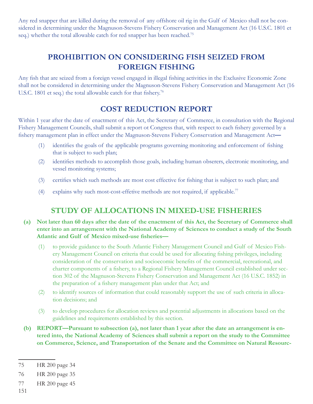Any red snapper that are killed during the removal of any offshore oil rig in the Gulf of Mexico shall not be considered in determining under the Magnuson-Stevens Fishery Conservation and Management Act (16 U.S.C. 1801 et seq.) whether the total allowable catch for red snapper has been reached.<sup>75</sup>

# **PROHIBITION ON CONSIDERING FISH SEIZED FROM FOREIGN FISHING**

Any fish that are seized from a foreign vessel engaged in illegal fishing activities in the Exclusive Economic Zone shall not be considered in determining under the Magnuson-Stevens Fishery Conservation and Management Act (16 U.S.C. 1801 et seq.) the total allowable catch for that fishery.<sup>76</sup>

## **COST REDUCTION REPORT**

Within 1 year after the date of enactment of this Act, the Secretary of Commerce, in consultation with the Regional Fishery Management Councils, shall submit a report ot Congress that, with respect to each fishery governed by a fishery management plan in effect under the Magnuson-Stevens Fishery Conservation and Management Act-

- (1) identifies the goals of the applicable programs governing monitoring and enforcement of fishing that is subject to such plan;
- (2) identifies methods to accomplish those goals, including human obserers, electronic monitoring, and vessel monitoring systems;
- (3) certifies which such methods are most cost effective for fishing that is subject to such plan; and
- (4) explains why such most-cost-effetive methods are not required, if applicable.77

### **STUDY OF ALLOCATIONS IN MIXED-USE FISHERIES**

- **(a) Not later than 60 days after the date of the enactment of this Act, the Secretary of Commerce shall enter into an arrangement with the National Academy of Sciences to conduct a study of the South**  Atlantic and Gulf of Mexico mixed-use fisheries-
	- (1) to provide guidance to the South Atlantic Fishery Management Council and Gulf of Mexico Fishery Management Council on criteria that could be used for allocating fishing privileges, including consideration of the conservation and socioecomic benefits of the commercial, recreational, and charter components of a fishery, to a Regional Fishery Management Council established under section 302 of the Magnuson-Stevens Fishery Conservation and Management Act (16 U.S.C. 1852) in the preparation of a fishery management plan under that Act; and
	- (2) to identify sources of information that could reasonably support the use of such criteria in allocation decisions; and
	- (3) to develop procedures for allocation reviews and potential adjustments in allocations based on the guidelines and requirements established by this section.
- **(b) REPORT—Pursuant to subsection (a), not later than 1 year after the date an arrangement is entered into, the National Academy of Sciences shall submit a report on the study to the Committee on Commerce, Science, and Transportation of the Senate and the Committee on Natural Resourc-**

151

<sup>75</sup> HR 200 page 34

<sup>76</sup> HR 200 page 35

<sup>77</sup> HR 200 page 45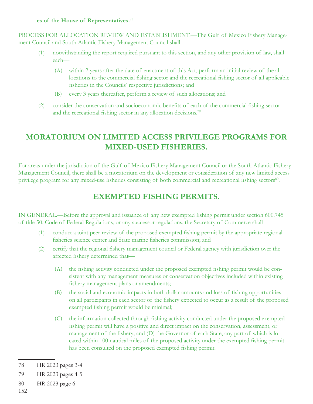#### **es of the House of Representatives.**<sup>78</sup>

PROCESS FOR ALLOCATION REVIEW AND ESTABLISHMENT.—The Gulf of Mexico Fishery Management Council and South Atlantic Fishery Management Council shall—

- (1) notwithstanding the report required pursuant to this section, and any other provision of law, shall each—
	- (A) within 2 years after the date of enactment of this Act, perform an initial review of the allocations to the commercial fishing sector and the recreational fishing sector of all applicable fisheries in the Councils' respective jurisdictions; and
	- (B) every 3 years thereafter, perform a review of such allocations; and
- (2) consider the conservation and socioeconomic benefits of each of the commercial fishing sector and the recreational fishing sector in any allocation decisions.<sup>79</sup>

# **MORATORIUM ON LIMITED ACCESS PRIVILEGE PROGRAMS FOR MIXED-USED FISHERIES.**

For areas under the jurisdiction of the Gulf of Mexico Fishery Management Council or the South Atlantic Fishery Management Council, there shall be a moratorium on the development or consideration of any new limited access privilege program for any mixed-use fisheries consisting of both commercial and recreational fishing sectors<sup>80</sup>.

## **EXEMPTED FISHING PERMITS.**

IN GENERAL.—Before the approval and issuance of any new exempted fishing permit under section 600.745 of title 50, Code of Federal Regulations, or any successor regulations, the Secretary of Commerce shall—

- (1) conduct a joint peer review of the proposed exempted fishing permit by the appropriate regional fisheries science center and State marine fisheries commission; and
- (2) certify that the regional fishery management council or Federal agency with jurisdiction over the affected fishery determined that-
	- (A) the fishing activity conducted under the proposed exempted fishing permit would be consistent with any management measures or conservation objectives included within existing fishery management plans or amendments;
	- (B) the social and economic impacts in both dollar amounts and loss of fishing opportunities on all participants in each sector of the fishery expected to occur as a result of the proposed exempted fishing permit would be minimal;
	- (C) the information collected through fishing activity conducted under the proposed exempted fishing permit will have a positive and direct impact on the conservation, assessment, or management of the fishery; and (D) the Governor of each State, any part of which is located within 100 nautical miles of the proposed activity under the exempted fishing permit has been consulted on the proposed exempted fishing permit.

<sup>78</sup> HR 2023 pages 3-4

<sup>79</sup> HR 2023 pages 4-5

<sup>80</sup> HR 2023 page 6

<sup>152</sup>